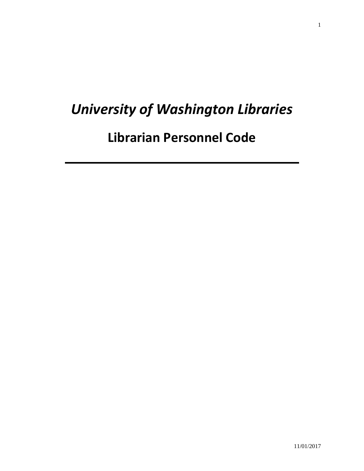# *University of Washington Libraries*

**Librarian Personnel Code**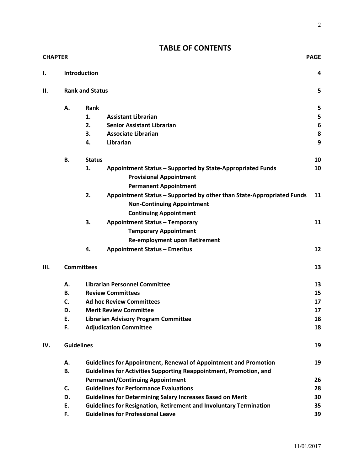## **TABLE OF CONTENTS**

| <b>CHAPTER</b> |                        |                                                                           |                                                                       |    |
|----------------|------------------------|---------------------------------------------------------------------------|-----------------------------------------------------------------------|----|
| Ι.             |                        | <b>Introduction</b>                                                       |                                                                       | 4  |
| Н.             | <b>Rank and Status</b> |                                                                           |                                                                       |    |
|                | Α.                     | <b>Rank</b>                                                               |                                                                       | 5  |
|                |                        | 1.                                                                        | <b>Assistant Librarian</b>                                            | 5  |
|                |                        | 2.                                                                        | <b>Senior Assistant Librarian</b>                                     | 6  |
|                |                        | 3.                                                                        | <b>Associate Librarian</b>                                            | 8  |
|                |                        | 4.                                                                        | Librarian                                                             | 9  |
|                | В.                     | <b>Status</b>                                                             |                                                                       | 10 |
|                |                        | 1.                                                                        | Appointment Status - Supported by State-Appropriated Funds            | 10 |
|                |                        |                                                                           | <b>Provisional Appointment</b>                                        |    |
|                |                        |                                                                           | <b>Permanent Appointment</b>                                          |    |
|                |                        | 2.                                                                        | Appointment Status - Supported by other than State-Appropriated Funds | 11 |
|                |                        |                                                                           | <b>Non-Continuing Appointment</b>                                     |    |
|                |                        |                                                                           | <b>Continuing Appointment</b>                                         |    |
|                |                        | 3.                                                                        | <b>Appointment Status - Temporary</b>                                 | 11 |
|                |                        |                                                                           | <b>Temporary Appointment</b>                                          |    |
|                |                        |                                                                           | <b>Re-employment upon Retirement</b>                                  |    |
|                |                        | 4.                                                                        | <b>Appointment Status - Emeritus</b>                                  | 12 |
| III.           | <b>Committees</b>      |                                                                           |                                                                       | 13 |
|                | А.                     |                                                                           | <b>Librarian Personnel Committee</b>                                  | 13 |
|                | В.                     | <b>Review Committees</b>                                                  |                                                                       |    |
|                | C.                     | <b>Ad hoc Review Committees</b>                                           |                                                                       | 17 |
|                | D.                     | <b>Merit Review Committee</b>                                             |                                                                       | 17 |
|                | Ε.                     | <b>Librarian Advisory Program Committee</b>                               |                                                                       | 18 |
|                | F.                     |                                                                           | <b>Adjudication Committee</b>                                         | 18 |
| IV.            | <b>Guidelines</b>      |                                                                           |                                                                       | 19 |
|                | А.                     | <b>Guidelines for Appointment, Renewal of Appointment and Promotion</b>   |                                                                       | 19 |
|                | <b>B.</b>              | Guidelines for Activities Supporting Reappointment, Promotion, and        |                                                                       |    |
|                |                        | <b>Permanent/Continuing Appointment</b>                                   |                                                                       | 26 |
|                | C.                     | <b>Guidelines for Performance Evaluations</b>                             |                                                                       | 28 |
|                | D.                     | <b>Guidelines for Determining Salary Increases Based on Merit</b>         |                                                                       | 30 |
|                | E.                     | <b>Guidelines for Resignation, Retirement and Involuntary Termination</b> |                                                                       | 35 |
|                | F.                     |                                                                           | <b>Guidelines for Professional Leave</b>                              | 39 |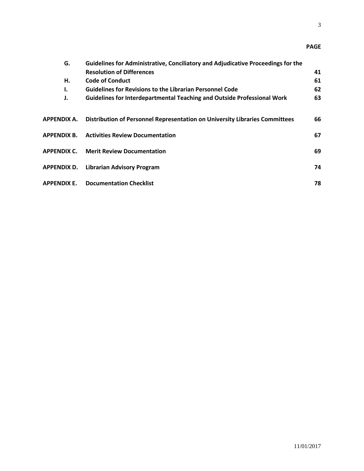3

## **PAGE**

| G.          | Guidelines for Administrative, Conciliatory and Adjudicative Proceedings for the |    |
|-------------|----------------------------------------------------------------------------------|----|
|             | <b>Resolution of Differences</b>                                                 | 41 |
| Η.          | <b>Code of Conduct</b>                                                           | 61 |
| I.          | <b>Guidelines for Revisions to the Librarian Personnel Code</b>                  | 62 |
| J.          | Guidelines for Interdepartmental Teaching and Outside Professional Work          | 63 |
|             |                                                                                  |    |
| APPENDIX A. | Distribution of Personnel Representation on University Libraries Committees      | 66 |
|             | <b>APPENDIX B. Activities Review Documentation</b>                               | 67 |
|             | <b>APPENDIX C. Merit Review Documentation</b>                                    | 69 |
|             |                                                                                  |    |
|             | <b>APPENDIX D. Librarian Advisory Program</b>                                    | 74 |
|             |                                                                                  |    |
| APPENDIX E. | <b>Documentation Checklist</b>                                                   | 78 |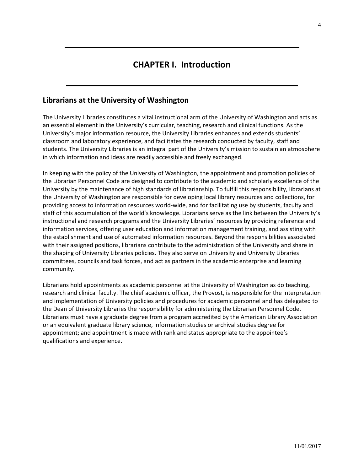# **CHAPTER I. Introduction**

### **Librarians at the University of Washington**

The University Libraries constitutes a vital instructional arm of the University of Washington and acts as an essential element in the University's curricular, teaching, research and clinical functions. As the University's major information resource, the University Libraries enhances and extends students' classroom and laboratory experience, and facilitates the research conducted by faculty, staff and students. The University Libraries is an integral part of the University's mission to sustain an atmosphere in which information and ideas are readily accessible and freely exchanged.

In keeping with the policy of the University of Washington, the appointment and promotion policies of the Librarian Personnel Code are designed to contribute to the academic and scholarly excellence of the University by the maintenance of high standards of librarianship. To fulfill this responsibility, librarians at the University of Washington are responsible for developing local library resources and collections, for providing access to information resources world-wide, and for facilitating use by students, faculty and staff of this accumulation of the world's knowledge. Librarians serve as the link between the University's instructional and research programs and the University Libraries' resources by providing reference and information services, offering user education and information management training, and assisting with the establishment and use of automated information resources. Beyond the responsibilities associated with their assigned positions, librarians contribute to the administration of the University and share in the shaping of University Libraries policies. They also serve on University and University Libraries committees, councils and task forces, and act as partners in the academic enterprise and learning community.

Librarians hold appointments as academic personnel at the University of Washington as do teaching, research and clinical faculty. The chief academic officer, the Provost, is responsible for the interpretation and implementation of University policies and procedures for academic personnel and has delegated to the Dean of University Libraries the responsibility for administering the Librarian Personnel Code. Librarians must have a graduate degree from a program accredited by the American Library Association or an equivalent graduate library science, information studies or archival studies degree for appointment; and appointment is made with rank and status appropriate to the appointee's qualifications and experience.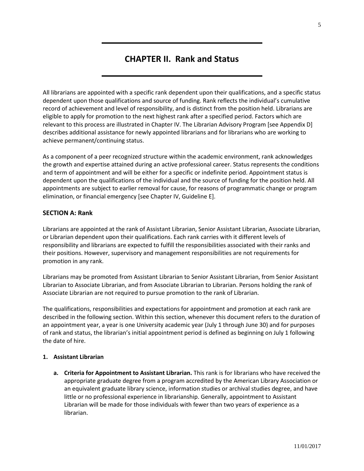# **CHAPTER II. Rank and Status**

All librarians are appointed with a specific rank dependent upon their qualifications, and a specific status dependent upon those qualifications and source of funding. Rank reflects the individual's cumulative record of achievement and level of responsibility, and is distinct from the position held. Librarians are eligible to apply for promotion to the next highest rank after a specified period. Factors which are relevant to this process are illustrated in Chapter IV. The Librarian Advisory Program [see Appendix D] describes additional assistance for newly appointed librarians and for librarians who are working to achieve permanent/continuing status.

As a component of a peer recognized structure within the academic environment, rank acknowledges the growth and expertise attained during an active professional career. Status represents the conditions and term of appointment and will be either for a specific or indefinite period. Appointment status is dependent upon the qualifications of the individual and the source of funding for the position held. All appointments are subject to earlier removal for cause, for reasons of programmatic change or program elimination, or financial emergency [see Chapter IV, Guideline E].

#### **SECTION A: Rank**

Librarians are appointed at the rank of Assistant Librarian, Senior Assistant Librarian, Associate Librarian, or Librarian dependent upon their qualifications. Each rank carries with it different levels of responsibility and librarians are expected to fulfill the responsibilities associated with their ranks and their positions. However, supervisory and management responsibilities are not requirements for promotion in any rank.

Librarians may be promoted from Assistant Librarian to Senior Assistant Librarian, from Senior Assistant Librarian to Associate Librarian, and from Associate Librarian to Librarian. Persons holding the rank of Associate Librarian are not required to pursue promotion to the rank of Librarian.

The qualifications, responsibilities and expectations for appointment and promotion at each rank are described in the following section. Within this section, whenever this document refers to the duration of an appointment year, a year is one University academic year (July 1 through June 30) and for purposes of rank and status, the librarian's initial appointment period is defined as beginning on July 1 following the date of hire.

#### **1. Assistant Librarian**

**a. Criteria for Appointment to Assistant Librarian.** This rank is for librarians who have received the appropriate graduate degree from a program accredited by the American Library Association or an equivalent graduate library science, information studies or archival studies degree, and have little or no professional experience in librarianship. Generally, appointment to Assistant Librarian will be made for those individuals with fewer than two years of experience as a librarian.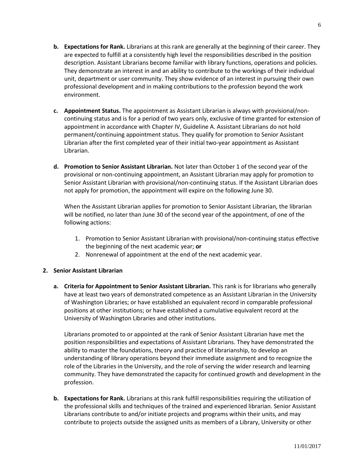- **b. Expectations for Rank.** Librarians at this rank are generally at the beginning of their career. They are expected to fulfill at a consistently high level the responsibilities described in the position description. Assistant Librarians become familiar with library functions, operations and policies. They demonstrate an interest in and an ability to contribute to the workings of their individual unit, department or user community. They show evidence of an interest in pursuing their own professional development and in making contributions to the profession beyond the work environment.
- **c. Appointment Status.** The appointment as Assistant Librarian is always with provisional/noncontinuing status and is for a period of two years only, exclusive of time granted for extension of appointment in accordance with Chapter IV, Guideline A. Assistant Librarians do not hold permanent/continuing appointment status. They qualify for promotion to Senior Assistant Librarian after the first completed year of their initial two-year appointment as Assistant Librarian.
- **d. Promotion to Senior Assistant Librarian.** Not later than October 1 of the second year of the provisional or non-continuing appointment, an Assistant Librarian may apply for promotion to Senior Assistant Librarian with provisional/non-continuing status. If the Assistant Librarian does not apply for promotion, the appointment will expire on the following June 30.

When the Assistant Librarian applies for promotion to Senior Assistant Librarian, the librarian will be notified, no later than June 30 of the second year of the appointment, of one of the following actions:

- 1. Promotion to Senior Assistant Librarian with provisional/non-continuing status effective the beginning of the next academic year; **or**
- 2. Nonrenewal of appointment at the end of the next academic year.

#### **2. Senior Assistant Librarian**

**a. Criteria for Appointment to Senior Assistant Librarian.** This rank is for librarians who generally have at least two years of demonstrated competence as an Assistant Librarian in the University of Washington Libraries; or have established an equivalent record in comparable professional positions at other institutions; or have established a cumulative equivalent record at the University of Washington Libraries and other institutions.

Librarians promoted to or appointed at the rank of Senior Assistant Librarian have met the position responsibilities and expectations of Assistant Librarians. They have demonstrated the ability to master the foundations, theory and practice of librarianship, to develop an understanding of library operations beyond their immediate assignment and to recognize the role of the Libraries in the University, and the role of serving the wider research and learning community. They have demonstrated the capacity for continued growth and development in the profession.

**b. Expectations for Rank.** Librarians at this rank fulfill responsibilities requiring the utilization of the professional skills and techniques of the trained and experienced librarian. Senior Assistant Librarians contribute to and/or initiate projects and programs within their units, and may contribute to projects outside the assigned units as members of a Library, University or other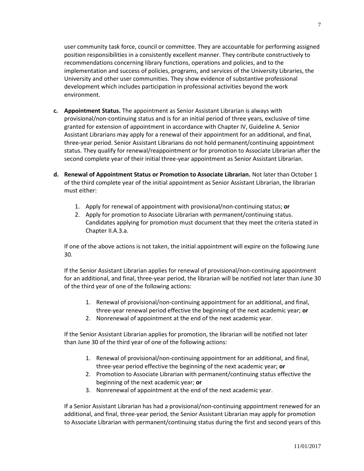user community task force, council or committee. They are accountable for performing assigned position responsibilities in a consistently excellent manner. They contribute constructively to recommendations concerning library functions, operations and policies, and to the implementation and success of policies, programs, and services of the University Libraries, the University and other user communities. They show evidence of substantive professional development which includes participation in professional activities beyond the work environment.

- **c. Appointment Status.** The appointment as Senior Assistant Librarian is always with provisional/non-continuing status and is for an initial period of three years, exclusive of time granted for extension of appointment in accordance with Chapter IV, Guideline A. Senior Assistant Librarians may apply for a renewal of their appointment for an additional, and final, three-year period. Senior Assistant Librarians do not hold permanent/continuing appointment status. They qualify for renewal/reappointment or for promotion to Associate Librarian after the second complete year of their initial three-year appointment as Senior Assistant Librarian.
- **d. Renewal of Appointment Status or Promotion to Associate Librarian.** Not later than October 1 of the third complete year of the initial appointment as Senior Assistant Librarian, the librarian must either:
	- 1. Apply for renewal of appointment with provisional/non-continuing status; **or**
	- 2. Apply for promotion to Associate Librarian with permanent/continuing status. Candidates applying for promotion must document that they meet the criteria stated in Chapter II.A.3.a.

If one of the above actions is not taken, the initial appointment will expire on the following June 30.

If the Senior Assistant Librarian applies for renewal of provisional/non-continuing appointment for an additional, and final, three-year period, the librarian will be notified not later than June 30 of the third year of one of the following actions:

- 1. Renewal of provisional/non-continuing appointment for an additional, and final, three-year renewal period effective the beginning of the next academic year; **or**
- 2. Nonrenewal of appointment at the end of the next academic year.

If the Senior Assistant Librarian applies for promotion, the librarian will be notified not later than June 30 of the third year of one of the following actions:

- 1. Renewal of provisional/non-continuing appointment for an additional, and final, three-year period effective the beginning of the next academic year; **or**
- 2. Promotion to Associate Librarian with permanent/continuing status effective the beginning of the next academic year; **or**
- 3. Nonrenewal of appointment at the end of the next academic year.

If a Senior Assistant Librarian has had a provisional/non-continuing appointment renewed for an additional, and final, three-year period, the Senior Assistant Librarian may apply for promotion to Associate Librarian with permanent/continuing status during the first and second years of this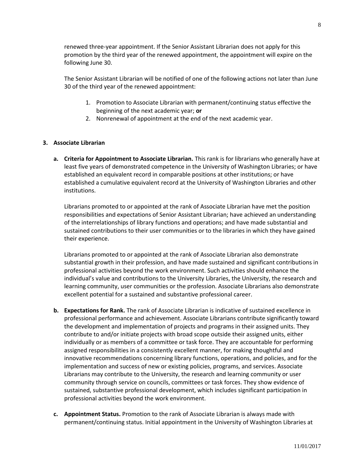renewed three-year appointment. If the Senior Assistant Librarian does not apply for this promotion by the third year of the renewed appointment, the appointment will expire on the following June 30.

The Senior Assistant Librarian will be notified of one of the following actions not later than June 30 of the third year of the renewed appointment:

- 1. Promotion to Associate Librarian with permanent/continuing status effective the beginning of the next academic year; **or**
- 2. Nonrenewal of appointment at the end of the next academic year.

#### **3. Associate Librarian**

**a. Criteria for Appointment to Associate Librarian.** This rank is for librarians who generally have at least five years of demonstrated competence in the University of Washington Libraries; or have established an equivalent record in comparable positions at other institutions; or have established a cumulative equivalent record at the University of Washington Libraries and other institutions.

Librarians promoted to or appointed at the rank of Associate Librarian have met the position responsibilities and expectations of Senior Assistant Librarian; have achieved an understanding of the interrelationships of library functions and operations; and have made substantial and sustained contributions to their user communities or to the libraries in which they have gained their experience.

Librarians promoted to or appointed at the rank of Associate Librarian also demonstrate substantial growth in their profession, and have made sustained and significant contributions in professional activities beyond the work environment. Such activities should enhance the individual's value and contributions to the University Libraries, the University, the research and learning community, user communities or the profession. Associate Librarians also demonstrate excellent potential for a sustained and substantive professional career.

- **b. Expectations for Rank.** The rank of Associate Librarian is indicative of sustained excellence in professional performance and achievement. Associate Librarians contribute significantly toward the development and implementation of projects and programs in their assigned units. They contribute to and/or initiate projects with broad scope outside their assigned units, either individually or as members of a committee or task force. They are accountable for performing assigned responsibilities in a consistently excellent manner, for making thoughtful and innovative recommendations concerning library functions, operations, and policies, and for the implementation and success of new or existing policies, programs, and services. Associate Librarians may contribute to the University, the research and learning community or user community through service on councils, committees or task forces. They show evidence of sustained, substantive professional development, which includes significant participation in professional activities beyond the work environment.
- **c. Appointment Status.** Promotion to the rank of Associate Librarian is always made with permanent/continuing status. Initial appointment in the University of Washington Libraries at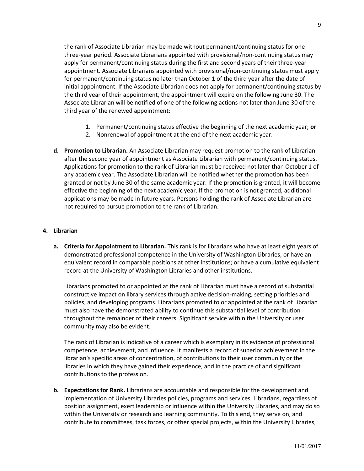the rank of Associate Librarian may be made without permanent/continuing status for one three-year period. Associate Librarians appointed with provisional/non-continuing status may apply for permanent/continuing status during the first and second years of their three-year appointment. Associate Librarians appointed with provisional/non-continuing status must apply for permanent/continuing status no later than October 1 of the third year after the date of initial appointment. If the Associate Librarian does not apply for permanent/continuing status by the third year of their appointment, the appointment will expire on the following June 30. The Associate Librarian will be notified of one of the following actions not later than June 30 of the third year of the renewed appointment:

- 1. Permanent/continuing status effective the beginning of the next academic year; **or**
- 2. Nonrenewal of appointment at the end of the next academic year.
- **d. Promotion to Librarian.** An Associate Librarian may request promotion to the rank of Librarian after the second year of appointment as Associate Librarian with permanent/continuing status. Applications for promotion to the rank of Librarian must be received not later than October 1 of any academic year. The Associate Librarian will be notified whether the promotion has been granted or not by June 30 of the same academic year. If the promotion is granted, it will become effective the beginning of the next academic year. If the promotion is not granted, additional applications may be made in future years. Persons holding the rank of Associate Librarian are not required to pursue promotion to the rank of Librarian.

#### **4. Librarian**

**a. Criteria for Appointment to Librarian.** This rank is for librarians who have at least eight years of demonstrated professional competence in the University of Washington Libraries; or have an equivalent record in comparable positions at other institutions; or have a cumulative equivalent record at the University of Washington Libraries and other institutions.

Librarians promoted to or appointed at the rank of Librarian must have a record of substantial constructive impact on library services through active decision-making, setting priorities and policies, and developing programs. Librarians promoted to or appointed at the rank of Librarian must also have the demonstrated ability to continue this substantial level of contribution throughout the remainder of their careers. Significant service within the University or user community may also be evident.

The rank of Librarian is indicative of a career which is exemplary in its evidence of professional competence, achievement, and influence. It manifests a record of superior achievement in the librarian's specific areas of concentration, of contributions to their user community or the libraries in which they have gained their experience, and in the practice of and significant contributions to the profession.

**b. Expectations for Rank.** Librarians are accountable and responsible for the development and implementation of University Libraries policies, programs and services. Librarians, regardless of position assignment, exert leadership or influence within the University Libraries, and may do so within the University or research and learning community. To this end, they serve on, and contribute to committees, task forces, or other special projects, within the University Libraries,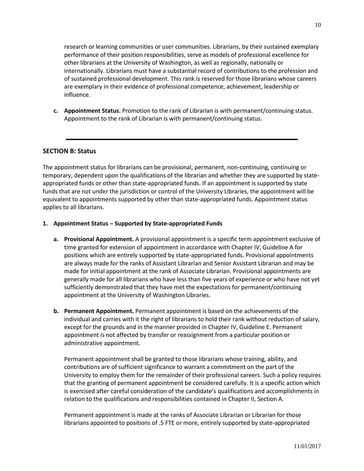research or learning communities or user communities. Librarians, by their sustained exemplary performance of their position responsibilities, serve as models of professional excellence for other librarians at the University of Washington, as well as regionally, nationally or internationally. Librarians must have a substantial record of contributions to the profession and of sustained professional development. This rank is reserved for those librarians whose careers are exemplary in their evidence of professional competence, achievement, leadership or

**c. Appointment Status.** Promotion to the rank of Librarian is with permanent/continuing status. Appointment to the rank of Librarian is with permanent/continuing status.

#### **SECTION B: Status**

influence.

The appointment status for librarians can be provisional, permanent, non-continuing, continuing or temporary, dependent upon the qualifications of the librarian and whether they are supported by stateappropriated funds or other than state-appropriated funds. If an appointment is supported by state funds that are not under the jurisdiction or control of the University Libraries, the appointment will be equivalent to appointments supported by other than state-appropriated funds. Appointment status applies to all librarians.

#### **1. Appointment Status – Supported by State-appropriated Funds**

- **a. Provisional Appointment.** A provisional appointment is a specific term appointment exclusive of time granted for extension of appointment in accordance with Chapter IV, Guideline A for positions which are entirely supported by state-appropriated funds. Provisional appointments are always made for the ranks of Assistant Librarian and Senior Assistant Librarian and may be made for initial appointment at the rank of Associate Librarian. Provisional appointments are generally made for all librarians who have less than five years of experience or who have not yet sufficiently demonstrated that they have met the expectations for permanent/continuing appointment at the University of Washington Libraries.
- **b. Permanent Appointment.** Permanent appointment is based on the achievements of the individual and carries with it the right of librarians to hold their rank without reduction of salary, except for the grounds and in the manner provided in Chapter IV, Guideline E. Permanent appointment is not affected by transfer or reassignment from a particular position or administrative appointment.

Permanent appointment shall be granted to those librarians whose training, ability, and contributions are of sufficient significance to warrant a commitment on the part of the University to employ them for the remainder of their professional careers. Such a policy requires that the granting of permanent appointment be considered carefully. It is a specific action which is exercised after careful consideration of the candidate's qualifications and accomplishments in relation to the qualifications and responsibilities contained in Chapter II, Section A.

Permanent appointment is made at the ranks of Associate Librarian or Librarian for those librarians appointed to positions of .5 FTE or more, entirely supported by state-appropriated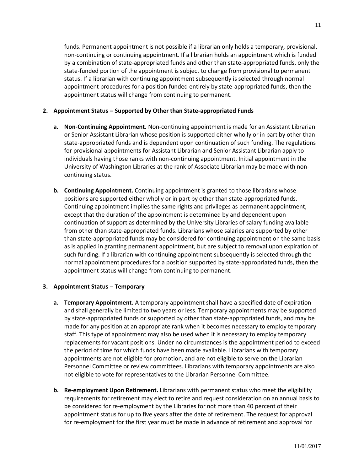funds. Permanent appointment is not possible if a librarian only holds a temporary, provisional, non-continuing or continuing appointment. If a librarian holds an appointment which is funded by a combination of state-appropriated funds and other than state-appropriated funds, only the state-funded portion of the appointment is subject to change from provisional to permanent status. If a librarian with continuing appointment subsequently is selected through normal appointment procedures for a position funded entirely by state-appropriated funds, then the appointment status will change from continuing to permanent.

#### **2. Appointment Status – Supported by Other than State-appropriated Funds**

- **a. Non-Continuing Appointment.** Non-continuing appointment is made for an Assistant Librarian or Senior Assistant Librarian whose position is supported either wholly or in part by other than state-appropriated funds and is dependent upon continuation of such funding. The regulations for provisional appointments for Assistant Librarian and Senior Assistant Librarian apply to individuals having those ranks with non-continuing appointment. Initial appointment in the University of Washington Libraries at the rank of Associate Librarian may be made with noncontinuing status.
- **b. Continuing Appointment.** Continuing appointment is granted to those librarians whose positions are supported either wholly or in part by other than state-appropriated funds. Continuing appointment implies the same rights and privileges as permanent appointment, except that the duration of the appointment is determined by and dependent upon continuation of support as determined by the University Libraries of salary funding available from other than state-appropriated funds. Librarians whose salaries are supported by other than state-appropriated funds may be considered for continuing appointment on the same basis as is applied in granting permanent appointment, but are subject to removal upon expiration of such funding. If a librarian with continuing appointment subsequently is selected through the normal appointment procedures for a position supported by state-appropriated funds, then the appointment status will change from continuing to permanent.

#### **3. Appointment Status – Temporary**

- **a. Temporary Appointment.** A temporary appointment shall have a specified date of expiration and shall generally be limited to two years or less. Temporary appointments may be supported by state-appropriated funds or supported by other than state-appropriated funds, and may be made for any position at an appropriate rank when it becomes necessary to employ temporary staff. This type of appointment may also be used when it is necessary to employ temporary replacements for vacant positions. Under no circumstances is the appointment period to exceed the period of time for which funds have been made available. Librarians with temporary appointments are not eligible for promotion, and are not eligible to serve on the Librarian Personnel Committee or review committees. Librarians with temporary appointments are also not eligible to vote for representatives to the Librarian Personnel Committee.
- **b. Re-employment Upon Retirement.** Librarians with permanent status who meet the eligibility requirements for retirement may elect to retire and request consideration on an annual basis to be considered for re-employment by the Libraries for not more than 40 percent of their appointment status for up to five years after the date of retirement. The request for approval for re-employment for the first year must be made in advance of retirement and approval for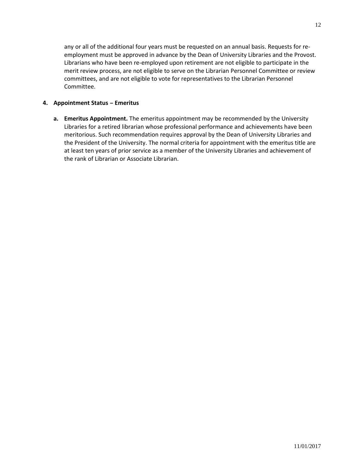any or all of the additional four years must be requested on an annual basis. Requests for reemployment must be approved in advance by the Dean of University Libraries and the Provost. Librarians who have been re-employed upon retirement are not eligible to participate in the merit review process, are not eligible to serve on the Librarian Personnel Committee or review committees, and are not eligible to vote for representatives to the Librarian Personnel Committee.

#### **4. Appointment Status – Emeritus**

**a. Emeritus Appointment.** The emeritus appointment may be recommended by the University Libraries for a retired librarian whose professional performance and achievements have been meritorious. Such recommendation requires approval by the Dean of University Libraries and the President of the University. The normal criteria for appointment with the emeritus title are at least ten years of prior service as a member of the University Libraries and achievement of the rank of Librarian or Associate Librarian.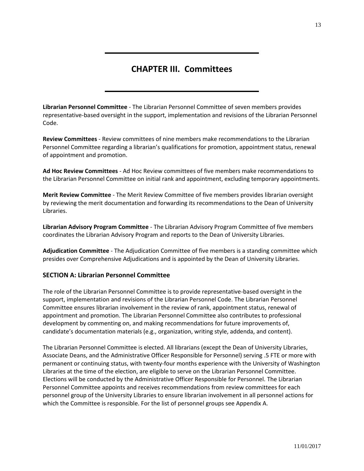# **CHAPTER III. Committees**

**Librarian Personnel Committee** - The Librarian Personnel Committee of seven members provides representative-based oversight in the support, implementation and revisions of the Librarian Personnel Code.

**Review Committees** - Review committees of nine members make recommendations to the Librarian Personnel Committee regarding a librarian's qualifications for promotion, appointment status, renewal of appointment and promotion.

**Ad Hoc Review Committees** - Ad Hoc Review committees of five members make recommendations to the Librarian Personnel Committee on initial rank and appointment, excluding temporary appointments.

**Merit Review Committee** - The Merit Review Committee of five members provides librarian oversight by reviewing the merit documentation and forwarding its recommendations to the Dean of University Libraries.

**Librarian Advisory Program Committee** - The Librarian Advisory Program Committee of five members coordinates the Librarian Advisory Program and reports to the Dean of University Libraries.

**Adjudication Committee** - The Adjudication Committee of five members is a standing committee which presides over Comprehensive Adjudications and is appointed by the Dean of University Libraries.

#### **SECTION A: Librarian Personnel Committee**

The role of the Librarian Personnel Committee is to provide representative-based oversight in the support, implementation and revisions of the Librarian Personnel Code. The Librarian Personnel Committee ensures librarian involvement in the review of rank, appointment status, renewal of appointment and promotion. The Librarian Personnel Committee also contributes to professional development by commenting on, and making recommendations for future improvements of, candidate's documentation materials (e.g., organization, writing style, addenda, and content).

The Librarian Personnel Committee is elected. All librarians (except the Dean of University Libraries, Associate Deans, and the Administrative Officer Responsible for Personnel) serving .5 FTE or more with permanent or continuing status, with twenty-four months experience with the University of Washington Libraries at the time of the election, are eligible to serve on the Librarian Personnel Committee. Elections will be conducted by the Administrative Officer Responsible for Personnel. The Librarian Personnel Committee appoints and receives recommendations from review committees for each personnel group of the University Libraries to ensure librarian involvement in all personnel actions for which the Committee is responsible. For the list of personnel groups see Appendix A.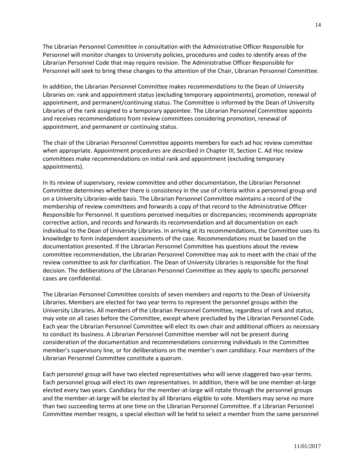The Librarian Personnel Committee in consultation with the Administrative Officer Responsible for Personnel will monitor changes to University policies, procedures and codes to identify areas of the Librarian Personnel Code that may require revision. The Administrative Officer Responsible for Personnel will seek to bring these changes to the attention of the Chair, Librarian Personnel Committee.

In addition, the Librarian Personnel Committee makes recommendations to the Dean of University Libraries on: rank and appointment status (excluding temporary appointments), promotion, renewal of appointment, and permanent/continuing status. The Committee is informed by the Dean of University Libraries of the rank assigned to a temporary appointee. The Librarian Personnel Committee appoints and receives recommendations from review committees considering promotion, renewal of appointment, and permanent or continuing status.

The chair of the Librarian Personnel Committee appoints members for each ad hoc review committee when appropriate. Appointment procedures are described in Chapter III, Section C. Ad Hoc review committees make recommendations on initial rank and appointment (excluding temporary appointments).

In its review of supervisory, review committee and other documentation, the Librarian Personnel Committee determines whether there is consistency in the use of criteria within a personnel group and on a University Libraries-wide basis. The Librarian Personnel Committee maintains a record of the membership of review committees and forwards a copy of that record to the Administrative Officer Responsible for Personnel. It questions perceived inequities or discrepancies; recommends appropriate corrective action, and records and forwards its recommendation and all documentation on each individual to the Dean of University Libraries. In arriving at its recommendations, the Committee uses its knowledge to form independent assessments of the case. Recommendations must be based on the documentation presented. If the Librarian Personnel Committee has questions about the review committee recommendation, the Librarian Personnel Committee may ask to meet with the chair of the review committee to ask for clarification. The Dean of University Libraries is responsible for the final decision. The deliberations of the Librarian Personnel Committee as they apply to specific personnel cases are confidential.

The Librarian Personnel Committee consists of seven members and reports to the Dean of University Libraries. Members are elected for two year terms to represent the personnel groups within the University Libraries**.** All members of the Librarian Personnel Committee, regardless of rank and status, may vote on all cases before the Committee, except where precluded by the Librarian Personnel Code. Each year the Librarian Personnel Committee will elect its own chair and additional officers as necessary to conduct its business. A Librarian Personnel Committee member will not be present during consideration of the documentation and recommendations concerning individuals in the Committee member's supervisory line, or for deliberations on the member's own candidacy. Four members of the Librarian Personnel Committee constitute a quorum.

Each personnel group will have two elected representatives who will serve staggered two-year terms. Each personnel group will elect its own representatives. In addition, there will be one member-at-large elected every two years. Candidacy for the member-at-large will rotate through the personnel groups and the member-at-large will be elected by all librarians eligible to vote. Members may serve no more than two succeeding terms at one time on the Librarian Personnel Committee. If a Librarian Personnel Committee member resigns, a special election will be held to select a member from the same personnel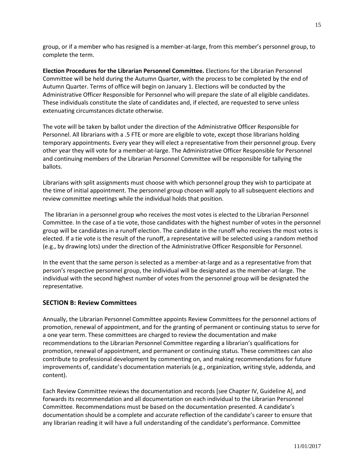group, or if a member who has resigned is a member-at-large, from this member's personnel group, to complete the term.

**Election Procedures for the Librarian Personnel Committee.** Elections for the Librarian Personnel Committee will be held during the Autumn Quarter, with the process to be completed by the end of Autumn Quarter. Terms of office will begin on January 1. Elections will be conducted by the Administrative Officer Responsible for Personnel who will prepare the slate of all eligible candidates. These individuals constitute the slate of candidates and, if elected, are requested to serve unless extenuating circumstances dictate otherwise.

The vote will be taken by ballot under the direction of the Administrative Officer Responsible for Personnel. All librarians with a .5 FTE or more are eligible to vote, except those librarians holding temporary appointments. Every year they will elect a representative from their personnel group. Every other year they will vote for a member-at-large. The Administrative Officer Responsible for Personnel and continuing members of the Librarian Personnel Committee will be responsible for tallying the ballots.

Librarians with split assignments must choose with which personnel group they wish to participate at the time of initial appointment. The personnel group chosen will apply to all subsequent elections and review committee meetings while the individual holds that position.

The librarian in a personnel group who receives the most votes is elected to the Librarian Personnel Committee. In the case of a tie vote, those candidates with the highest number of votes in the personnel group will be candidates in a runoff election. The candidate in the runoff who receives the most votes is elected. If a tie vote is the result of the runoff, a representative will be selected using a random method (e.g., by drawing lots) under the direction of the Administrative Officer Responsible for Personnel.

In the event that the same person is selected as a member-at-large and as a representative from that person's respective personnel group, the individual will be designated as the member-at-large. The individual with the second highest number of votes from the personnel group will be designated the representative.

#### **SECTION B: Review Committees**

Annually, the Librarian Personnel Committee appoints Review Committees for the personnel actions of promotion, renewal of appointment, and for the granting of permanent or continuing status to serve for a one year term. These committees are charged to review the documentation and make recommendations to the Librarian Personnel Committee regarding a librarian's qualifications for promotion, renewal of appointment, and permanent or continuing status. These committees can also contribute to professional development by commenting on, and making recommendations for future improvements of, candidate's documentation materials (e.g., organization, writing style, addenda, and content).

Each Review Committee reviews the documentation and records [see Chapter IV, Guideline A], and forwards its recommendation and all documentation on each individual to the Librarian Personnel Committee. Recommendations must be based on the documentation presented. A candidate's documentation should be a complete and accurate reflection of the candidate's career to ensure that any librarian reading it will have a full understanding of the candidate's performance. Committee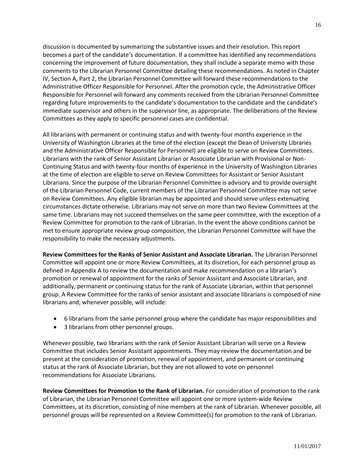discussion is documented by summarizing the substantive issues and their resolution. This report becomes a part of the candidate's documentation. If a committee has identified any recommendations concerning the improvement of future documentation, they shall include a separate memo with those comments to the Librarian Personnel Committee detailing these recommendations. As noted in Chapter IV, Section A, Part 2, the Librarian Personnel Committee will forward these recommendations to the Administrative Officer Responsible for Personnel. After the promotion cycle, the Administrative Officer Responsible for Personnel will forward any comments received from the Librarian Personnel Committee regarding future improvements to the candidate's documentation to the candidate and the candidate's immediate supervisor and others in the supervisor line, as appropriate. The deliberations of the Review Committees as they apply to specific personnel cases are confidential.

All librarians with permanent or continuing status and with twenty-four months experience in the University of Washington Libraries at the time of the election (except the Dean of University Libraries and the Administrative Officer Responsible for Personnel) are eligible to serve on Review Committees. Librarians with the rank of Senior Assistant Librarian or Associate Librarian with Provisional or Non-Continuing Status and with twenty-four months of experience in the University of Washington Libraries at the time of election are eligible to serve on Review Committees for Assistant or Senior Assistant Librarians. Since the purpose of the Librarian Personnel Committee is advisory and to provide oversight of the Librarian Personnel Code, current members of the Librarian Personnel Committee may not serve on Review Committees. Any eligible librarian may be appointed and should serve unless extenuating circumstances dictate otherwise. Librarians may not serve on more than two Review Committees at the same time. Librarians may not succeed themselves on the same peer committee, with the exception of a Review Committee for promotion to the rank of Librarian. In the event the above conditions cannot be met to ensure appropriate review group composition, the Librarian Personnel Committee will have the responsibility to make the necessary adjustments.

**Review Committees for the Ranks of Senior Assistant and Associate Librarian.** The Librarian Personnel Committee will appoint one or more Review Committees, at its discretion, for each personnel group as defined in Appendix A to review the documentation and make recommendation on a librarian's promotion or renewal of appointment for the ranks of Senior Assistant and Associate Librarian, and additionally, permanent or continuing status for the rank of Associate Librarian, within that personnel group. A Review Committee for the ranks of senior assistant and associate librarians is composed of nine librarians and, whenever possible, will include:

- 6 librarians from the same personnel group where the candidate has major responsibilities and
- 3 librarians from other personnel groups.

Whenever possible, two librarians with the rank of Senior Assistant Librarian will serve on a Review Committee that includes Senior Assistant appointments. They may review the documentation and be present at the consideration of promotion, renewal of appointment, and permanent or continuing status at the rank of Associate Librarian, but they are not allowed to vote on personnel recommendations for Associate Librarians.

**Review Committees for Promotion to the Rank of Librarian.** For consideration of promotion to the rank of Librarian, the Librarian Personnel Committee will appoint one or more system-wide Review Committees, at its discretion, consisting of nine members at the rank of Librarian. Whenever possible, all personnel groups will be represented on a Review Committee(s) for promotion to the rank of Librarian.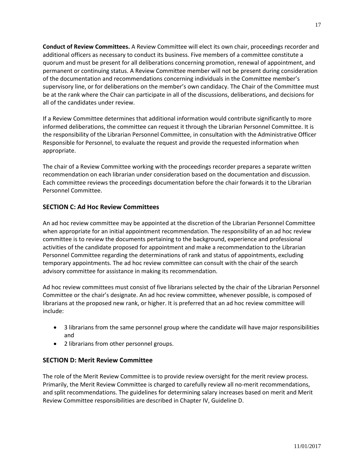**Conduct of Review Committees.** A Review Committee will elect its own chair, proceedings recorder and additional officers as necessary to conduct its business. Five members of a committee constitute a quorum and must be present for all deliberations concerning promotion, renewal of appointment, and permanent or continuing status. A Review Committee member will not be present during consideration of the documentation and recommendations concerning individuals in the Committee member's supervisory line, or for deliberations on the member's own candidacy. The Chair of the Committee must be at the rank where the Chair can participate in all of the discussions, deliberations, and decisions for all of the candidates under review.

If a Review Committee determines that additional information would contribute significantly to more informed deliberations, the committee can request it through the Librarian Personnel Committee. It is the responsibility of the Librarian Personnel Committee, in consultation with the Administrative Officer Responsible for Personnel, to evaluate the request and provide the requested information when appropriate.

The chair of a Review Committee working with the proceedings recorder prepares a separate written recommendation on each librarian under consideration based on the documentation and discussion. Each committee reviews the proceedings documentation before the chair forwards it to the Librarian Personnel Committee.

#### **SECTION C: Ad Hoc Review Committees**

An ad hoc review committee may be appointed at the discretion of the Librarian Personnel Committee when appropriate for an initial appointment recommendation. The responsibility of an ad hoc review committee is to review the documents pertaining to the background, experience and professional activities of the candidate proposed for appointment and make a recommendation to the Librarian Personnel Committee regarding the determinations of rank and status of appointments, excluding temporary appointments. The ad hoc review committee can consult with the chair of the search advisory committee for assistance in making its recommendation.

Ad hoc review committees must consist of five librarians selected by the chair of the Librarian Personnel Committee or the chair's designate. An ad hoc review committee, whenever possible, is composed of librarians at the proposed new rank, or higher. It is preferred that an ad hoc review committee will include:

- 3 librarians from the same personnel group where the candidate will have major responsibilities and
- 2 librarians from other personnel groups.

#### **SECTION D: Merit Review Committee**

The role of the Merit Review Committee is to provide review oversight for the merit review process. Primarily, the Merit Review Committee is charged to carefully review all no-merit recommendations, and split recommendations. The guidelines for determining salary increases based on merit and Merit Review Committee responsibilities are described in Chapter IV, Guideline D.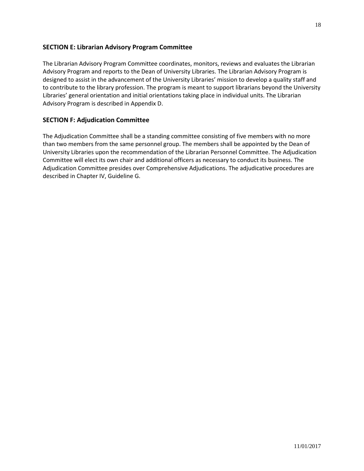#### **SECTION E: Librarian Advisory Program Committee**

The Librarian Advisory Program Committee coordinates, monitors, reviews and evaluates the Librarian Advisory Program and reports to the Dean of University Libraries. The Librarian Advisory Program is designed to assist in the advancement of the University Libraries' mission to develop a quality staff and to contribute to the library profession. The program is meant to support librarians beyond the University Libraries' general orientation and initial orientations taking place in individual units. The Librarian Advisory Program is described in Appendix D.

#### **SECTION F: Adjudication Committee**

The Adjudication Committee shall be a standing committee consisting of five members with no more than two members from the same personnel group. The members shall be appointed by the Dean of University Libraries upon the recommendation of the Librarian Personnel Committee. The Adjudication Committee will elect its own chair and additional officers as necessary to conduct its business. The Adjudication Committee presides over Comprehensive Adjudications. The adjudicative procedures are described in Chapter IV, Guideline G.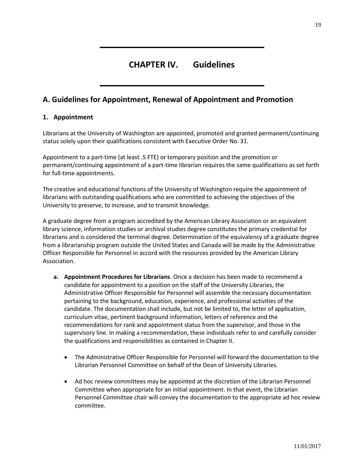# **CHAPTER IV. Guidelines**

### **A. Guidelines for Appointment, Renewal of Appointment and Promotion**

#### **1. Appointment**

Librarians at the University of Washington are appointed, promoted and granted permanent/continuing status solely upon their qualifications consistent with Executive Order No. 31.

Appointment to a part-time (at least .5 FTE) or temporary position and the promotion or permanent/continuing appointment of a part-time librarian requires the same qualifications as set forth for full-time appointments.

The creative and educational functions of the University of Washington require the appointment of librarians with outstanding qualifications who are committed to achieving the objectives of the University to preserve, to increase, and to transmit knowledge.

A graduate degree from a program accredited by the American Library Association or an equivalent library science, information studies or archival studies degree constitutes the primary credential for librarians and is considered the terminal degree. Determination of the equivalency of a graduate degree from a librarianship program outside the United States and Canada will be made by the Administrative Officer Responsible for Personnel in accord with the resources provided by the American Library Association.

- **a. Appointment Procedures for Librarians**. Once a decision has been made to recommend a candidate for appointment to a position on the staff of the University Libraries, the Administrative Officer Responsible for Personnel will assemble the necessary documentation pertaining to the background, education, experience, and professional activities of the candidate. The documentation shall include, but not be limited to, the letter of application, curriculum vitae, pertinent background information, letters of reference and the recommendations for rank and appointment status from the supervisor, and those in the supervisory line. In making a recommendation, these individuals refer to and carefully consider the qualifications and responsibilities as contained in Chapter II.
	- The Administrative Officer Responsible for Personnel will forward the documentation to the Librarian Personnel Committee on behalf of the Dean of University Libraries.
	- Ad hoc review committees may be appointed at the discretion of the Librarian Personnel Committee when appropriate for an initial appointment. In that event, the Librarian Personnel Committee chair will convey the documentation to the appropriate ad hoc review committee.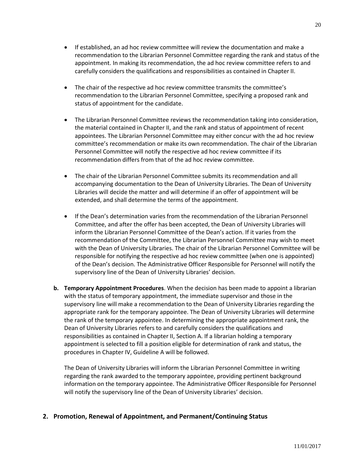- If established, an ad hoc review committee will review the documentation and make a recommendation to the Librarian Personnel Committee regarding the rank and status of the appointment. In making its recommendation, the ad hoc review committee refers to and carefully considers the qualifications and responsibilities as contained in Chapter II.
- The chair of the respective ad hoc review committee transmits the committee's recommendation to the Librarian Personnel Committee, specifying a proposed rank and status of appointment for the candidate.
- The Librarian Personnel Committee reviews the recommendation taking into consideration, the material contained in Chapter II, and the rank and status of appointment of recent appointees. The Librarian Personnel Committee may either concur with the ad hoc review committee's recommendation or make its own recommendation. The chair of the Librarian Personnel Committee will notify the respective ad hoc review committee if its recommendation differs from that of the ad hoc review committee.
- The chair of the Librarian Personnel Committee submits its recommendation and all accompanying documentation to the Dean of University Libraries. The Dean of University Libraries will decide the matter and will determine if an offer of appointment will be extended, and shall determine the terms of the appointment.
- If the Dean's determination varies from the recommendation of the Librarian Personnel Committee, and after the offer has been accepted, the Dean of University Libraries will inform the Librarian Personnel Committee of the Dean's action. If it varies from the recommendation of the Committee, the Librarian Personnel Committee may wish to meet with the Dean of University Libraries. The chair of the Librarian Personnel Committee will be responsible for notifying the respective ad hoc review committee (when one is appointed) of the Dean's decision. The Administrative Officer Responsible for Personnel will notify the supervisory line of the Dean of University Libraries' decision.
- **b. Temporary Appointment Procedures**. When the decision has been made to appoint a librarian with the status of temporary appointment, the immediate supervisor and those in the supervisory line will make a recommendation to the Dean of University Libraries regarding the appropriate rank for the temporary appointee. The Dean of University Libraries will determine the rank of the temporary appointee. In determining the appropriate appointment rank, the Dean of University Libraries refers to and carefully considers the qualifications and responsibilities as contained in Chapter II, Section A. If a librarian holding a temporary appointment is selected to fill a position eligible for determination of rank and status, the procedures in Chapter IV, Guideline A will be followed.

The Dean of University Libraries will inform the Librarian Personnel Committee in writing regarding the rank awarded to the temporary appointee, providing pertinent background information on the temporary appointee. The Administrative Officer Responsible for Personnel will notify the supervisory line of the Dean of University Libraries' decision.

#### **2. Promotion, Renewal of Appointment, and Permanent/Continuing Status**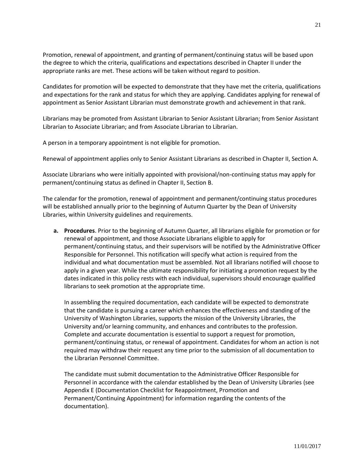Promotion, renewal of appointment, and granting of permanent/continuing status will be based upon the degree to which the criteria, qualifications and expectations described in Chapter II under the appropriate ranks are met. These actions will be taken without regard to position.

Candidates for promotion will be expected to demonstrate that they have met the criteria, qualifications and expectations for the rank and status for which they are applying. Candidates applying for renewal of appointment as Senior Assistant Librarian must demonstrate growth and achievement in that rank.

Librarians may be promoted from Assistant Librarian to Senior Assistant Librarian; from Senior Assistant Librarian to Associate Librarian; and from Associate Librarian to Librarian.

A person in a temporary appointment is not eligible for promotion.

Renewal of appointment applies only to Senior Assistant Librarians as described in Chapter II, Section A.

Associate Librarians who were initially appointed with provisional/non-continuing status may apply for permanent/continuing status as defined in Chapter II, Section B.

The calendar for the promotion, renewal of appointment and permanent/continuing status procedures will be established annually prior to the beginning of Autumn Quarter by the Dean of University Libraries, within University guidelines and requirements.

**a. Procedures**. Prior to the beginning of Autumn Quarter, all librarians eligible for promotion or for renewal of appointment, and those Associate Librarians eligible to apply for permanent/continuing status, and their supervisors will be notified by the Administrative Officer Responsible for Personnel. This notification will specify what action is required from the individual and what documentation must be assembled. Not all librarians notified will choose to apply in a given year. While the ultimate responsibility for initiating a promotion request by the dates indicated in this policy rests with each individual, supervisors should encourage qualified librarians to seek promotion at the appropriate time.

In assembling the required documentation, each candidate will be expected to demonstrate that the candidate is pursuing a career which enhances the effectiveness and standing of the University of Washington Libraries, supports the mission of the University Libraries, the University and/or learning community, and enhances and contributes to the profession. Complete and accurate documentation is essential to support a request for promotion, permanent/continuing status, or renewal of appointment. Candidates for whom an action is not required may withdraw their request any time prior to the submission of all documentation to the Librarian Personnel Committee.

The candidate must submit documentation to the Administrative Officer Responsible for Personnel in accordance with the calendar established by the Dean of University Libraries (see Appendix E (Documentation Checklist for Reappointment, Promotion and Permanent/Continuing Appointment) for information regarding the contents of the documentation).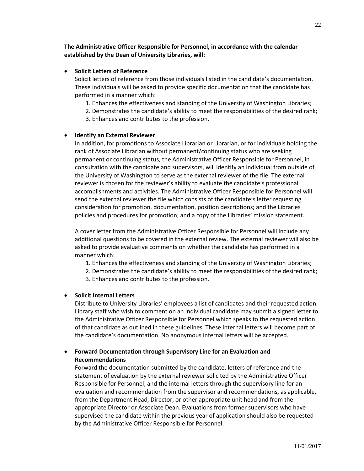#### **Solicit Letters of Reference**

Solicit letters of reference from those individuals listed in the candidate's documentation. These individuals will be asked to provide specific documentation that the candidate has performed in a manner which:

- 1. Enhances the effectiveness and standing of the University of Washington Libraries;
- 2. Demonstrates the candidate's ability to meet the responsibilities of the desired rank;
- 3. Enhances and contributes to the profession.

#### **Identify an External Reviewer**

In addition, for promotions to Associate Librarian or Librarian, or for individuals holding the rank of Associate Librarian without permanent/continuing status who are seeking permanent or continuing status, the Administrative Officer Responsible for Personnel, in consultation with the candidate and supervisors, will identify an individual from outside of the University of Washington to serve as the external reviewer of the file. The external reviewer is chosen for the reviewer's ability to evaluate the candidate's professional accomplishments and activities. The Administrative Officer Responsible for Personnel will send the external reviewer the file which consists of the candidate's letter requesting consideration for promotion, documentation, position descriptions; and the Libraries policies and procedures for promotion; and a copy of the Libraries' mission statement.

A cover letter from the Administrative Officer Responsible for Personnel will include any additional questions to be covered in the external review. The external reviewer will also be asked to provide evaluative comments on whether the candidate has performed in a manner which:

- 1. Enhances the effectiveness and standing of the University of Washington Libraries;
- 2. Demonstrates the candidate's ability to meet the responsibilities of the desired rank;
- 3. Enhances and contributes to the profession.

#### **Solicit Internal Letters**

Distribute to University Libraries' employees a list of candidates and their requested action. Library staff who wish to comment on an individual candidate may submit a signed letter to the Administrative Officer Responsible for Personnel which speaks to the requested action of that candidate as outlined in these guidelines. These internal letters will become part of the candidate's documentation. No anonymous internal letters will be accepted.

#### **Forward Documentation through Supervisory Line for an Evaluation and Recommendations**

Forward the documentation submitted by the candidate, letters of reference and the statement of evaluation by the external reviewer solicited by the Administrative Officer Responsible for Personnel, and the internal letters through the supervisory line for an evaluation and recommendation from the supervisor and recommendations, as applicable, from the Department Head, Director, or other appropriate unit head and from the appropriate Director or Associate Dean. Evaluations from former supervisors who have supervised the candidate within the previous year of application should also be requested by the Administrative Officer Responsible for Personnel.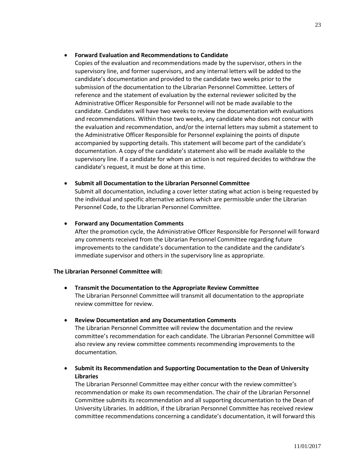#### **Forward Evaluation and Recommendations to Candidate**

Copies of the evaluation and recommendations made by the supervisor, others in the supervisory line, and former supervisors, and any internal letters will be added to the candidate's documentation and provided to the candidate two weeks prior to the submission of the documentation to the Librarian Personnel Committee. Letters of reference and the statement of evaluation by the external reviewer solicited by the Administrative Officer Responsible for Personnel will not be made available to the candidate. Candidates will have two weeks to review the documentation with evaluations and recommendations. Within those two weeks, any candidate who does not concur with the evaluation and recommendation, and/or the internal letters may submit a statement to the Administrative Officer Responsible for Personnel explaining the points of dispute accompanied by supporting details. This statement will become part of the candidate's documentation. A copy of the candidate's statement also will be made available to the supervisory line. If a candidate for whom an action is not required decides to withdraw the candidate's request, it must be done at this time.

#### **Submit all Documentation to the Librarian Personnel Committee**

Submit all documentation, including a cover letter stating what action is being requested by the individual and specific alternative actions which are permissible under the Librarian Personnel Code, to the Librarian Personnel Committee.

#### **Forward any Documentation Comments**

After the promotion cycle, the Administrative Officer Responsible for Personnel will forward any comments received from the Librarian Personnel Committee regarding future improvements to the candidate's documentation to the candidate and the candidate's immediate supervisor and others in the supervisory line as appropriate.

#### **The Librarian Personnel Committee will:**

- **Transmit the Documentation to the Appropriate Review Committee** The Librarian Personnel Committee will transmit all documentation to the appropriate review committee for review.
- **Review Documentation and any Documentation Comments**

The Librarian Personnel Committee will review the documentation and the review committee's recommendation for each candidate. The Librarian Personnel Committee will also review any review committee comments recommending improvements to the documentation.

 **Submit its Recommendation and Supporting Documentation to the Dean of University Libraries**

The Librarian Personnel Committee may either concur with the review committee's recommendation or make its own recommendation. The chair of the Librarian Personnel Committee submits its recommendation and all supporting documentation to the Dean of University Libraries. In addition, if the Librarian Personnel Committee has received review committee recommendations concerning a candidate's documentation, it will forward this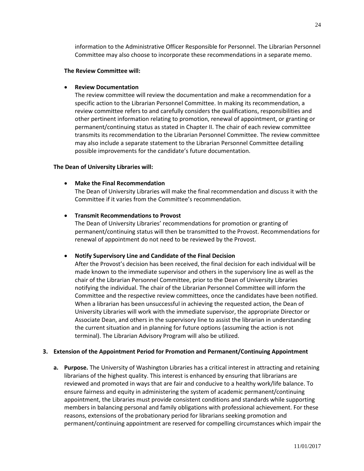information to the Administrative Officer Responsible for Personnel. The Librarian Personnel Committee may also choose to incorporate these recommendations in a separate memo.

#### **The Review Committee will:**

#### **Review Documentation**

The review committee will review the documentation and make a recommendation for a specific action to the Librarian Personnel Committee. In making its recommendation, a review committee refers to and carefully considers the qualifications, responsibilities and other pertinent information relating to promotion, renewal of appointment, or granting or permanent/continuing status as stated in Chapter II. The chair of each review committee transmits its recommendation to the Librarian Personnel Committee. The review committee may also include a separate statement to the Librarian Personnel Committee detailing possible improvements for the candidate's future documentation.

#### **The Dean of University Libraries will:**

#### **Make the Final Recommendation**

The Dean of University Libraries will make the final recommendation and discuss it with the Committee if it varies from the Committee's recommendation.

#### **Transmit Recommendations to Provost**

The Dean of University Libraries' recommendations for promotion or granting of permanent/continuing status will then be transmitted to the Provost. Recommendations for renewal of appointment do not need to be reviewed by the Provost.

#### **Notify Supervisory Line and Candidate of the Final Decision**

After the Provost's decision has been received, the final decision for each individual will be made known to the immediate supervisor and others in the supervisory line as well as the chair of the Librarian Personnel Committee, prior to the Dean of University Libraries notifying the individual. The chair of the Librarian Personnel Committee will inform the Committee and the respective review committees, once the candidates have been notified. When a librarian has been unsuccessful in achieving the requested action, the Dean of University Libraries will work with the immediate supervisor, the appropriate Director or Associate Dean, and others in the supervisory line to assist the librarian in understanding the current situation and in planning for future options (assuming the action is not terminal). The Librarian Advisory Program will also be utilized.

#### **3. Extension of the Appointment Period for Promotion and Permanent/Continuing Appointment**

**a. Purpose.** The University of Washington Libraries has a critical interest in attracting and retaining librarians of the highest quality. This interest is enhanced by ensuring that librarians are reviewed and promoted in ways that are fair and conducive to a healthy work/life balance. To ensure fairness and equity in administering the system of academic permanent/continuing appointment, the Libraries must provide consistent conditions and standards while supporting members in balancing personal and family obligations with professional achievement. For these reasons, extensions of the probationary period for librarians seeking promotion and permanent/continuing appointment are reserved for compelling circumstances which impair the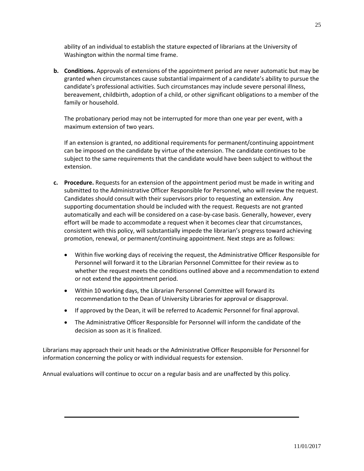ability of an individual to establish the stature expected of librarians at the University of Washington within the normal time frame.

**b. Conditions.** Approvals of extensions of the appointment period are never automatic but may be granted when circumstances cause substantial impairment of a candidate's ability to pursue the candidate's professional activities. Such circumstances may include severe personal illness, bereavement, childbirth, adoption of a child, or other significant obligations to a member of the family or household.

The probationary period may not be interrupted for more than one year per event, with a maximum extension of two years.

If an extension is granted, no additional requirements for permanent/continuing appointment can be imposed on the candidate by virtue of the extension. The candidate continues to be subject to the same requirements that the candidate would have been subject to without the extension.

- **c. Procedure.** Requests for an extension of the appointment period must be made in writing and submitted to the Administrative Officer Responsible for Personnel, who will review the request. Candidates should consult with their supervisors prior to requesting an extension. Any supporting documentation should be included with the request. Requests are not granted automatically and each will be considered on a case-by-case basis. Generally, however, every effort will be made to accommodate a request when it becomes clear that circumstances, consistent with this policy, will substantially impede the librarian's progress toward achieving promotion, renewal, or permanent/continuing appointment. Next steps are as follows:
	- Within five working days of receiving the request, the Administrative Officer Responsible for Personnel will forward it to the Librarian Personnel Committee for their review as to whether the request meets the conditions outlined above and a recommendation to extend or not extend the appointment period.
	- Within 10 working days, the Librarian Personnel Committee will forward its recommendation to the Dean of University Libraries for approval or disapproval.
	- If approved by the Dean, it will be referred to Academic Personnel for final approval.
	- The Administrative Officer Responsible for Personnel will inform the candidate of the decision as soon as it is finalized.

Librarians may approach their unit heads or the Administrative Officer Responsible for Personnel for information concerning the policy or with individual requests for extension.

Annual evaluations will continue to occur on a regular basis and are unaffected by this policy.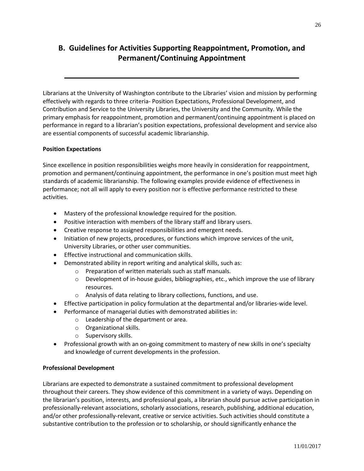# **B. Guidelines for Activities Supporting Reappointment, Promotion, and Permanent/Continuing Appointment**

Librarians at the University of Washington contribute to the Libraries' vision and mission by performing effectively with regards to three criteria- Position Expectations, Professional Development, and Contribution and Service to the University Libraries, the University and the Community. While the primary emphasis for reappointment, promotion and permanent/continuing appointment is placed on performance in regard to a librarian's position expectations, professional development and service also are essential components of successful academic librarianship.

#### **Position Expectations**

Since excellence in position responsibilities weighs more heavily in consideration for reappointment, promotion and permanent/continuing appointment, the performance in one's position must meet high standards of academic librarianship. The following examples provide evidence of effectiveness in performance; not all will apply to every position nor is effective performance restricted to these activities.

- Mastery of the professional knowledge required for the position.
- Positive interaction with members of the library staff and library users.
- Creative response to assigned responsibilities and emergent needs.
- Initiation of new projects, procedures, or functions which improve services of the unit, University Libraries, or other user communities.
- **•** Effective instructional and communication skills.
- Demonstrated ability in report writing and analytical skills, such as:
	- o Preparation of written materials such as staff manuals.
		- o Development of in-house guides, bibliographies, etc., which improve the use of library resources.
		- o Analysis of data relating to library collections, functions, and use.
- Effective participation in policy formulation at the departmental and/or libraries-wide level.
- Performance of managerial duties with demonstrated abilities in:
	- o Leadership of the department or area.
	- o Organizational skills.
	- o Supervisory skills.
- Professional growth with an on-going commitment to mastery of new skills in one's specialty and knowledge of current developments in the profession.

#### **Professional Development**

Librarians are expected to demonstrate a sustained commitment to professional development throughout their careers. They show evidence of this commitment in a variety of ways. Depending on the librarian's position, interests, and professional goals, a librarian should pursue active participation in professionally-relevant associations, scholarly associations, research, publishing, additional education, and/or other professionally-relevant, creative or service activities. Such activities should constitute a substantive contribution to the profession or to scholarship, or should significantly enhance the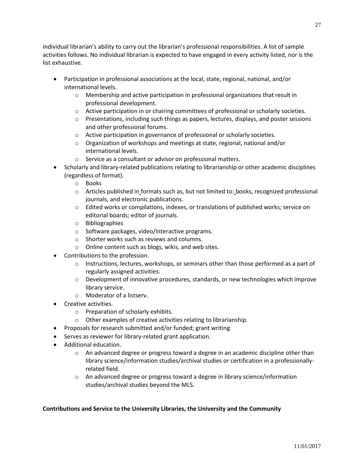individual librarian's ability to carry out the librarian's professional responsibilities. A list of sample activities follows. No individual librarian is expected to have engaged in every activity listed, nor is the list exhaustive.

- Participation in professional associations at the local, state, regional, national, and/or international levels.
	- o Membership and active participation in professional organizations that result in professional development.
	- o Active participation in or chairing committees of professional or scholarly societies.
	- $\circ$  Presentations, including such things as papers, lectures, displays, and poster sessions and other professional forums.
	- o Active participation in governance of professional or scholarly societies.
	- $\circ$  Organization of workshops and meetings at state, regional, national and/or international levels.
	- o Service as a consultant or advisor on professional matters.
- Scholarly and library-related publications relating to librarianship or other academic disciplines (regardless of format).
	- o Books
	- o Articles published in formats such as, but not limited to: books, recognized professional journals, and electronic publications.
	- o Edited works or compilations, indexes, or translations of published works; service on editorial boards; editor of journals.
	- o Bibliographies
	- o Software packages, video/interactive programs.
	- o Shorter works such as reviews and columns.
	- o Online content such as blogs, wikis, and web sites.
- Contributions to the profession.
	- $\circ$  Instructions, lectures, workshops, or seminars other than those performed as a part of regularly assigned activities.
	- $\circ$  Development of innovative procedures, standards, or new technologies which improve library service.
	- o Moderator of a listserv.
- Creative activities.
	- o Preparation of scholarly exhibits.
	- o Other examples of creative activities relating to librarianship.
- Proposals for research submitted and/or funded; grant writing.
- Serves as reviewer for library-related grant application.
- Additional education.
	- $\circ$  An advanced degree or progress toward a degree in an academic discipline other than library science/information studies/archival studies or certification in a professionallyrelated field.
	- $\circ$  An advanced degree or progress toward a degree in library science/information studies/archival studies beyond the MLS.

#### **Contributions and Service to the University Libraries, the University and the Community**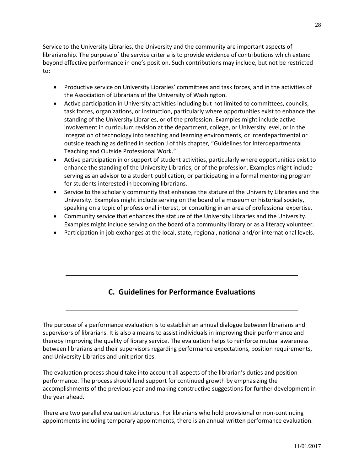Service to the University Libraries, the University and the community are important aspects of librarianship. The purpose of the service criteria is to provide evidence of contributions which extend beyond effective performance in one's position. Such contributions may include, but not be restricted to:

- Productive service on University Libraries' committees and task forces, and in the activities of the Association of Librarians of the University of Washington.
- Active participation in University activities including but not limited to committees, councils, task forces, organizations, or instruction, particularly where opportunities exist to enhance the standing of the University Libraries, or of the profession. Examples might include active involvement in curriculum revision at the department, college, or University level, or in the integration of technology into teaching and learning environments, or interdepartmental or outside teaching as defined in section J of this chapter, "Guidelines for Interdepartmental Teaching and Outside Professional Work."
- Active participation in or support of student activities, particularly where opportunities exist to enhance the standing of the University Libraries, or of the profession. Examples might include serving as an advisor to a student publication, or participating in a formal mentoring program for students interested in becoming librarians.
- Service to the scholarly community that enhances the stature of the University Libraries and the University. Examples might include serving on the board of a museum or historical society, speaking on a topic of professional interest, or consulting in an area of professional expertise.
- Community service that enhances the stature of the University Libraries and the University. Examples might include serving on the board of a community library or as a literacy volunteer.
- Participation in job exchanges at the local, state, regional, national and/or international levels.

# **C. Guidelines for Performance Evaluations**

The purpose of a performance evaluation is to establish an annual dialogue between librarians and supervisors of librarians. It is also a means to assist individuals in improving their performance and thereby improving the quality of library service. The evaluation helps to reinforce mutual awareness between librarians and their supervisors regarding performance expectations, position requirements, and University Libraries and unit priorities.

The evaluation process should take into account all aspects of the librarian's duties and position performance. The process should lend support for continued growth by emphasizing the accomplishments of the previous year and making constructive suggestions for further development in the year ahead.

There are two parallel evaluation structures. For librarians who hold provisional or non-continuing appointments including temporary appointments, there is an annual written performance evaluation.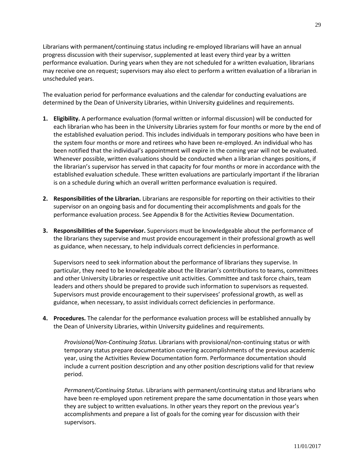Librarians with permanent/continuing status including re-employed librarians will have an annual progress discussion with their supervisor, supplemented at least every third year by a written performance evaluation. During years when they are not scheduled for a written evaluation, librarians may receive one on request; supervisors may also elect to perform a written evaluation of a librarian in unscheduled years.

The evaluation period for performance evaluations and the calendar for conducting evaluations are determined by the Dean of University Libraries, within University guidelines and requirements.

- **1. Eligibility.** A performance evaluation (formal written or informal discussion) will be conducted for each librarian who has been in the University Libraries system for four months or more by the end of the established evaluation period. This includes individuals in temporary positions who have been in the system four months or more and retirees who have been re-employed. An individual who has been notified that the individual's appointment will expire in the coming year will not be evaluated. Whenever possible, written evaluations should be conducted when a librarian changes positions, if the librarian's supervisor has served in that capacity for four months or more in accordance with the established evaluation schedule. These written evaluations are particularly important if the librarian is on a schedule during which an overall written performance evaluation is required.
- **2. Responsibilities of the Librarian.** Librarians are responsible for reporting on their activities to their supervisor on an ongoing basis and for documenting their accomplishments and goals for the performance evaluation process. See Appendix B for the Activities Review Documentation.
- **3. Responsibilities of the Supervisor.** Supervisors must be knowledgeable about the performance of the librarians they supervise and must provide encouragement in their professional growth as well as guidance, when necessary, to help individuals correct deficiencies in performance.

Supervisors need to seek information about the performance of librarians they supervise. In particular, they need to be knowledgeable about the librarian's contributions to teams, committees and other University Libraries or respective unit activities. Committee and task force chairs, team leaders and others should be prepared to provide such information to supervisors as requested. Supervisors must provide encouragement to their supervisees' professional growth, as well as guidance, when necessary, to assist individuals correct deficiencies in performance.

**4. Procedures.** The calendar for the performance evaluation process will be established annually by the Dean of University Libraries, within University guidelines and requirements.

*Provisional/Non-Continuing Status.* Librarians with provisional/non-continuing status or with temporary status prepare documentation covering accomplishments of the previous academic year, using the Activities Review Documentation form. Performance documentation should include a current position description and any other position descriptions valid for that review period.

*Permanent/Continuing Status*. Librarians with permanent/continuing status and librarians who have been re-employed upon retirement prepare the same documentation in those years when they are subject to written evaluations. In other years they report on the previous year's accomplishments and prepare a list of goals for the coming year for discussion with their supervisors.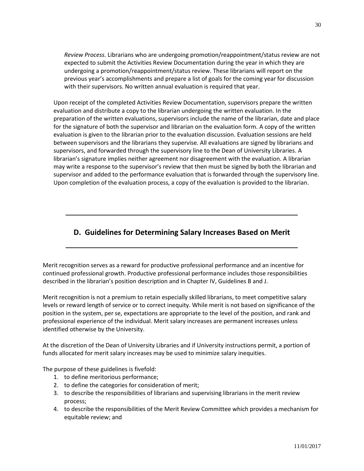*Review Process.* Librarians who are undergoing promotion/reappointment/status review are not expected to submit the Activities Review Documentation during the year in which they are undergoing a promotion/reappointment/status review. These librarians will report on the previous year's accomplishments and prepare a list of goals for the coming year for discussion with their supervisors. No written annual evaluation is required that year.

Upon receipt of the completed Activities Review Documentation, supervisors prepare the written evaluation and distribute a copy to the librarian undergoing the written evaluation. In the preparation of the written evaluations, supervisors include the name of the librarian, date and place for the signature of both the supervisor and librarian on the evaluation form. A copy of the written evaluation is given to the librarian prior to the evaluation discussion. Evaluation sessions are held between supervisors and the librarians they supervise. All evaluations are signed by librarians and supervisors, and forwarded through the supervisory line to the Dean of University Libraries. A librarian's signature implies neither agreement nor disagreement with the evaluation. A librarian may write a response to the supervisor's review that then must be signed by both the librarian and supervisor and added to the performance evaluation that is forwarded through the supervisory line. Upon completion of the evaluation process, a copy of the evaluation is provided to the librarian.

### **D. Guidelines for Determining Salary Increases Based on Merit**

Merit recognition serves as a reward for productive professional performance and an incentive for continued professional growth. Productive professional performance includes those responsibilities described in the librarian's position description and in Chapter IV, Guidelines B and J.

Merit recognition is not a premium to retain especially skilled librarians, to meet competitive salary levels or reward length of service or to correct inequity. While merit is not based on significance of the position in the system, per se, expectations are appropriate to the level of the position, and rank and professional experience of the individual. Merit salary increases are permanent increases unless identified otherwise by the University.

At the discretion of the Dean of University Libraries and if University instructions permit, a portion of funds allocated for merit salary increases may be used to minimize salary inequities.

The purpose of these guidelines is fivefold:

- 1. to define meritorious performance;
- 2. to define the categories for consideration of merit;
- 3. to describe the responsibilities of librarians and supervising librarians in the merit review process;
- 4. to describe the responsibilities of the Merit Review Committee which provides a mechanism for equitable review; and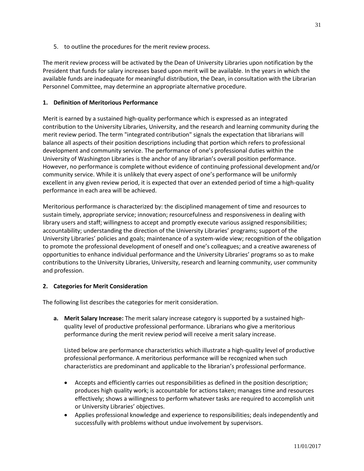5. to outline the procedures for the merit review process.

The merit review process will be activated by the Dean of University Libraries upon notification by the President that funds for salary increases based upon merit will be available. In the years in which the available funds are inadequate for meaningful distribution, the Dean, in consultation with the Librarian Personnel Committee, may determine an appropriate alternative procedure.

#### **1. Definition of Meritorious Performance**

Merit is earned by a sustained high-quality performance which is expressed as an integrated contribution to the University Libraries, University, and the research and learning community during the merit review period. The term "integrated contribution" signals the expectation that librarians will balance all aspects of their position descriptions including that portion which refers to professional development and community service. The performance of one's professional duties within the University of Washington Libraries is the anchor of any librarian's overall position performance. However, no performance is complete without evidence of continuing professional development and/or community service. While it is unlikely that every aspect of one's performance will be uniformly excellent in any given review period, it is expected that over an extended period of time a high-quality performance in each area will be achieved.

Meritorious performance is characterized by: the disciplined management of time and resources to sustain timely, appropriate service; innovation; resourcefulness and responsiveness in dealing with library users and staff; willingness to accept and promptly execute various assigned responsibilities; accountability; understanding the direction of the University Libraries' programs; support of the University Libraries' policies and goals; maintenance of a system-wide view; recognition of the obligation to promote the professional development of oneself and one's colleagues; and a creative awareness of opportunities to enhance individual performance and the University Libraries' programs so as to make contributions to the University Libraries, University, research and learning community, user community and profession.

#### **2. Categories for Merit Consideration**

The following list describes the categories for merit consideration.

**a. Merit Salary Increase:** The merit salary increase category is supported by a sustained highquality level of productive professional performance. Librarians who give a meritorious performance during the merit review period will receive a merit salary increase.

Listed below are performance characteristics which illustrate a high-quality level of productive professional performance. A meritorious performance will be recognized when such characteristics are predominant and applicable to the librarian's professional performance.

- Accepts and efficiently carries out responsibilities as defined in the position description; produces high quality work; is accountable for actions taken; manages time and resources effectively; shows a willingness to perform whatever tasks are required to accomplish unit or University Libraries' objectives.
- Applies professional knowledge and experience to responsibilities; deals independently and successfully with problems without undue involvement by supervisors.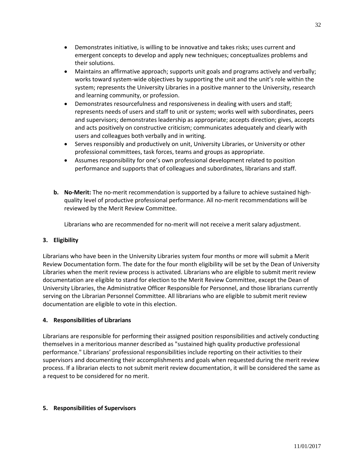- Demonstrates initiative, is willing to be innovative and takes risks; uses current and emergent concepts to develop and apply new techniques; conceptualizes problems and their solutions.
- Maintains an affirmative approach; supports unit goals and programs actively and verbally; works toward system-wide objectives by supporting the unit and the unit's role within the system; represents the University Libraries in a positive manner to the University, research and learning community, or profession.
- Demonstrates resourcefulness and responsiveness in dealing with users and staff; represents needs of users and staff to unit or system; works well with subordinates, peers and supervisors; demonstrates leadership as appropriate; accepts direction; gives, accepts and acts positively on constructive criticism; communicates adequately and clearly with users and colleagues both verbally and in writing.
- Serves responsibly and productively on unit, University Libraries, or University or other professional committees, task forces, teams and groups as appropriate.
- Assumes responsibility for one's own professional development related to position performance and supports that of colleagues and subordinates, librarians and staff.
- **b. No-Merit:** The no-merit recommendation is supported by a failure to achieve sustained highquality level of productive professional performance. All no-merit recommendations will be reviewed by the Merit Review Committee.

Librarians who are recommended for no-merit will not receive a merit salary adjustment.

#### **3. Eligibility**

Librarians who have been in the University Libraries system four months or more will submit a Merit Review Documentation form. The date for the four month eligibility will be set by the Dean of University Libraries when the merit review process is activated. Librarians who are eligible to submit merit review documentation are eligible to stand for election to the Merit Review Committee, except the Dean of University Libraries, the Administrative Officer Responsible for Personnel, and those librarians currently serving on the Librarian Personnel Committee. All librarians who are eligible to submit merit review documentation are eligible to vote in this election.

#### **4. Responsibilities of Librarians**

Librarians are responsible for performing their assigned position responsibilities and actively conducting themselves in a meritorious manner described as "sustained high quality productive professional performance." Librarians' professional responsibilities include reporting on their activities to their supervisors and documenting their accomplishments and goals when requested during the merit review process. If a librarian elects to not submit merit review documentation, it will be considered the same as a request to be considered for no merit.

#### **5. Responsibilities of Supervisors**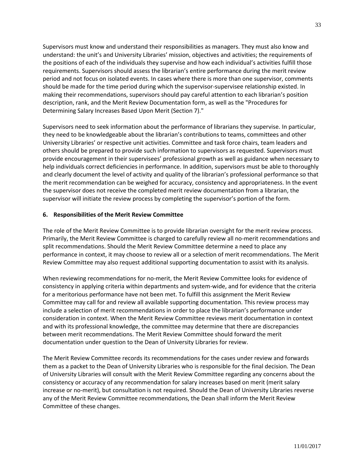Supervisors must know and understand their responsibilities as managers. They must also know and understand: the unit's and University Libraries' mission, objectives and activities; the requirements of the positions of each of the individuals they supervise and how each individual's activities fulfill those requirements. Supervisors should assess the librarian's entire performance during the merit review period and not focus on isolated events. In cases where there is more than one supervisor, comments should be made for the time period during which the supervisor-supervisee relationship existed. In making their recommendations, supervisors should pay careful attention to each librarian's position description, rank, and the Merit Review Documentation form, as well as the "Procedures for Determining Salary Increases Based Upon Merit (Section 7)."

Supervisors need to seek information about the performance of librarians they supervise. In particular, they need to be knowledgeable about the librarian's contributions to teams, committees and other University Libraries' or respective unit activities. Committee and task force chairs, team leaders and others should be prepared to provide such information to supervisors as requested. Supervisors must provide encouragement in their supervisees' professional growth as well as guidance when necessary to help individuals correct deficiencies in performance. In addition, supervisors must be able to thoroughly and clearly document the level of activity and quality of the librarian's professional performance so that the merit recommendation can be weighed for accuracy, consistency and appropriateness. In the event the supervisor does not receive the completed merit review documentation from a librarian, the supervisor will initiate the review process by completing the supervisor's portion of the form.

#### **6. Responsibilities of the Merit Review Committee**

The role of the Merit Review Committee is to provide librarian oversight for the merit review process. Primarily, the Merit Review Committee is charged to carefully review all no-merit recommendations and split recommendations. Should the Merit Review Committee determine a need to place any performance in context, it may choose to review all or a selection of merit recommendations. The Merit Review Committee may also request additional supporting documentation to assist with its analysis.

When reviewing recommendations for no-merit, the Merit Review Committee looks for evidence of consistency in applying criteria within departments and system-wide, and for evidence that the criteria for a meritorious performance have not been met. To fulfill this assignment the Merit Review Committee may call for and review all available supporting documentation. This review process may include a selection of merit recommendations in order to place the librarian's performance under consideration in context. When the Merit Review Committee reviews merit documentation in context and with its professional knowledge, the committee may determine that there are discrepancies between merit recommendations. The Merit Review Committee should forward the merit documentation under question to the Dean of University Libraries for review.

The Merit Review Committee records its recommendations for the cases under review and forwards them as a packet to the Dean of University Libraries who is responsible for the final decision. The Dean of University Libraries will consult with the Merit Review Committee regarding any concerns about the consistency or accuracy of any recommendation for salary increases based on merit (merit salary increase or no-merit), but consultation is not required. Should the Dean of University Libraries reverse any of the Merit Review Committee recommendations, the Dean shall inform the Merit Review Committee of these changes.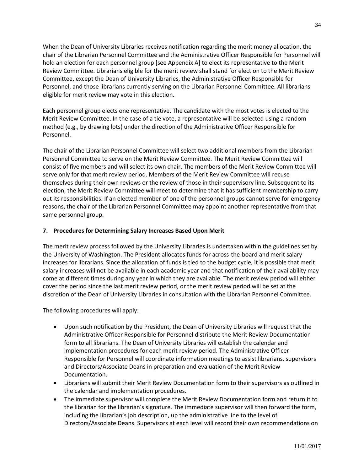When the Dean of University Libraries receives notification regarding the merit money allocation, the chair of the Librarian Personnel Committee and the Administrative Officer Responsible for Personnel will hold an election for each personnel group [see Appendix A] to elect its representative to the Merit Review Committee. Librarians eligible for the merit review shall stand for election to the Merit Review Committee, except the Dean of University Libraries, the Administrative Officer Responsible for Personnel, and those librarians currently serving on the Librarian Personnel Committee. All librarians eligible for merit review may vote in this election.

Each personnel group elects one representative. The candidate with the most votes is elected to the Merit Review Committee. In the case of a tie vote, a representative will be selected using a random method (e.g., by drawing lots) under the direction of the Administrative Officer Responsible for Personnel.

The chair of the Librarian Personnel Committee will select two additional members from the Librarian Personnel Committee to serve on the Merit Review Committee. The Merit Review Committee will consist of five members and will select its own chair. The members of the Merit Review Committee will serve only for that merit review period. Members of the Merit Review Committee will recuse themselves during their own reviews or the review of those in their supervisory line. Subsequent to its election, the Merit Review Committee will meet to determine that it has sufficient membership to carry out its responsibilities. If an elected member of one of the personnel groups cannot serve for emergency reasons, the chair of the Librarian Personnel Committee may appoint another representative from that same personnel group.

#### **7. Procedures for Determining Salary Increases Based Upon Merit**

The merit review process followed by the University Libraries is undertaken within the guidelines set by the University of Washington. The President allocates funds for across-the-board and merit salary increases for librarians. Since the allocation of funds is tied to the budget cycle, it is possible that merit salary increases will not be available in each academic year and that notification of their availability may come at different times during any year in which they are available. The merit review period will either cover the period since the last merit review period, or the merit review period will be set at the discretion of the Dean of University Libraries in consultation with the Librarian Personnel Committee.

The following procedures will apply:

- Upon such notification by the President, the Dean of University Libraries will request that the Administrative Officer Responsible for Personnel distribute the Merit Review Documentation form to all librarians. The Dean of University Libraries will establish the calendar and implementation procedures for each merit review period. The Administrative Officer Responsible for Personnel will coordinate information meetings to assist librarians, supervisors and Directors/Associate Deans in preparation and evaluation of the Merit Review Documentation.
- Librarians will submit their Merit Review Documentation form to their supervisors as outlined in the calendar and implementation procedures.
- The immediate supervisor will complete the Merit Review Documentation form and return it to the librarian for the librarian's signature. The immediate supervisor will then forward the form, including the librarian's job description, up the administrative line to the level of Directors/Associate Deans. Supervisors at each level will record their own recommendations on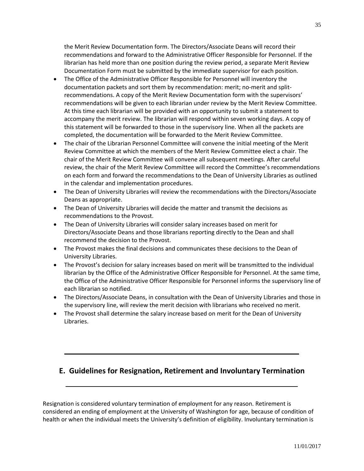the Merit Review Documentation form. The Directors/Associate Deans will record their recommendations and forward to the Administrative Officer Responsible for Personnel. If the librarian has held more than one position during the review period, a separate Merit Review Documentation Form must be submitted by the immediate supervisor for each position.

- The Office of the Administrative Officer Responsible for Personnel will inventory the documentation packets and sort them by recommendation: merit; no-merit and splitrecommendations. A copy of the Merit Review Documentation form with the supervisors' recommendations will be given to each librarian under review by the Merit Review Committee. At this time each librarian will be provided with an opportunity to submit a statement to accompany the merit review. The librarian will respond within seven working days. A copy of this statement will be forwarded to those in the supervisory line. When all the packets are completed, the documentation will be forwarded to the Merit Review Committee.
- The chair of the Librarian Personnel Committee will convene the initial meeting of the Merit Review Committee at which the members of the Merit Review Committee elect a chair. The chair of the Merit Review Committee will convene all subsequent meetings. After careful review, the chair of the Merit Review Committee will record the Committee's recommendations on each form and forward the recommendations to the Dean of University Libraries as outlined in the calendar and implementation procedures.
- The Dean of University Libraries will review the recommendations with the Directors/Associate Deans as appropriate.
- The Dean of University Libraries will decide the matter and transmit the decisions as recommendations to the Provost.
- The Dean of University Libraries will consider salary increases based on merit for Directors/Associate Deans and those librarians reporting directly to the Dean and shall recommend the decision to the Provost.
- The Provost makes the final decisions and communicates these decisions to the Dean of University Libraries.
- The Provost's decision for salary increases based on merit will be transmitted to the individual librarian by the Office of the Administrative Officer Responsible for Personnel. At the same time, the Office of the Administrative Officer Responsible for Personnel informs the supervisory line of each librarian so notified.
- The Directors/Associate Deans, in consultation with the Dean of University Libraries and those in the supervisory line, will review the merit decision with librarians who received no merit.
- The Provost shall determine the salary increase based on merit for the Dean of University Libraries.

### **E. Guidelines for Resignation, Retirement and Involuntary Termination**

Resignation is considered voluntary termination of employment for any reason. Retirement is considered an ending of employment at the University of Washington for age, because of condition of health or when the individual meets the University's definition of eligibility. Involuntary termination is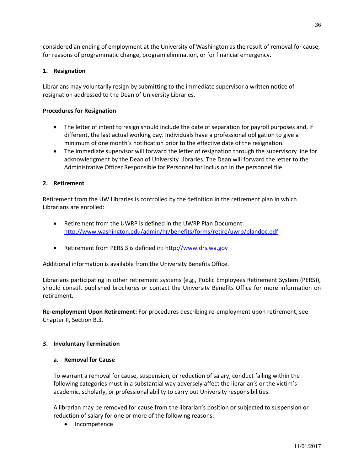considered an ending of employment at the University of Washington as the result of removal for cause, for reasons of programmatic change, program elimination, or for financial emergency.

#### **1. Resignation**

Librarians may voluntarily resign by submitting to the immediate supervisor a written notice of resignation addressed to the Dean of University Libraries.

#### **Procedures for Resignation**

- The letter of intent to resign should include the date of separation for payroll purposes and, if different, the last actual working day. Individuals have a professional obligation to give a minimum of one month's notification prior to the effective date of the resignation.
- The immediate supervisor will forward the letter of resignation through the supervisory line for acknowledgment by the Dean of University Libraries. The Dean will forward the letter to the Administrative Officer Responsible for Personnel for inclusion in the personnel file.

#### **2. Retirement**

Retirement from the UW Libraries is controlled by the definition in the retirement plan in which Librarians are enrolled:

- Retirement from the UWRP is defined in the UWRP Plan Document: <http://www.washington.edu/admin/hr/benefits/forms/retire/uwrp/plandoc.pdf>
- Retirement from PERS 3 is defined in: [http://www.drs.wa.gov](http://www.drs.wa.gov/)

Additional information is available from the University Benefits Office.

Librarians participating in other retirement systems (e.g., Public Employees Retirement System (PERS)), should consult published brochures or contact the University Benefits Office for more information on retirement.

**Re-employment Upon Retirement:** For procedures describing re-employment upon retirement, see Chapter II, Section B.3.

#### **3. Involuntary Termination**

#### **a. Removal for Cause**

To warrant a removal for cause, suspension, or reduction of salary, conduct falling within the following categories must in a substantial way adversely affect the librarian's or the victim's academic, scholarly, or professional ability to carry out University responsibilities.

A librarian may be removed for cause from the librarian's position or subjected to suspension or reduction of salary for one or more of the following reasons:

• Incompetence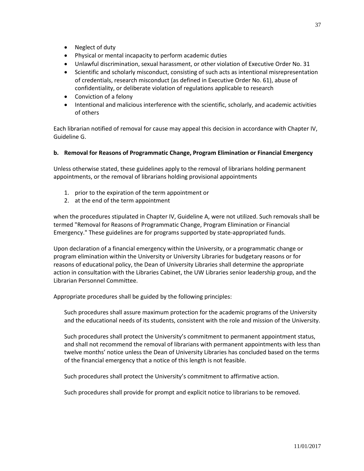- Neglect of duty
- Physical or mental incapacity to perform academic duties
- Unlawful discrimination, sexual harassment, or other violation of Executive Order No. 31
- Scientific and scholarly misconduct, consisting of such acts as intentional misrepresentation of credentials, research misconduct (as defined in Executive Order No. 61), abuse of confidentiality, or deliberate violation of regulations applicable to research
- Conviction of a felony
- Intentional and malicious interference with the scientific, scholarly, and academic activities of others

Each librarian notified of removal for cause may appeal this decision in accordance with Chapter IV, Guideline G.

# **b. Removal for Reasons of Programmatic Change, Program Elimination or Financial Emergency**

Unless otherwise stated, these guidelines apply to the removal of librarians holding permanent appointments, or the removal of librarians holding provisional appointments

- 1. prior to the expiration of the term appointment or
- 2. at the end of the term appointment

when the procedures stipulated in Chapter IV, Guideline A, were not utilized. Such removals shall be termed "Removal for Reasons of Programmatic Change, Program Elimination or Financial Emergency." These guidelines are for programs supported by state-appropriated funds.

Upon declaration of a financial emergency within the University, or a programmatic change or program elimination within the University or University Libraries for budgetary reasons or for reasons of educational policy, the Dean of University Libraries shall determine the appropriate action in consultation with the Libraries Cabinet, the UW Libraries senior leadership group, and the Librarian Personnel Committee.

Appropriate procedures shall be guided by the following principles:

Such procedures shall assure maximum protection for the academic programs of the University and the educational needs of its students, consistent with the role and mission of the University.

Such procedures shall protect the University's commitment to permanent appointment status, and shall not recommend the removal of librarians with permanent appointments with less than twelve months' notice unless the Dean of University Libraries has concluded based on the terms of the financial emergency that a notice of this length is not feasible.

Such procedures shall protect the University's commitment to affirmative action.

Such procedures shall provide for prompt and explicit notice to librarians to be removed.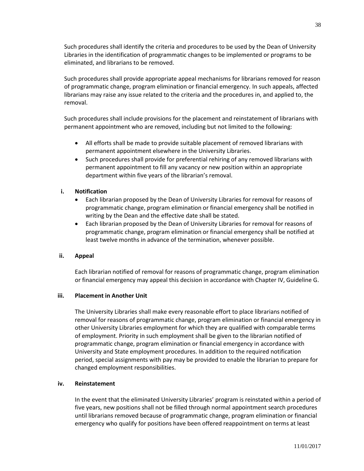Such procedures shall identify the criteria and procedures to be used by the Dean of University Libraries in the identification of programmatic changes to be implemented or programs to be eliminated, and librarians to be removed.

Such procedures shall provide appropriate appeal mechanisms for librarians removed for reason of programmatic change, program elimination or financial emergency. In such appeals, affected librarians may raise any issue related to the criteria and the procedures in, and applied to, the removal.

Such procedures shall include provisions for the placement and reinstatement of librarians with permanent appointment who are removed, including but not limited to the following:

- All efforts shall be made to provide suitable placement of removed librarians with permanent appointment elsewhere in the University Libraries.
- Such procedures shall provide for preferential rehiring of any removed librarians with permanent appointment to fill any vacancy or new position within an appropriate department within five years of the librarian's removal.

## **i. Notification**

- Each librarian proposed by the Dean of University Libraries for removal for reasons of programmatic change, program elimination or financial emergency shall be notified in writing by the Dean and the effective date shall be stated.
- Each librarian proposed by the Dean of University Libraries for removal for reasons of programmatic change, program elimination or financial emergency shall be notified at least twelve months in advance of the termination, whenever possible.

### **ii. Appeal**

Each librarian notified of removal for reasons of programmatic change, program elimination or financial emergency may appeal this decision in accordance with Chapter IV, Guideline G.

### **iii. Placement in Another Unit**

The University Libraries shall make every reasonable effort to place librarians notified of removal for reasons of programmatic change, program elimination or financial emergency in other University Libraries employment for which they are qualified with comparable terms of employment. Priority in such employment shall be given to the librarian notified of programmatic change, program elimination or financial emergency in accordance with University and State employment procedures. In addition to the required notification period, special assignments with pay may be provided to enable the librarian to prepare for changed employment responsibilities.

### **iv. Reinstatement**

In the event that the eliminated University Libraries' program is reinstated within a period of five years, new positions shall not be filled through normal appointment search procedures until librarians removed because of programmatic change, program elimination or financial emergency who qualify for positions have been offered reappointment on terms at least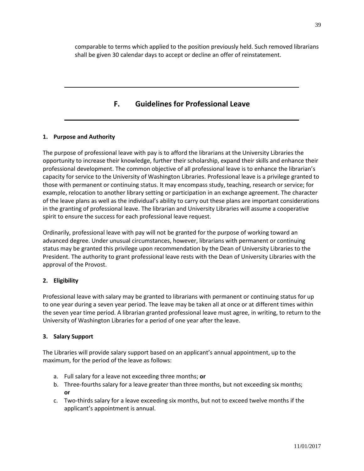comparable to terms which applied to the position previously held. Such removed librarians shall be given 30 calendar days to accept or decline an offer of reinstatement.

# **F. Guidelines for Professional Leave**

# **1. Purpose and Authority**

The purpose of professional leave with pay is to afford the librarians at the University Libraries the opportunity to increase their knowledge, further their scholarship, expand their skills and enhance their professional development. The common objective of all professional leave is to enhance the librarian's capacity for service to the University of Washington Libraries. Professional leave is a privilege granted to those with permanent or continuing status. It may encompass study, teaching, research or service; for example, relocation to another library setting or participation in an exchange agreement. The character of the leave plans as well as the individual's ability to carry out these plans are important considerations in the granting of professional leave. The librarian and University Libraries will assume a cooperative spirit to ensure the success for each professional leave request.

Ordinarily, professional leave with pay will not be granted for the purpose of working toward an advanced degree. Under unusual circumstances, however, librarians with permanent or continuing status may be granted this privilege upon recommendation by the Dean of University Libraries to the President. The authority to grant professional leave rests with the Dean of University Libraries with the approval of the Provost.

## **2. Eligibility**

Professional leave with salary may be granted to librarians with permanent or continuing status for up to one year during a seven year period. The leave may be taken all at once or at different times within the seven year time period. A librarian granted professional leave must agree, in writing, to return to the University of Washington Libraries for a period of one year after the leave.

## **3. Salary Support**

The Libraries will provide salary support based on an applicant's annual appointment, up to the maximum, for the period of the leave as follows:

- a. Full salary for a leave not exceeding three months; **or**
- b. Three-fourths salary for a leave greater than three months, but not exceeding six months; **or**
- c. Two-thirds salary for a leave exceeding six months, but not to exceed twelve months if the applicant's appointment is annual.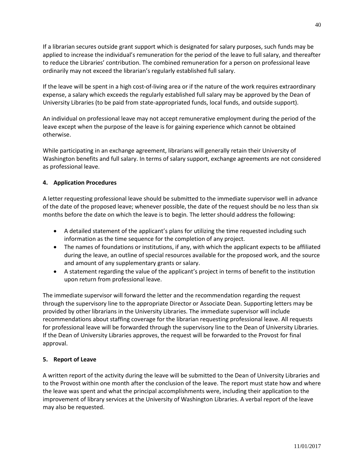If a librarian secures outside grant support which is designated for salary purposes, such funds may be applied to increase the individual's remuneration for the period of the leave to full salary, and thereafter to reduce the Libraries' contribution. The combined remuneration for a person on professional leave ordinarily may not exceed the librarian's regularly established full salary.

If the leave will be spent in a high cost-of-living area or if the nature of the work requires extraordinary expense, a salary which exceeds the regularly established full salary may be approved by the Dean of University Libraries (to be paid from state-appropriated funds, local funds, and outside support).

An individual on professional leave may not accept remunerative employment during the period of the leave except when the purpose of the leave is for gaining experience which cannot be obtained otherwise.

While participating in an exchange agreement, librarians will generally retain their University of Washington benefits and full salary. In terms of salary support, exchange agreements are not considered as professional leave.

## **4. Application Procedures**

A letter requesting professional leave should be submitted to the immediate supervisor well in advance of the date of the proposed leave; whenever possible, the date of the request should be no less than six months before the date on which the leave is to begin. The letter should address the following:

- A detailed statement of the applicant's plans for utilizing the time requested including such information as the time sequence for the completion of any project.
- The names of foundations or institutions, if any, with which the applicant expects to be affiliated during the leave, an outline of special resources available for the proposed work, and the source and amount of any supplementary grants or salary.
- A statement regarding the value of the applicant's project in terms of benefit to the institution upon return from professional leave.

The immediate supervisor will forward the letter and the recommendation regarding the request through the supervisory line to the appropriate Director or Associate Dean. Supporting letters may be provided by other librarians in the University Libraries. The immediate supervisor will include recommendations about staffing coverage for the librarian requesting professional leave. All requests for professional leave will be forwarded through the supervisory line to the Dean of University Libraries. If the Dean of University Libraries approves, the request will be forwarded to the Provost for final approval.

## **5. Report of Leave**

A written report of the activity during the leave will be submitted to the Dean of University Libraries and to the Provost within one month after the conclusion of the leave. The report must state how and where the leave was spent and what the principal accomplishments were, including their application to the improvement of library services at the University of Washington Libraries. A verbal report of the leave may also be requested.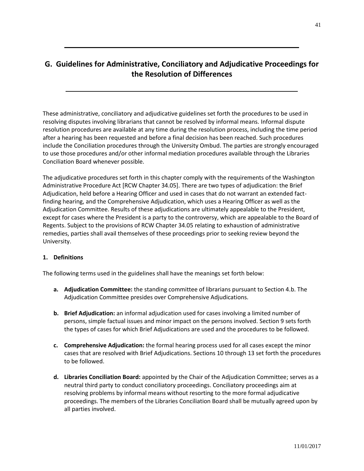# **G. Guidelines for Administrative, Conciliatory and Adjudicative Proceedings for the Resolution of Differences**

These administrative, conciliatory and adjudicative guidelines set forth the procedures to be used in resolving disputes involving librarians that cannot be resolved by informal means. Informal dispute resolution procedures are available at any time during the resolution process, including the time period after a hearing has been requested and before a final decision has been reached. Such procedures include the Conciliation procedures through the University Ombud. The parties are strongly encouraged to use those procedures and/or other informal mediation procedures available through the Libraries Conciliation Board whenever possible.

The adjudicative procedures set forth in this chapter comply with the requirements of the Washington Administrative Procedure Act [RCW Chapter 34.05]. There are two types of adjudication: the Brief Adjudication, held before a Hearing Officer and used in cases that do not warrant an extended factfinding hearing, and the Comprehensive Adjudication, which uses a Hearing Officer as well as the Adjudication Committee. Results of these adjudications are ultimately appealable to the President, except for cases where the President is a party to the controversy, which are appealable to the Board of Regents. Subject to the provisions of RCW Chapter 34.05 relating to exhaustion of administrative remedies, parties shall avail themselves of these proceedings prior to seeking review beyond the University.

### **1. Definitions**

The following terms used in the guidelines shall have the meanings set forth below:

- **a. Adjudication Committee:** the standing committee of librarians pursuant to Section 4.b. The Adjudication Committee presides over Comprehensive Adjudications.
- **b. Brief Adjudication:** an informal adjudication used for cases involving a limited number of persons, simple factual issues and minor impact on the persons involved. Section 9 sets forth the types of cases for which Brief Adjudications are used and the procedures to be followed.
- **c. Comprehensive Adjudication:** the formal hearing process used for all cases except the minor cases that are resolved with Brief Adjudications. Sections 10 through 13 set forth the procedures to be followed.
- **d. Libraries Conciliation Board:** appointed by the Chair of the Adjudication Committee; serves as a neutral third party to conduct conciliatory proceedings. Conciliatory proceedings aim at resolving problems by informal means without resorting to the more formal adjudicative proceedings. The members of the Libraries Conciliation Board shall be mutually agreed upon by all parties involved.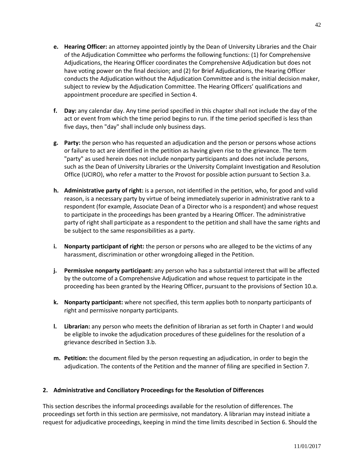- **e. Hearing Officer:** an attorney appointed jointly by the Dean of University Libraries and the Chair of the Adjudication Committee who performs the following functions: (1) for Comprehensive Adjudications, the Hearing Officer coordinates the Comprehensive Adjudication but does not have voting power on the final decision; and (2) for Brief Adjudications, the Hearing Officer conducts the Adjudication without the Adjudication Committee and is the initial decision maker, subject to review by the Adjudication Committee. The Hearing Officers' qualifications and appointment procedure are specified in Section 4.
- **f. Day:** any calendar day. Any time period specified in this chapter shall not include the day of the act or event from which the time period begins to run. If the time period specified is less than five days, then "day" shall include only business days.
- **g. Party:** the person who has requested an adjudication and the person or persons whose actions or failure to act are identified in the petition as having given rise to the grievance. The term "party" as used herein does not include nonparty participants and does not include persons, such as the Dean of University Libraries or the University Complaint Investigation and Resolution Office (UCIRO), who refer a matter to the Provost for possible action pursuant to Section 3.a.
- **h. Administrative party of right:** is a person, not identified in the petition, who, for good and valid reason, is a necessary party by virtue of being immediately superior in administrative rank to a respondent (for example, Associate Dean of a Director who is a respondent) and whose request to participate in the proceedings has been granted by a Hearing Officer. The administrative party of right shall participate as a respondent to the petition and shall have the same rights and be subject to the same responsibilities as a party.
- **i. Nonparty participant of right:** the person or persons who are alleged to be the victims of any harassment, discrimination or other wrongdoing alleged in the Petition.
- **j. Permissive nonparty participant:** any person who has a substantial interest that will be affected by the outcome of a Comprehensive Adjudication and whose request to participate in the proceeding has been granted by the Hearing Officer, pursuant to the provisions of Section 10.a.
- **k. Nonparty participant:** where not specified, this term applies both to nonparty participants of right and permissive nonparty participants.
- **l. Librarian:** any person who meets the definition of librarian as set forth in Chapter I and would be eligible to invoke the adjudication procedures of these guidelines for the resolution of a grievance described in Section 3.b.
- **m. Petition:** the document filed by the person requesting an adjudication, in order to begin the adjudication. The contents of the Petition and the manner of filing are specified in Section 7.

## **2. Administrative and Conciliatory Proceedings for the Resolution of Differences**

This section describes the informal proceedings available for the resolution of differences. The proceedings set forth in this section are permissive, not mandatory. A librarian may instead initiate a request for adjudicative proceedings, keeping in mind the time limits described in Section 6. Should the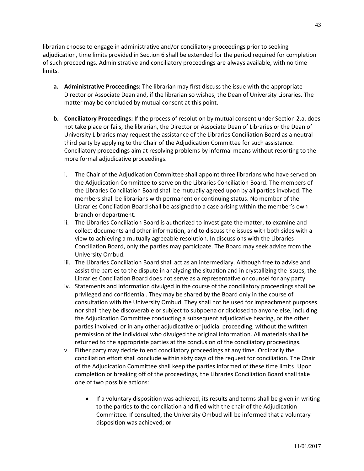librarian choose to engage in administrative and/or conciliatory proceedings prior to seeking adjudication, time limits provided in Section 6 shall be extended for the period required for completion of such proceedings. Administrative and conciliatory proceedings are always available, with no time limits.

- **a. Administrative Proceedings:** The librarian may first discuss the issue with the appropriate Director or Associate Dean and, if the librarian so wishes, the Dean of University Libraries. The matter may be concluded by mutual consent at this point.
- **b. Conciliatory Proceedings:** If the process of resolution by mutual consent under Section 2.a. does not take place or fails, the librarian, the Director or Associate Dean of Libraries or the Dean of University Libraries may request the assistance of the Libraries Conciliation Board as a neutral third party by applying to the Chair of the Adjudication Committee for such assistance. Conciliatory proceedings aim at resolving problems by informal means without resorting to the more formal adjudicative proceedings.
	- i. The Chair of the Adjudication Committee shall appoint three librarians who have served on the Adjudication Committee to serve on the Libraries Conciliation Board. The members of the Libraries Conciliation Board shall be mutually agreed upon by all parties involved. The members shall be librarians with permanent or continuing status. No member of the Libraries Conciliation Board shall be assigned to a case arising within the member's own branch or department.
	- ii. The Libraries Conciliation Board is authorized to investigate the matter, to examine and collect documents and other information, and to discuss the issues with both sides with a view to achieving a mutually agreeable resolution. In discussions with the Libraries Conciliation Board, only the parties may participate. The Board may seek advice from the University Ombud.
	- iii. The Libraries Conciliation Board shall act as an intermediary. Although free to advise and assist the parties to the dispute in analyzing the situation and in crystallizing the issues, the Libraries Conciliation Board does not serve as a representative or counsel for any party.
	- iv. Statements and information divulged in the course of the conciliatory proceedings shall be privileged and confidential. They may be shared by the Board only in the course of consultation with the University Ombud. They shall not be used for impeachment purposes nor shall they be discoverable or subject to subpoena or disclosed to anyone else, including the Adjudication Committee conducting a subsequent adjudicative hearing, or the other parties involved, or in any other adjudicative or judicial proceeding, without the written permission of the individual who divulged the original information. All materials shall be returned to the appropriate parties at the conclusion of the conciliatory proceedings.
	- v. Either party may decide to end conciliatory proceedings at any time. Ordinarily the conciliation effort shall conclude within sixty days of the request for conciliation. The Chair of the Adjudication Committee shall keep the parties informed of these time limits. Upon completion or breaking off of the proceedings, the Libraries Conciliation Board shall take one of two possible actions:
		- If a voluntary disposition was achieved, its results and terms shall be given in writing to the parties to the conciliation and filed with the chair of the Adjudication Committee. If consulted, the University Ombud will be informed that a voluntary disposition was achieved; **or**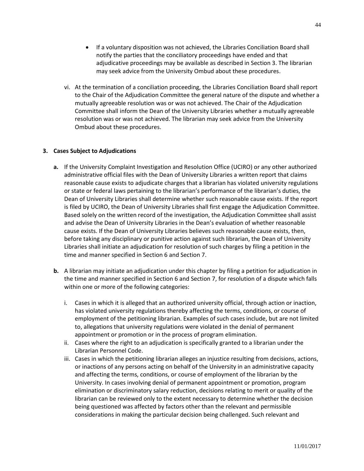- If a voluntary disposition was not achieved, the Libraries Conciliation Board shall notify the parties that the conciliatory proceedings have ended and that adjudicative proceedings may be available as described in Section 3. The librarian may seek advice from the University Ombud about these procedures.
- vi. At the termination of a conciliation proceeding, the Libraries Conciliation Board shall report to the Chair of the Adjudication Committee the general nature of the dispute and whether a mutually agreeable resolution was or was not achieved. The Chair of the Adjudication Committee shall inform the Dean of the University Libraries whether a mutually agreeable resolution was or was not achieved. The librarian may seek advice from the University Ombud about these procedures.

## **3. Cases Subject to Adjudications**

- **a.** If the University Complaint Investigation and Resolution Office (UCIRO) or any other authorized administrative official files with the Dean of University Libraries a written report that claims reasonable cause exists to adjudicate charges that a librarian has violated university regulations or state or federal laws pertaining to the librarian's performance of the librarian's duties, the Dean of University Libraries shall determine whether such reasonable cause exists. If the report is filed by UCIRO, the Dean of University Libraries shall first engage the Adjudication Committee. Based solely on the written record of the investigation, the Adjudication Committee shall assist and advise the Dean of University Libraries in the Dean's evaluation of whether reasonable cause exists. If the Dean of University Libraries believes such reasonable cause exists, then, before taking any disciplinary or punitive action against such librarian, the Dean of University Libraries shall initiate an adjudication for resolution of such charges by filing a petition in the time and manner specified in Section 6 and Section 7.
- **b.** A librarian may initiate an adjudication under this chapter by filing a petition for adjudication in the time and manner specified in Section 6 and Section 7, for resolution of a dispute which falls within one or more of the following categories:
	- i. Cases in which it is alleged that an authorized university official, through action or inaction, has violated university regulations thereby affecting the terms, conditions, or course of employment of the petitioning librarian. Examples of such cases include, but are not limited to, allegations that university regulations were violated in the denial of permanent appointment or promotion or in the process of program elimination.
	- ii. Cases where the right to an adjudication is specifically granted to a librarian under the Librarian Personnel Code.
	- iii. Cases in which the petitioning librarian alleges an injustice resulting from decisions, actions, or inactions of any persons acting on behalf of the University in an administrative capacity and affecting the terms, conditions, or course of employment of the librarian by the University. In cases involving denial of permanent appointment or promotion, program elimination or discriminatory salary reduction, decisions relating to merit or quality of the librarian can be reviewed only to the extent necessary to determine whether the decision being questioned was affected by factors other than the relevant and permissible considerations in making the particular decision being challenged. Such relevant and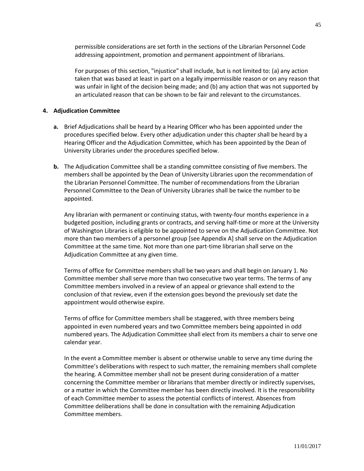permissible considerations are set forth in the sections of the Librarian Personnel Code addressing appointment, promotion and permanent appointment of librarians.

For purposes of this section, "injustice" shall include, but is not limited to: (a) any action taken that was based at least in part on a legally impermissible reason or on any reason that was unfair in light of the decision being made; and (b) any action that was not supported by an articulated reason that can be shown to be fair and relevant to the circumstances.

#### **4. Adjudication Committee**

- **a.** Brief Adjudications shall be heard by a Hearing Officer who has been appointed under the procedures specified below. Every other adjudication under this chapter shall be heard by a Hearing Officer and the Adjudication Committee, which has been appointed by the Dean of University Libraries under the procedures specified below.
- **b.** The Adjudication Committee shall be a standing committee consisting of five members. The members shall be appointed by the Dean of University Libraries upon the recommendation of the Librarian Personnel Committee. The number of recommendations from the Librarian Personnel Committee to the Dean of University Libraries shall be twice the number to be appointed.

Any librarian with permanent or continuing status, with twenty-four months experience in a budgeted position, including grants or contracts, and serving half-time or more at the University of Washington Libraries is eligible to be appointed to serve on the Adjudication Committee. Not more than two members of a personnel group [see Appendix A] shall serve on the Adjudication Committee at the same time. Not more than one part-time librarian shall serve on the Adjudication Committee at any given time.

Terms of office for Committee members shall be two years and shall begin on January 1. No Committee member shall serve more than two consecutive two year terms. The terms of any Committee members involved in a review of an appeal or grievance shall extend to the conclusion of that review, even if the extension goes beyond the previously set date the appointment would otherwise expire.

Terms of office for Committee members shall be staggered, with three members being appointed in even numbered years and two Committee members being appointed in odd numbered years. The Adjudication Committee shall elect from its members a chair to serve one calendar year.

In the event a Committee member is absent or otherwise unable to serve any time during the Committee's deliberations with respect to such matter, the remaining members shall complete the hearing. A Committee member shall not be present during consideration of a matter concerning the Committee member or librarians that member directly or indirectly supervises, or a matter in which the Committee member has been directly involved. It is the responsibility of each Committee member to assess the potential conflicts of interest. Absences from Committee deliberations shall be done in consultation with the remaining Adjudication Committee members.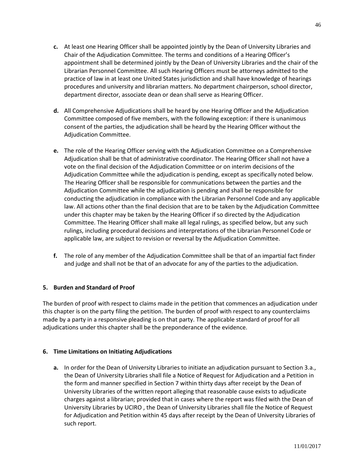- **c.** At least one Hearing Officer shall be appointed jointly by the Dean of University Libraries and Chair of the Adjudication Committee. The terms and conditions of a Hearing Officer's appointment shall be determined jointly by the Dean of University Libraries and the chair of the Librarian Personnel Committee. All such Hearing Officers must be attorneys admitted to the practice of law in at least one United States jurisdiction and shall have knowledge of hearings procedures and university and librarian matters. No department chairperson, school director, department director, associate dean or dean shall serve as Hearing Officer.
- **d.** All Comprehensive Adjudications shall be heard by one Hearing Officer and the Adjudication Committee composed of five members, with the following exception: if there is unanimous consent of the parties, the adjudication shall be heard by the Hearing Officer without the Adjudication Committee.
- **e.** The role of the Hearing Officer serving with the Adjudication Committee on a Comprehensive Adjudication shall be that of administrative coordinator. The Hearing Officer shall not have a vote on the final decision of the Adjudication Committee or on interim decisions of the Adjudication Committee while the adjudication is pending, except as specifically noted below. The Hearing Officer shall be responsible for communications between the parties and the Adjudication Committee while the adjudication is pending and shall be responsible for conducting the adjudication in compliance with the Librarian Personnel Code and any applicable law. All actions other than the final decision that are to be taken by the Adjudication Committee under this chapter may be taken by the Hearing Officer if so directed by the Adjudication Committee. The Hearing Officer shall make all legal rulings, as specified below, but any such rulings, including procedural decisions and interpretations of the Librarian Personnel Code or applicable law, are subject to revision or reversal by the Adjudication Committee.
- **f.** The role of any member of the Adjudication Committee shall be that of an impartial fact finder and judge and shall not be that of an advocate for any of the parties to the adjudication.

## **5. Burden and Standard of Proof**

The burden of proof with respect to claims made in the petition that commences an adjudication under this chapter is on the party filing the petition. The burden of proof with respect to any counterclaims made by a party in a responsive pleading is on that party. The applicable standard of proof for all adjudications under this chapter shall be the preponderance of the evidence.

## **6. Time Limitations on Initiating Adjudications**

**a.** In order for the Dean of University Libraries to initiate an adjudication pursuant to Section 3.a., the Dean of University Libraries shall file a Notice of Request for Adjudication and a Petition in the form and manner specified in Section 7 within thirty days after receipt by the Dean of University Libraries of the written report alleging that reasonable cause exists to adjudicate charges against a librarian; provided that in cases where the report was filed with the Dean of University Libraries by UCIRO , the Dean of University Libraries shall file the Notice of Request for Adjudication and Petition within 45 days after receipt by the Dean of University Libraries of such report.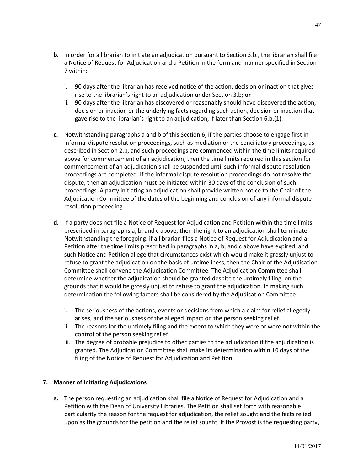- **b.** In order for a librarian to initiate an adjudication pursuant to Section 3.b., the librarian shall file a Notice of Request for Adjudication and a Petition in the form and manner specified in Section 7 within:
	- i. 90 days after the librarian has received notice of the action, decision or inaction that gives rise to the librarian's right to an adjudication under Section 3.b; **or**
	- ii. 90 days after the librarian has discovered or reasonably should have discovered the action, decision or inaction or the underlying facts regarding such action, decision or inaction that gave rise to the librarian's right to an adjudication, if later than Section 6.b.(1).
- **c.** Notwithstanding paragraphs a and b of this Section 6, if the parties choose to engage first in informal dispute resolution proceedings, such as mediation or the conciliatory proceedings, as described in Section 2.b, and such proceedings are commenced within the time limits required above for commencement of an adjudication, then the time limits required in this section for commencement of an adjudication shall be suspended until such informal dispute resolution proceedings are completed. If the informal dispute resolution proceedings do not resolve the dispute, then an adjudication must be initiated within 30 days of the conclusion of such proceedings. A party initiating an adjudication shall provide written notice to the Chair of the Adjudication Committee of the dates of the beginning and conclusion of any informal dispute resolution proceeding.
- **d.** If a party does not file a Notice of Request for Adjudication and Petition within the time limits prescribed in paragraphs a, b, and c above, then the right to an adjudication shall terminate. Notwithstanding the foregoing, if a librarian files a Notice of Request for Adjudication and a Petition after the time limits prescribed in paragraphs in a, b, and c above have expired, and such Notice and Petition allege that circumstances exist which would make it grossly unjust to refuse to grant the adjudication on the basis of untimeliness, then the Chair of the Adjudication Committee shall convene the Adjudication Committee. The Adjudication Committee shall determine whether the adjudication should be granted despite the untimely filing, on the grounds that it would be grossly unjust to refuse to grant the adjudication. In making such determination the following factors shall be considered by the Adjudication Committee:
	- i. The seriousness of the actions, events or decisions from which a claim for relief allegedly arises, and the seriousness of the alleged impact on the person seeking relief.
	- ii. The reasons for the untimely filing and the extent to which they were or were not within the control of the person seeking relief.
	- iii. The degree of probable prejudice to other parties to the adjudication if the adjudication is granted. The Adjudication Committee shall make its determination within 10 days of the filing of the Notice of Request for Adjudication and Petition.

## **7. Manner of Initiating Adjudications**

**a.** The person requesting an adjudication shall file a Notice of Request for Adjudication and a Petition with the Dean of University Libraries. The Petition shall set forth with reasonable particularity the reason for the request for adjudication, the relief sought and the facts relied upon as the grounds for the petition and the relief sought. If the Provost is the requesting party,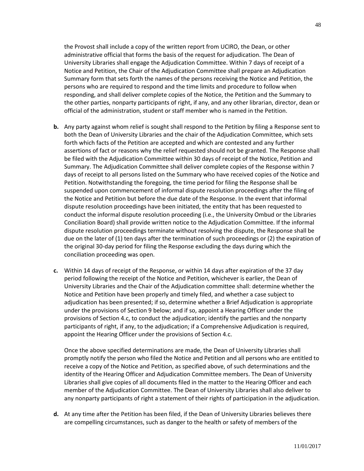the Provost shall include a copy of the written report from UCIRO, the Dean, or other administrative official that forms the basis of the request for adjudication. The Dean of University Libraries shall engage the Adjudication Committee. Within 7 days of receipt of a Notice and Petition, the Chair of the Adjudication Committee shall prepare an Adjudication Summary form that sets forth the names of the persons receiving the Notice and Petition, the persons who are required to respond and the time limits and procedure to follow when responding, and shall deliver complete copies of the Notice, the Petition and the Summary to the other parties, nonparty participants of right, if any, and any other librarian, director, dean or official of the administration, student or staff member who is named in the Petition.

- **b.** Any party against whom relief is sought shall respond to the Petition by filing a Response sent to both the Dean of University Libraries and the chair of the Adjudication Committee, which sets forth which facts of the Petition are accepted and which are contested and any further assertions of fact or reasons why the relief requested should not be granted. The Response shall be filed with the Adjudication Committee within 30 days of receipt of the Notice, Petition and Summary. The Adjudication Committee shall deliver complete copies of the Response within 7 days of receipt to all persons listed on the Summary who have received copies of the Notice and Petition. Notwithstanding the foregoing, the time period for filing the Response shall be suspended upon commencement of informal dispute resolution proceedings after the filing of the Notice and Petition but before the due date of the Response. In the event that informal dispute resolution proceedings have been initiated, the entity that has been requested to conduct the informal dispute resolution proceeding (i.e., the University Ombud or the Libraries Conciliation Board) shall provide written notice to the Adjudication Committee. If the informal dispute resolution proceedings terminate without resolving the dispute, the Response shall be due on the later of (1) ten days after the termination of such proceedings or (2) the expiration of the original 30-day period for filing the Response excluding the days during which the conciliation proceeding was open.
- **c.** Within 14 days of receipt of the Response, or within 14 days after expiration of the 37 day period following the receipt of the Notice and Petition, whichever is earlier, the Dean of University Libraries and the Chair of the Adjudication committee shall: determine whether the Notice and Petition have been properly and timely filed, and whether a case subject to adjudication has been presented; if so, determine whether a Brief Adjudication is appropriate under the provisions of Section 9 below; and if so, appoint a Hearing Officer under the provisions of Section 4.c, to conduct the adjudication; identify the parties and the nonparty participants of right, if any, to the adjudication; if a Comprehensive Adjudication is required, appoint the Hearing Officer under the provisions of Section 4.c.

Once the above specified determinations are made, the Dean of University Libraries shall promptly notify the person who filed the Notice and Petition and all persons who are entitled to receive a copy of the Notice and Petition, as specified above, of such determinations and the identity of the Hearing Officer and Adjudication Committee members. The Dean of University Libraries shall give copies of all documents filed in the matter to the Hearing Officer and each member of the Adjudication Committee. The Dean of University Libraries shall also deliver to any nonparty participants of right a statement of their rights of participation in the adjudication.

**d.** At any time after the Petition has been filed, if the Dean of University Libraries believes there are compelling circumstances, such as danger to the health or safety of members of the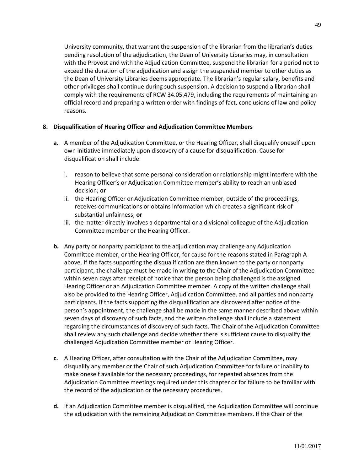University community, that warrant the suspension of the librarian from the librarian's duties pending resolution of the adjudication, the Dean of University Libraries may, in consultation with the Provost and with the Adjudication Committee, suspend the librarian for a period not to exceed the duration of the adjudication and assign the suspended member to other duties as the Dean of University Libraries deems appropriate. The librarian's regular salary, benefits and other privileges shall continue during such suspension. A decision to suspend a librarian shall comply with the requirements of RCW 34.05.479, including the requirements of maintaining an official record and preparing a written order with findings of fact, conclusions of law and policy reasons.

# **8. Disqualification of Hearing Officer and Adjudication Committee Members**

- **a.** A member of the Adjudication Committee, or the Hearing Officer, shall disqualify oneself upon own initiative immediately upon discovery of a cause for disqualification. Cause for disqualification shall include:
	- i. reason to believe that some personal consideration or relationship might interfere with the Hearing Officer's or Adjudication Committee member's ability to reach an unbiased decision; **or**
	- ii. the Hearing Officer or Adjudication Committee member, outside of the proceedings, receives communications or obtains information which creates a significant risk of substantial unfairness; **or**
	- iii. the matter directly involves a departmental or a divisional colleague of the Adjudication Committee member or the Hearing Officer.
- **b.** Any party or nonparty participant to the adjudication may challenge any Adjudication Committee member, or the Hearing Officer, for cause for the reasons stated in Paragraph A above. If the facts supporting the disqualification are then known to the party or nonparty participant, the challenge must be made in writing to the Chair of the Adjudication Committee within seven days after receipt of notice that the person being challenged is the assigned Hearing Officer or an Adjudication Committee member. A copy of the written challenge shall also be provided to the Hearing Officer, Adjudication Committee, and all parties and nonparty participants. If the facts supporting the disqualification are discovered after notice of the person's appointment, the challenge shall be made in the same manner described above within seven days of discovery of such facts, and the written challenge shall include a statement regarding the circumstances of discovery of such facts. The Chair of the Adjudication Committee shall review any such challenge and decide whether there is sufficient cause to disqualify the challenged Adjudication Committee member or Hearing Officer.
- **c.** A Hearing Officer, after consultation with the Chair of the Adjudication Committee, may disqualify any member or the Chair of such Adjudication Committee for failure or inability to make oneself available for the necessary proceedings, for repeated absences from the Adjudication Committee meetings required under this chapter or for failure to be familiar with the record of the adjudication or the necessary procedures.
- **d.** If an Adjudication Committee member is disqualified, the Adjudication Committee will continue the adjudication with the remaining Adjudication Committee members. If the Chair of the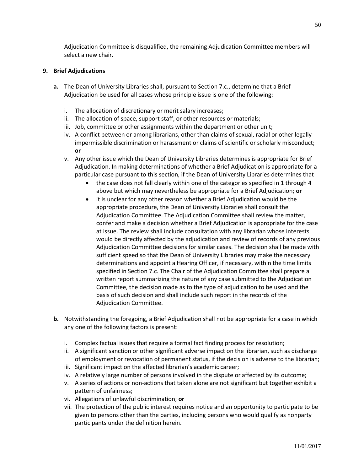Adjudication Committee is disqualified, the remaining Adjudication Committee members will select a new chair.

## **9. Brief Adjudications**

- **a.** The Dean of University Libraries shall, pursuant to Section 7.c., determine that a Brief Adjudication be used for all cases whose principle issue is one of the following:
	- i. The allocation of discretionary or merit salary increases;
	- ii. The allocation of space, support staff, or other resources or materials;
	- iii. Job, committee or other assignments within the department or other unit;
	- iv. A conflict between or among librarians, other than claims of sexual, racial or other legally impermissible discrimination or harassment or claims of scientific or scholarly misconduct; **or**
	- v. Any other issue which the Dean of University Libraries determines is appropriate for Brief Adjudication. In making determinations of whether a Brief Adjudication is appropriate for a particular case pursuant to this section, if the Dean of University Libraries determines that
		- the case does not fall clearly within one of the categories specified in 1 through 4 above but which may nevertheless be appropriate for a Brief Adjudication; **or**
		- it is unclear for any other reason whether a Brief Adjudication would be the appropriate procedure, the Dean of University Libraries shall consult the Adjudication Committee. The Adjudication Committee shall review the matter, confer and make a decision whether a Brief Adjudication is appropriate for the case at issue. The review shall include consultation with any librarian whose interests would be directly affected by the adjudication and review of records of any previous Adjudication Committee decisions for similar cases. The decision shall be made with sufficient speed so that the Dean of University Libraries may make the necessary determinations and appoint a Hearing Officer, if necessary, within the time limits specified in Section 7.c. The Chair of the Adjudication Committee shall prepare a written report summarizing the nature of any case submitted to the Adjudication Committee, the decision made as to the type of adjudication to be used and the basis of such decision and shall include such report in the records of the Adjudication Committee.
- **b.** Notwithstanding the foregoing, a Brief Adjudication shall not be appropriate for a case in which any one of the following factors is present:
	- i. Complex factual issues that require a formal fact finding process for resolution;
	- ii. A significant sanction or other significant adverse impact on the librarian, such as discharge of employment or revocation of permanent status, if the decision is adverse to the librarian;
	- iii. Significant impact on the affected librarian's academic career;
	- iv. A relatively large number of persons involved in the dispute or affected by its outcome;
	- v. A series of actions or non-actions that taken alone are not significant but together exhibit a pattern of unfairness;
	- vi. Allegations of unlawful discrimination; **or**
	- vii. The protection of the public interest requires notice and an opportunity to participate to be given to persons other than the parties, including persons who would qualify as nonparty participants under the definition herein.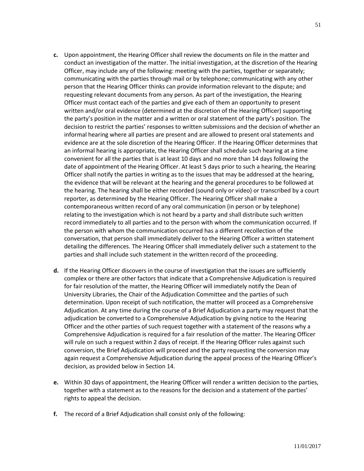- **c.** Upon appointment, the Hearing Officer shall review the documents on file in the matter and conduct an investigation of the matter. The initial investigation, at the discretion of the Hearing Officer, may include any of the following: meeting with the parties, together or separately; communicating with the parties through mail or by telephone; communicating with any other person that the Hearing Officer thinks can provide information relevant to the dispute; and requesting relevant documents from any person. As part of the investigation, the Hearing Officer must contact each of the parties and give each of them an opportunity to present written and/or oral evidence (determined at the discretion of the Hearing Officer) supporting the party's position in the matter and a written or oral statement of the party's position. The decision to restrict the parties' responses to written submissions and the decision of whether an informal hearing where all parties are present and are allowed to present oral statements and evidence are at the sole discretion of the Hearing Officer. If the Hearing Officer determines that an informal hearing is appropriate, the Hearing Officer shall schedule such hearing at a time convenient for all the parties that is at least 10 days and no more than 14 days following the date of appointment of the Hearing Officer. At least 5 days prior to such a hearing, the Hearing Officer shall notify the parties in writing as to the issues that may be addressed at the hearing, the evidence that will be relevant at the hearing and the general procedures to be followed at the hearing. The hearing shall be either recorded (sound only or video) or transcribed by a court reporter, as determined by the Hearing Officer. The Hearing Officer shall make a contemporaneous written record of any oral communication (in person or by telephone) relating to the investigation which is not heard by a party and shall distribute such written record immediately to all parties and to the person with whom the communication occurred. If the person with whom the communication occurred has a different recollection of the conversation, that person shall immediately deliver to the Hearing Officer a written statement detailing the differences. The Hearing Officer shall immediately deliver such a statement to the parties and shall include such statement in the written record of the proceeding.
- **d.** If the Hearing Officer discovers in the course of investigation that the issues are sufficiently complex or there are other factors that indicate that a Comprehensive Adjudication is required for fair resolution of the matter, the Hearing Officer will immediately notify the Dean of University Libraries, the Chair of the Adjudication Committee and the parties of such determination. Upon receipt of such notification, the matter will proceed as a Comprehensive Adjudication. At any time during the course of a Brief Adjudication a party may request that the adjudication be converted to a Comprehensive Adjudication by giving notice to the Hearing Officer and the other parties of such request together with a statement of the reasons why a Comprehensive Adjudication is required for a fair resolution of the matter. The Hearing Officer will rule on such a request within 2 days of receipt. If the Hearing Officer rules against such conversion, the Brief Adjudication will proceed and the party requesting the conversion may again request a Comprehensive Adjudication during the appeal process of the Hearing Officer's decision, as provided below in Section 14.
- **e.** Within 30 days of appointment, the Hearing Officer will render a written decision to the parties, together with a statement as to the reasons for the decision and a statement of the parties' rights to appeal the decision.
- **f.** The record of a Brief Adjudication shall consist only of the following: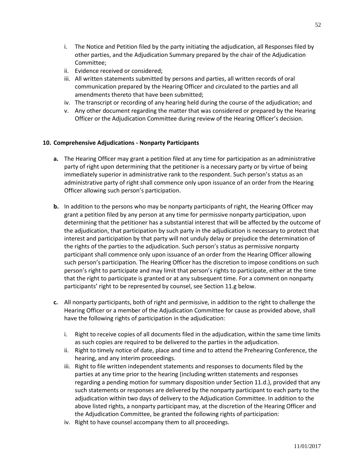- i. The Notice and Petition filed by the party initiating the adjudication, all Responses filed by other parties, and the Adjudication Summary prepared by the chair of the Adjudication Committee;
- ii. Evidence received or considered;
- iii. All written statements submitted by persons and parties, all written records of oral communication prepared by the Hearing Officer and circulated to the parties and all amendments thereto that have been submitted;
- iv. The transcript or recording of any hearing held during the course of the adjudication; and
- v. Any other document regarding the matter that was considered or prepared by the Hearing Officer or the Adjudication Committee during review of the Hearing Officer's decision.

## **10. Comprehensive Adjudications - Nonparty Participants**

- **a.** The Hearing Officer may grant a petition filed at any time for participation as an administrative party of right upon determining that the petitioner is a necessary party or by virtue of being immediately superior in administrative rank to the respondent. Such person's status as an administrative party of right shall commence only upon issuance of an order from the Hearing Officer allowing such person's participation.
- **b.** In addition to the persons who may be nonparty participants of right, the Hearing Officer may grant a petition filed by any person at any time for permissive nonparty participation, upon determining that the petitioner has a substantial interest that will be affected by the outcome of the adjudication, that participation by such party in the adjudication is necessary to protect that interest and participation by that party will not unduly delay or prejudice the determination of the rights of the parties to the adjudication. Such person's status as permissive nonparty participant shall commence only upon issuance of an order from the Hearing Officer allowing such person's participation. The Hearing Officer has the discretion to impose conditions on such person's right to participate and may limit that person's rights to participate, either at the time that the right to participate is granted or at any subsequent time. For a comment on nonparty participants' right to be represented by counsel, see Section 11.g below.
- **c.** All nonparty participants, both of right and permissive, in addition to the right to challenge the Hearing Officer or a member of the Adjudication Committee for cause as provided above, shall have the following rights of participation in the adjudication:
	- i. Right to receive copies of all documents filed in the adjudication, within the same time limits as such copies are required to be delivered to the parties in the adjudication.
	- ii. Right to timely notice of date, place and time and to attend the Prehearing Conference, the hearing, and any interim proceedings.
	- iii. Right to file written independent statements and responses to documents filed by the parties at any time prior to the hearing (including written statements and responses regarding a pending motion for summary disposition under Section 11.d.), provided that any such statements or responses are delivered by the nonparty participant to each party to the adjudication within two days of delivery to the Adjudication Committee. In addition to the above listed rights, a nonparty participant may, at the discretion of the Hearing Officer and the Adjudication Committee, be granted the following rights of participation:
	- iv. Right to have counsel accompany them to all proceedings.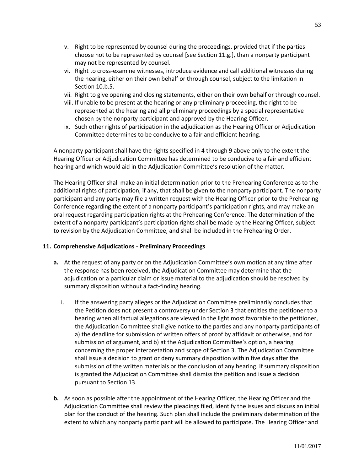- v. Right to be represented by counsel during the proceedings, provided that if the parties choose not to be represented by counsel [see Section 11.g.], than a nonparty participant may not be represented by counsel.
- vi. Right to cross-examine witnesses, introduce evidence and call additional witnesses during the hearing, either on their own behalf or through counsel, subject to the limitation in Section 10.b.5.
- vii. Right to give opening and closing statements, either on their own behalf or through counsel.
- viii. If unable to be present at the hearing or any preliminary proceeding, the right to be represented at the hearing and all preliminary proceedings by a special representative chosen by the nonparty participant and approved by the Hearing Officer.
- ix. Such other rights of participation in the adjudication as the Hearing Officer or Adjudication Committee determines to be conducive to a fair and efficient hearing.

A nonparty participant shall have the rights specified in 4 through 9 above only to the extent the Hearing Officer or Adjudication Committee has determined to be conducive to a fair and efficient hearing and which would aid in the Adjudication Committee's resolution of the matter.

The Hearing Officer shall make an initial determination prior to the Prehearing Conference as to the additional rights of participation, if any, that shall be given to the nonparty participant. The nonparty participant and any party may file a written request with the Hearing Officer prior to the Prehearing Conference regarding the extent of a nonparty participant's participation rights, and may make an oral request regarding participation rights at the Prehearing Conference. The determination of the extent of a nonparty participant's participation rights shall be made by the Hearing Officer, subject to revision by the Adjudication Committee, and shall be included in the Prehearing Order.

## **11. Comprehensive Adjudications - Preliminary Proceedings**

- **a.** At the request of any party or on the Adjudication Committee's own motion at any time after the response has been received, the Adjudication Committee may determine that the adjudication or a particular claim or issue material to the adjudication should be resolved by summary disposition without a fact-finding hearing.
	- i. If the answering party alleges or the Adjudication Committee preliminarily concludes that the Petition does not present a controversy under Section 3 that entitles the petitioner to a hearing when all factual allegations are viewed in the light most favorable to the petitioner, the Adjudication Committee shall give notice to the parties and any nonparty participants of a) the deadline for submission of written offers of proof by affidavit or otherwise, and for submission of argument, and b) at the Adjudication Committee's option, a hearing concerning the proper interpretation and scope of Section 3. The Adjudication Committee shall issue a decision to grant or deny summary disposition within five days after the submission of the written materials or the conclusion of any hearing. If summary disposition is granted the Adjudication Committee shall dismiss the petition and issue a decision pursuant to Section 13.
- **b.** As soon as possible after the appointment of the Hearing Officer, the Hearing Officer and the Adjudication Committee shall review the pleadings filed, identify the issues and discuss an initial plan for the conduct of the hearing. Such plan shall include the preliminary determination of the extent to which any nonparty participant will be allowed to participate. The Hearing Officer and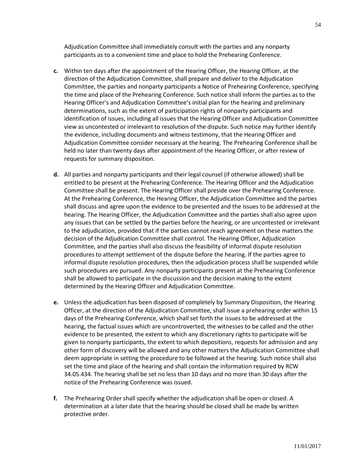Adjudication Committee shall immediately consult with the parties and any nonparty participants as to a convenient time and place to hold the Prehearing Conference.

- **c.** Within ten days after the appointment of the Hearing Officer, the Hearing Officer, at the direction of the Adjudication Committee, shall prepare and deliver to the Adjudication Committee, the parties and nonparty participants a Notice of Prehearing Conference, specifying the time and place of the Prehearing Conference. Such notice shall inform the parties as to the Hearing Officer's and Adjudication Committee's initial plan for the hearing and preliminary determinations, such as the extent of participation rights of nonparty participants and identification of issues, including all issues that the Hearing Officer and Adjudication Committee view as uncontested or irrelevant to resolution of the dispute. Such notice may further identify the evidence, including documents and witness testimony, that the Hearing Officer and Adjudication Committee consider necessary at the hearing. The Prehearing Conference shall be held no later than twenty days after appointment of the Hearing Officer, or after review of requests for summary disposition.
- **d.** All parties and nonparty participants and their legal counsel (if otherwise allowed) shall be entitled to be present at the Prehearing Conference. The Hearing Officer and the Adjudication Committee shall be present. The Hearing Officer shall preside over the Prehearing Conference. At the Prehearing Conference, the Hearing Officer, the Adjudication Committee and the parties shall discuss and agree upon the evidence to be presented and the issues to be addressed at the hearing. The Hearing Officer, the Adjudication Committee and the parties shall also agree upon any issues that can be settled by the parties before the hearing, or are uncontested or irrelevant to the adjudication, provided that if the parties cannot reach agreement on these matters the decision of the Adjudication Committee shall control. The Hearing Officer, Adjudication Committee, and the parties shall also discuss the feasibility of informal dispute resolution procedures to attempt settlement of the dispute before the hearing. If the parties agree to informal dispute resolution procedures, then the adjudication process shall be suspended while such procedures are pursued. Any nonparty participants present at the Prehearing Conference shall be allowed to participate in the discussion and the decision making to the extent determined by the Hearing Officer and Adjudication Committee.
- **e.** Unless the adjudication has been disposed of completely by Summary Disposition, the Hearing Officer, at the direction of the Adjudication Committee, shall issue a prehearing order within 15 days of the Prehearing Conference, which shall set forth the issues to be addressed at the hearing, the factual issues which are uncontroverted, the witnesses to be called and the other evidence to be presented, the extent to which any discretionary rights to participate will be given to nonparty participants, the extent to which depositions, requests for admission and any other form of discovery will be allowed and any other matters the Adjudication Committee shall deem appropriate in setting the procedure to be followed at the hearing. Such notice shall also set the time and place of the hearing and shall contain the information required by RCW 34.05.434. The hearing shall be set no less than 10 days and no more than 30 days after the notice of the Prehearing Conference was issued.
- **f.** The Prehearing Order shall specify whether the adjudication shall be open or closed. A determination at a later date that the hearing should be closed shall be made by written protective order.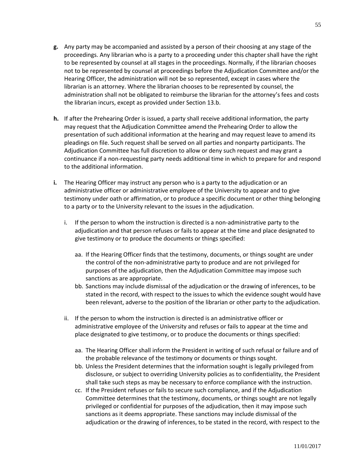- **g.** Any party may be accompanied and assisted by a person of their choosing at any stage of the proceedings. Any librarian who is a party to a proceeding under this chapter shall have the right to be represented by counsel at all stages in the proceedings. Normally, if the librarian chooses not to be represented by counsel at proceedings before the Adjudication Committee and/or the Hearing Officer, the administration will not be so represented, except in cases where the librarian is an attorney. Where the librarian chooses to be represented by counsel, the administration shall not be obligated to reimburse the librarian for the attorney's fees and costs the librarian incurs, except as provided under Section 13.b.
- **h.** If after the Prehearing Order is issued, a party shall receive additional information, the party may request that the Adjudication Committee amend the Prehearing Order to allow the presentation of such additional information at the hearing and may request leave to amend its pleadings on file. Such request shall be served on all parties and nonparty participants. The Adjudication Committee has full discretion to allow or deny such request and may grant a continuance if a non-requesting party needs additional time in which to prepare for and respond to the additional information.
- **i.** The Hearing Officer may instruct any person who is a party to the adjudication or an administrative officer or administrative employee of the University to appear and to give testimony under oath or affirmation, or to produce a specific document or other thing belonging to a party or to the University relevant to the issues in the adjudication.
	- i. If the person to whom the instruction is directed is a non-administrative party to the adjudication and that person refuses or fails to appear at the time and place designated to give testimony or to produce the documents or things specified:
		- aa. If the Hearing Officer finds that the testimony, documents, or things sought are under the control of the non-administrative party to produce and are not privileged for purposes of the adjudication, then the Adjudication Committee may impose such sanctions as are appropriate.
		- bb. Sanctions may include dismissal of the adjudication or the drawing of inferences, to be stated in the record, with respect to the issues to which the evidence sought would have been relevant, adverse to the position of the librarian or other party to the adjudication.
	- ii. If the person to whom the instruction is directed is an administrative officer or administrative employee of the University and refuses or fails to appear at the time and place designated to give testimony, or to produce the documents or things specified:
		- aa. The Hearing Officer shall inform the President in writing of such refusal or failure and of the probable relevance of the testimony or documents or things sought.
		- bb. Unless the President determines that the information sought is legally privileged from disclosure, or subject to overriding University policies as to confidentiality, the President shall take such steps as may be necessary to enforce compliance with the instruction.
		- cc. If the President refuses or fails to secure such compliance, and if the Adjudication Committee determines that the testimony, documents, or things sought are not legally privileged or confidential for purposes of the adjudication, then it may impose such sanctions as it deems appropriate. These sanctions may include dismissal of the adjudication or the drawing of inferences, to be stated in the record, with respect to the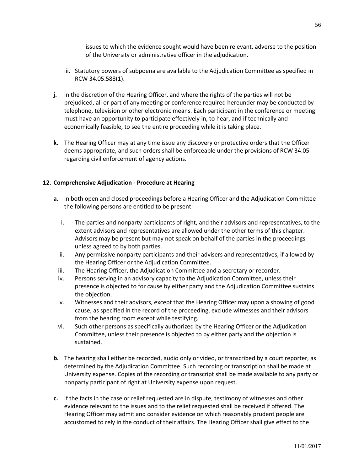issues to which the evidence sought would have been relevant, adverse to the position of the University or administrative officer in the adjudication.

- iii. Statutory powers of subpoena are available to the Adjudication Committee as specified in RCW 34.05.588(1).
- **j.** In the discretion of the Hearing Officer, and where the rights of the parties will not be prejudiced, all or part of any meeting or conference required hereunder may be conducted by telephone, television or other electronic means. Each participant in the conference or meeting must have an opportunity to participate effectively in, to hear, and if technically and economically feasible, to see the entire proceeding while it is taking place.
- **k.** The Hearing Officer may at any time issue any discovery or protective orders that the Officer deems appropriate, and such orders shall be enforceable under the provisions of RCW 34.05 regarding civil enforcement of agency actions.

### **12. Comprehensive Adjudication - Procedure at Hearing**

- **a.** In both open and closed proceedings before a Hearing Officer and the Adjudication Committee the following persons are entitled to be present:
	- i. The parties and nonparty participants of right, and their advisors and representatives, to the extent advisors and representatives are allowed under the other terms of this chapter. Advisors may be present but may not speak on behalf of the parties in the proceedings unless agreed to by both parties.
	- ii. Any permissive nonparty participants and their advisers and representatives, if allowed by the Hearing Officer or the Adjudication Committee.
	- iii. The Hearing Officer, the Adjudication Committee and a secretary or recorder.
	- iv. Persons serving in an advisory capacity to the Adjudication Committee, unless their presence is objected to for cause by either party and the Adjudication Committee sustains the objection.
	- v. Witnesses and their advisors, except that the Hearing Officer may upon a showing of good cause, as specified in the record of the proceeding, exclude witnesses and their advisors from the hearing room except while testifying.
- vi. Such other persons as specifically authorized by the Hearing Officer or the Adjudication Committee, unless their presence is objected to by either party and the objection is sustained.
- **b.** The hearing shall either be recorded, audio only or video, or transcribed by a court reporter, as determined by the Adjudication Committee. Such recording or transcription shall be made at University expense. Copies of the recording or transcript shall be made available to any party or nonparty participant of right at University expense upon request.
- **c.** If the facts in the case or relief requested are in dispute, testimony of witnesses and other evidence relevant to the issues and to the relief requested shall be received if offered. The Hearing Officer may admit and consider evidence on which reasonably prudent people are accustomed to rely in the conduct of their affairs. The Hearing Officer shall give effect to the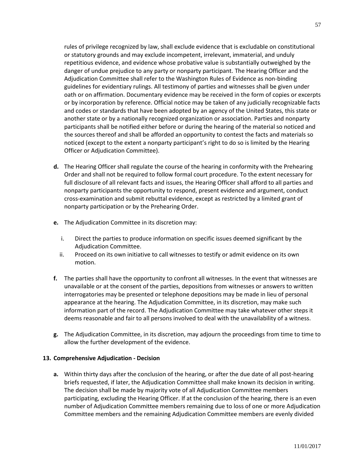rules of privilege recognized by law, shall exclude evidence that is excludable on constitutional or statutory grounds and may exclude incompetent, irrelevant, immaterial, and unduly repetitious evidence, and evidence whose probative value is substantially outweighed by the danger of undue prejudice to any party or nonparty participant. The Hearing Officer and the Adjudication Committee shall refer to the Washington Rules of Evidence as non-binding guidelines for evidentiary rulings. All testimony of parties and witnesses shall be given under oath or on affirmation. Documentary evidence may be received in the form of copies or excerpts or by incorporation by reference. Official notice may be taken of any judicially recognizable facts and codes or standards that have been adopted by an agency of the United States, this state or another state or by a nationally recognized organization or association. Parties and nonparty participants shall be notified either before or during the hearing of the material so noticed and the sources thereof and shall be afforded an opportunity to contest the facts and materials so noticed (except to the extent a nonparty participant's right to do so is limited by the Hearing Officer or Adjudication Committee).

- **d.** The Hearing Officer shall regulate the course of the hearing in conformity with the Prehearing Order and shall not be required to follow formal court procedure. To the extent necessary for full disclosure of all relevant facts and issues, the Hearing Officer shall afford to all parties and nonparty participants the opportunity to respond, present evidence and argument, conduct cross-examination and submit rebuttal evidence, except as restricted by a limited grant of nonparty participation or by the Prehearing Order.
- **e.** The Adjudication Committee in its discretion may:
	- i. Direct the parties to produce information on specific issues deemed significant by the Adjudication Committee.
	- ii. Proceed on its own initiative to call witnesses to testify or admit evidence on its own motion.
- **f.** The parties shall have the opportunity to confront all witnesses. In the event that witnesses are unavailable or at the consent of the parties, depositions from witnesses or answers to written interrogatories may be presented or telephone depositions may be made in lieu of personal appearance at the hearing. The Adjudication Committee, in its discretion, may make such information part of the record. The Adjudication Committee may take whatever other steps it deems reasonable and fair to all persons involved to deal with the unavailability of a witness.
- **g.** The Adjudication Committee, in its discretion, may adjourn the proceedings from time to time to allow the further development of the evidence.

## **13. Comprehensive Adjudication - Decision**

**a.** Within thirty days after the conclusion of the hearing, or after the due date of all post-hearing briefs requested, if later, the Adjudication Committee shall make known its decision in writing. The decision shall be made by majority vote of all Adjudication Committee members participating, excluding the Hearing Officer. If at the conclusion of the hearing, there is an even number of Adjudication Committee members remaining due to loss of one or more Adjudication Committee members and the remaining Adjudication Committee members are evenly divided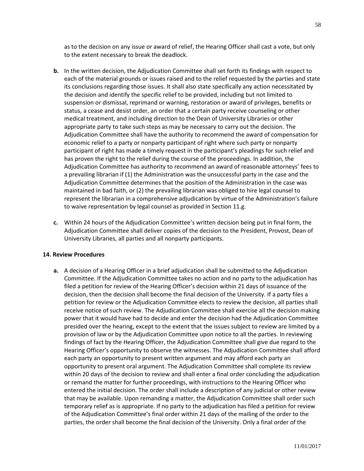as to the decision on any issue or award of relief, the Hearing Officer shall cast a vote, but only to the extent necessary to break the deadlock.

- **b.** In the written decision, the Adjudication Committee shall set forth its findings with respect to each of the material grounds or issues raised and to the relief requested by the parties and state its conclusions regarding those issues. It shall also state specifically any action necessitated by the decision and identify the specific relief to be provided, including but not limited to suspension or dismissal, reprimand or warning, restoration or award of privileges, benefits or status, a cease and desist order, an order that a certain party receive counseling or other medical treatment, and including direction to the Dean of University Libraries or other appropriate party to take such steps as may be necessary to carry out the decision. The Adjudication Committee shall have the authority to recommend the award of compensation for economic relief to a party or nonparty participant of right where such party or nonparty participant of right has made a timely request in the participant's pleadings for such relief and has proven the right to the relief during the course of the proceedings. In addition, the Adjudication Committee has authority to recommend an award of reasonable attorneys' fees to a prevailing librarian if (1) the Administration was the unsuccessful party in the case and the Adjudication Committee determines that the position of the Administration in the case was maintained in bad faith, or (2) the prevailing librarian was obliged to hire legal counsel to represent the librarian in a comprehensive adjudication by virtue of the Administration's failure to waive representation by legal counsel as provided in Section 11.g.
- **c.** Within 24 hours of the Adjudication Committee's written decision being put in final form, the Adjudication Committee shall deliver copies of the decision to the President, Provost, Dean of University Libraries, all parties and all nonparty participants.

#### **14. Review Procedures**

**a.** A decision of a Hearing Officer in a brief adjudication shall be submitted to the Adjudication Committee. If the Adjudication Committee takes no action and no party to the adjudication has filed a petition for review of the Hearing Officer's decision within 21 days of issuance of the decision, then the decision shall become the final decision of the University. If a party files a petition for review or the Adjudication Committee elects to review the decision, all parties shall receive notice of such review. The Adjudication Committee shall exercise all the decision making power that it would have had to decide and enter the decision had the Adjudication Committee presided over the hearing, except to the extent that the issues subject to review are limited by a provision of law or by the Adjudication Committee upon notice to all the parties. In reviewing findings of fact by the Hearing Officer, the Adjudication Committee shall give due regard to the Hearing Officer's opportunity to observe the witnesses. The Adjudication Committee shall afford each party an opportunity to present written argument and may afford each party an opportunity to present oral argument. The Adjudication Committee shall complete its review within 20 days of the decision to review and shall enter a final order concluding the adjudication or remand the matter for further proceedings, with instructions to the Hearing Officer who entered the initial decision. The order shall include a description of any judicial or other review that may be available. Upon remanding a matter, the Adjudication Committee shall order such temporary relief as is appropriate. If no party to the adjudication has filed a petition for review of the Adjudication Committee's final order within 21 days of the mailing of the order to the parties, the order shall become the final decision of the University. Only a final order of the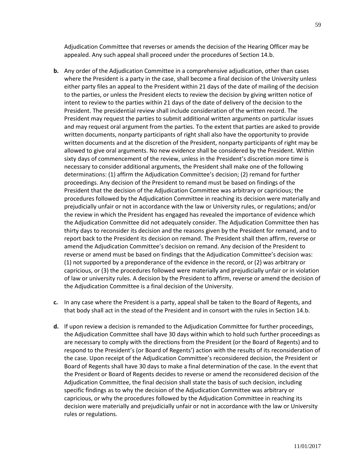Adjudication Committee that reverses or amends the decision of the Hearing Officer may be appealed. Any such appeal shall proceed under the procedures of Section 14.b.

- **b.** Any order of the Adjudication Committee in a comprehensive adjudication, other than cases where the President is a party in the case, shall become a final decision of the University unless either party files an appeal to the President within 21 days of the date of mailing of the decision to the parties, or unless the President elects to review the decision by giving written notice of intent to review to the parties within 21 days of the date of delivery of the decision to the President. The presidential review shall include consideration of the written record. The President may request the parties to submit additional written arguments on particular issues and may request oral argument from the parties. To the extent that parties are asked to provide written documents, nonparty participants of right shall also have the opportunity to provide written documents and at the discretion of the President, nonparty participants of right may be allowed to give oral arguments. No new evidence shall be considered by the President. Within sixty days of commencement of the review, unless in the President's discretion more time is necessary to consider additional arguments, the President shall make one of the following determinations: (1) affirm the Adjudication Committee's decision; (2) remand for further proceedings. Any decision of the President to remand must be based on findings of the President that the decision of the Adjudication Committee was arbitrary or capricious; the procedures followed by the Adjudication Committee in reaching its decision were materially and prejudicially unfair or not in accordance with the law or University rules, or regulations; and/or the review in which the President has engaged has revealed the importance of evidence which the Adjudication Committee did not adequately consider. The Adjudication Committee then has thirty days to reconsider its decision and the reasons given by the President for remand, and to report back to the President its decision on remand. The President shall then affirm, reverse or amend the Adjudication Committee's decision on remand. Any decision of the President to reverse or amend must be based on findings that the Adjudication Committee's decision was: (1) not supported by a preponderance of the evidence in the record, or (2) was arbitrary or capricious, or (3) the procedures followed were materially and prejudicially unfair or in violation of law or university rules. A decision by the President to affirm, reverse or amend the decision of the Adjudication Committee is a final decision of the University.
- **c.** In any case where the President is a party, appeal shall be taken to the Board of Regents, and that body shall act in the stead of the President and in consort with the rules in Section 14.b.
- **d.** If upon review a decision is remanded to the Adjudication Committee for further proceedings, the Adjudication Committee shall have 30 days within which to hold such further proceedings as are necessary to comply with the directions from the President (or the Board of Regents) and to respond to the President's (or Board of Regents') action with the results of its reconsideration of the case. Upon receipt of the Adjudication Committee's reconsidered decision, the President or Board of Regents shall have 30 days to make a final determination of the case. In the event that the President or Board of Regents decides to reverse or amend the reconsidered decision of the Adjudication Committee, the final decision shall state the basis of such decision, including specific findings as to why the decision of the Adjudication Committee was arbitrary or capricious, or why the procedures followed by the Adjudication Committee in reaching its decision were materially and prejudicially unfair or not in accordance with the law or University rules or regulations.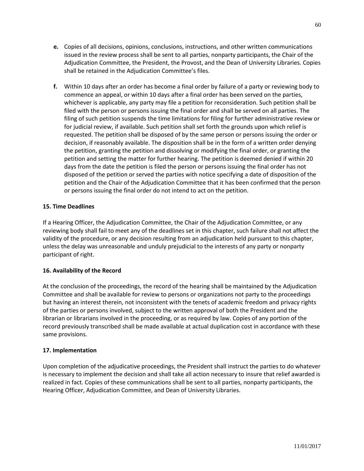- **e.** Copies of all decisions, opinions, conclusions, instructions, and other written communications issued in the review process shall be sent to all parties, nonparty participants, the Chair of the Adjudication Committee, the President, the Provost, and the Dean of University Libraries. Copies shall be retained in the Adjudication Committee's files.
- **f.** Within 10 days after an order has become a final order by failure of a party or reviewing body to commence an appeal, or within 10 days after a final order has been served on the parties, whichever is applicable, any party may file a petition for reconsideration. Such petition shall be filed with the person or persons issuing the final order and shall be served on all parties. The filing of such petition suspends the time limitations for filing for further administrative review or for judicial review, if available. Such petition shall set forth the grounds upon which relief is requested. The petition shall be disposed of by the same person or persons issuing the order or decision, if reasonably available. The disposition shall be in the form of a written order denying the petition, granting the petition and dissolving or modifying the final order, or granting the petition and setting the matter for further hearing. The petition is deemed denied if within 20 days from the date the petition is filed the person or persons issuing the final order has not disposed of the petition or served the parties with notice specifying a date of disposition of the petition and the Chair of the Adjudication Committee that it has been confirmed that the person or persons issuing the final order do not intend to act on the petition.

# **15. Time Deadlines**

If a Hearing Officer, the Adjudication Committee, the Chair of the Adjudication Committee, or any reviewing body shall fail to meet any of the deadlines set in this chapter, such failure shall not affect the validity of the procedure, or any decision resulting from an adjudication held pursuant to this chapter, unless the delay was unreasonable and unduly prejudicial to the interests of any party or nonparty participant of right.

## **16. Availability of the Record**

At the conclusion of the proceedings, the record of the hearing shall be maintained by the Adjudication Committee and shall be available for review to persons or organizations not party to the proceedings but having an interest therein, not inconsistent with the tenets of academic freedom and privacy rights of the parties or persons involved, subject to the written approval of both the President and the librarian or librarians involved in the proceeding, or as required by law. Copies of any portion of the record previously transcribed shall be made available at actual duplication cost in accordance with these same provisions.

## **17. Implementation**

Upon completion of the adjudicative proceedings, the President shall instruct the parties to do whatever is necessary to implement the decision and shall take all action necessary to insure that relief awarded is realized in fact. Copies of these communications shall be sent to all parties, nonparty participants, the Hearing Officer, Adjudication Committee, and Dean of University Libraries.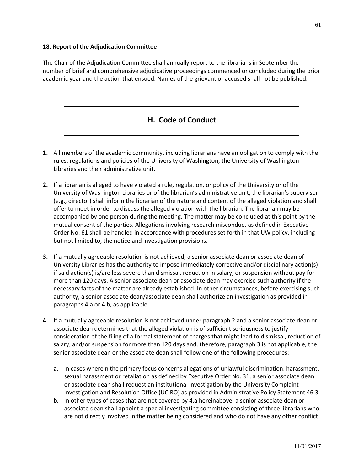### **18. Report of the Adjudication Committee**

The Chair of the Adjudication Committee shall annually report to the librarians in September the number of brief and comprehensive adjudicative proceedings commenced or concluded during the prior academic year and the action that ensued. Names of the grievant or accused shall not be published.

# **H. Code of Conduct**

- **1.** All members of the academic community, including librarians have an obligation to comply with the rules, regulations and policies of the University of Washington, the University of Washington Libraries and their administrative unit.
- **2.** If a librarian is alleged to have violated a rule, regulation, or policy of the University or of the University of Washington Libraries or of the librarian's administrative unit, the librarian's supervisor (e.g., director) shall inform the librarian of the nature and content of the alleged violation and shall offer to meet in order to discuss the alleged violation with the librarian. The librarian may be accompanied by one person during the meeting. The matter may be concluded at this point by the mutual consent of the parties. Allegations involving research misconduct as defined in Executive Order No. 61 shall be handled in accordance with procedures set forth in that UW policy, including but not limited to, the notice and investigation provisions.
- **3.** If a mutually agreeable resolution is not achieved, a senior associate dean or associate dean of University Libraries has the authority to impose immediately corrective and/or disciplinary action(s) if said action(s) is/are less severe than dismissal, reduction in salary, or suspension without pay for more than 120 days. A senior associate dean or associate dean may exercise such authority if the necessary facts of the matter are already established. In other circumstances, before exercising such authority, a senior associate dean/associate dean shall authorize an investigation as provided in paragraphs 4.a or 4.b, as applicable.
- **4.** If a mutually agreeable resolution is not achieved under paragraph 2 and a senior associate dean or associate dean determines that the alleged violation is of sufficient seriousness to justify consideration of the filing of a formal statement of charges that might lead to dismissal, reduction of salary, and/or suspension for more than 120 days and, therefore, paragraph 3 is not applicable, the senior associate dean or the associate dean shall follow one of the following procedures:
	- **a.** In cases wherein the primary focus concerns allegations of unlawful discrimination, harassment, sexual harassment or retaliation as defined by Executive Order No. 31, a senior associate dean or associate dean shall request an institutional investigation by the University Complaint Investigation and Resolution Office (UCIRO) as provided in Administrative Policy Statement 46.3.
	- **b.** In other types of cases that are not covered by 4.a hereinabove, a senior associate dean or associate dean shall appoint a special investigating committee consisting of three librarians who are not directly involved in the matter being considered and who do not have any other conflict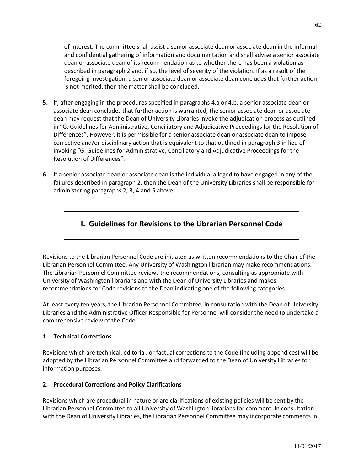of interest. The committee shall assist a senior associate dean or associate dean in the informal and confidential gathering of information and documentation and shall advise a senior associate dean or associate dean of its recommendation as to whether there has been a violation as described in paragraph 2 and, if so, the level of severity of the violation. If as a result of the foregoing investigation, a senior associate dean or associate dean concludes that further action is not merited, then the matter shall be concluded.

- **5.** If, after engaging in the procedures specified in paragraphs 4.a or 4.b, a senior associate dean or associate dean concludes that further action is warranted, the senior associate dean or associate dean may request that the Dean of University Libraries invoke the adjudication process as outlined in "G. Guidelines for Administrative, Conciliatory and Adjudicative Proceedings for the Resolution of Differences". However, it is permissible for a senior associate dean or associate dean to impose corrective and/or disciplinary action that is equivalent to that outlined in paragraph 3 in lieu of invoking "G. Guidelines for Administrative, Conciliatory and Adjudicative Proceedings for the Resolution of Differences".
- **6.** If a senior associate dean or associate dean is the individual alleged to have engaged in any of the failures described in paragraph 2, then the Dean of the University Libraries shall be responsible for administering paragraphs 2, 3, 4 and 5 above.

# **I. Guidelines for Revisions to the Librarian Personnel Code**

Revisions to the Librarian Personnel Code are initiated as written recommendations to the Chair of the Librarian Personnel Committee. Any University of Washington librarian may make recommendations. The Librarian Personnel Committee reviews the recommendations, consulting as appropriate with University of Washington librarians and with the Dean of University Libraries and makes recommendations for Code revisions to the Dean indicating one of the following categories.

At least every ten years, the Librarian Personnel Committee, in consultation with the Dean of University Libraries and the Administrative Officer Responsible for Personnel will consider the need to undertake a comprehensive review of the Code.

## **1. Technical Corrections**

Revisions which are technical, editorial, or factual corrections to the Code (including appendices) will be adopted by the Librarian Personnel Committee and forwarded to the Dean of University Libraries for information purposes.

## **2. Procedural Corrections and Policy Clarifications**

Revisions which are procedural in nature or are clarifications of existing policies will be sent by the Librarian Personnel Committee to all University of Washington librarians for comment. In consultation with the Dean of University Libraries, the Librarian Personnel Committee may incorporate comments in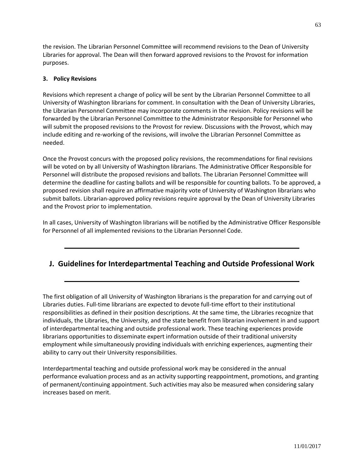the revision. The Librarian Personnel Committee will recommend revisions to the Dean of University Libraries for approval. The Dean will then forward approved revisions to the Provost for information purposes.

# **3. Policy Revisions**

Revisions which represent a change of policy will be sent by the Librarian Personnel Committee to all University of Washington librarians for comment. In consultation with the Dean of University Libraries, the Librarian Personnel Committee may incorporate comments in the revision. Policy revisions will be forwarded by the Librarian Personnel Committee to the Administrator Responsible for Personnel who will submit the proposed revisions to the Provost for review. Discussions with the Provost, which may include editing and re-working of the revisions, will involve the Librarian Personnel Committee as needed.

Once the Provost concurs with the proposed policy revisions, the recommendations for final revisions will be voted on by all University of Washington librarians. The Administrative Officer Responsible for Personnel will distribute the proposed revisions and ballots. The Librarian Personnel Committee will determine the deadline for casting ballots and will be responsible for counting ballots. To be approved, a proposed revision shall require an affirmative majority vote of University of Washington librarians who submit ballots. Librarian-approved policy revisions require approval by the Dean of University Libraries and the Provost prior to implementation.

In all cases, University of Washington librarians will be notified by the Administrative Officer Responsible for Personnel of all implemented revisions to the Librarian Personnel Code.

# **J. Guidelines for Interdepartmental Teaching and Outside Professional Work**

The first obligation of all University of Washington librarians is the preparation for and carrying out of Libraries duties. Full-time librarians are expected to devote full-time effort to their institutional responsibilities as defined in their position descriptions. At the same time, the Libraries recognize that individuals, the Libraries, the University, and the state benefit from librarian involvement in and support of interdepartmental teaching and outside professional work. These teaching experiences provide librarians opportunities to disseminate expert information outside of their traditional university employment while simultaneously providing individuals with enriching experiences, augmenting their ability to carry out their University responsibilities.

Interdepartmental teaching and outside professional work may be considered in the annual performance evaluation process and as an activity supporting reappointment, promotions, and granting of permanent/continuing appointment. Such activities may also be measured when considering salary increases based on merit.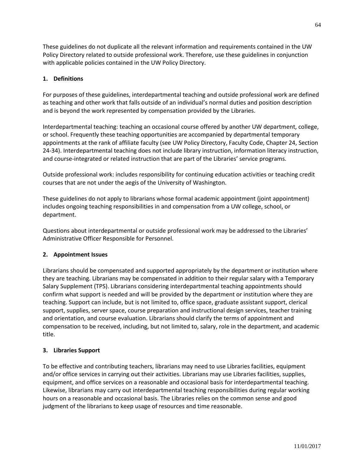These guidelines do not duplicate all the relevant information and requirements contained in the UW Policy Directory related to outside professional work. Therefore, use these guidelines in conjunction with applicable policies contained in the UW Policy Directory.

# **1. Definitions**

For purposes of these guidelines, interdepartmental teaching and outside professional work are defined as teaching and other work that falls outside of an individual's normal duties and position description and is beyond the work represented by compensation provided by the Libraries.

Interdepartmental teaching: teaching an occasional course offered by another UW department, college, or school. Frequently these teaching opportunities are accompanied by departmental temporary appointments at the rank of affiliate faculty (see UW Policy Directory, Faculty Code, Chapter 24, Section 24-34). Interdepartmental teaching does not include library instruction, information literacy instruction, and course-integrated or related instruction that are part of the Libraries' service programs.

Outside professional work: includes responsibility for continuing education activities or teaching credit courses that are not under the aegis of the University of Washington.

These guidelines do not apply to librarians whose formal academic appointment (joint appointment) includes ongoing teaching responsibilities in and compensation from a UW college, school, or department.

Questions about interdepartmental or outside professional work may be addressed to the Libraries' Administrative Officer Responsible for Personnel.

## **2. Appointment Issues**

Librarians should be compensated and supported appropriately by the department or institution where they are teaching. Librarians may be compensated in addition to their regular salary with a Temporary Salary Supplement (TPS). Librarians considering interdepartmental teaching appointments should confirm what support is needed and will be provided by the department or institution where they are teaching. Support can include, but is not limited to, office space, graduate assistant support, clerical support, supplies, server space, course preparation and instructional design services, teacher training and orientation, and course evaluation. Librarians should clarify the terms of appointment and compensation to be received, including, but not limited to, salary, role in the department, and academic title.

## **3. Libraries Support**

To be effective and contributing teachers, librarians may need to use Libraries facilities, equipment and/or office services in carrying out their activities. Librarians may use Libraries facilities, supplies, equipment, and office services on a reasonable and occasional basis for interdepartmental teaching. Likewise, librarians may carry out interdepartmental teaching responsibilities during regular working hours on a reasonable and occasional basis. The Libraries relies on the common sense and good judgment of the librarians to keep usage of resources and time reasonable.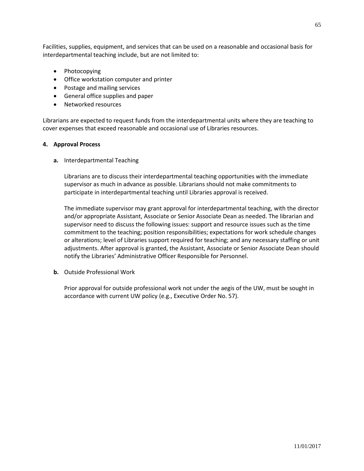Facilities, supplies, equipment, and services that can be used on a reasonable and occasional basis for interdepartmental teaching include, but are not limited to:

- Photocopying
- Office workstation computer and printer
- Postage and mailing services
- General office supplies and paper
- Networked resources

Librarians are expected to request funds from the interdepartmental units where they are teaching to cover expenses that exceed reasonable and occasional use of Libraries resources.

## **4. Approval Process**

**a.** Interdepartmental Teaching

Librarians are to discuss their interdepartmental teaching opportunities with the immediate supervisor as much in advance as possible. Librarians should not make commitments to participate in interdepartmental teaching until Libraries approval is received.

The immediate supervisor may grant approval for interdepartmental teaching, with the director and/or appropriate Assistant, Associate or Senior Associate Dean as needed. The librarian and supervisor need to discuss the following issues: support and resource issues such as the time commitment to the teaching; position responsibilities; expectations for work schedule changes or alterations; level of Libraries support required for teaching; and any necessary staffing or unit adjustments. After approval is granted, the Assistant, Associate or Senior Associate Dean should notify the Libraries' Administrative Officer Responsible for Personnel.

**b.** Outside Professional Work

Prior approval for outside professional work not under the aegis of the UW, must be sought in accordance with current UW policy (e.g., Executive Order No. 57).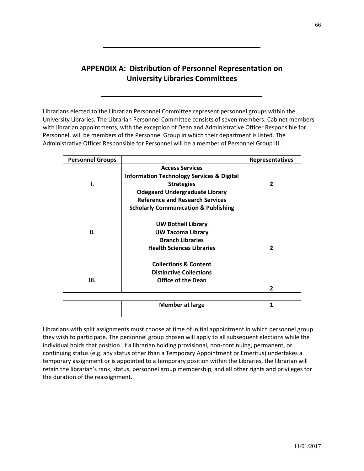# **APPENDIX A: Distribution of Personnel Representation on University Libraries Committees**

Librarians elected to the Librarian Personnel Committee represent personnel groups within the University Libraries. The Librarian Personnel Committee consists of seven members. Cabinet members with librarian appointments, with the exception of Dean and Administrative Officer Responsible for Personnel, will be members of the Personnel Group in which their department is listed. The Administrative Officer Responsible for Personnel will be a member of Personnel Group III.

| <b>Personnel Groups</b> |                                                      | <b>Representatives</b> |  |
|-------------------------|------------------------------------------------------|------------------------|--|
|                         | <b>Access Services</b>                               |                        |  |
|                         | <b>Information Technology Services &amp; Digital</b> |                        |  |
| 1.                      | <b>Strategies</b>                                    | 2                      |  |
|                         | <b>Odegaard Undergraduate Library</b>                |                        |  |
|                         | <b>Reference and Research Services</b>               |                        |  |
|                         | <b>Scholarly Communication &amp; Publishing</b>      |                        |  |
|                         | <b>UW Bothell Library</b>                            |                        |  |
| Н.                      | <b>UW Tacoma Library</b>                             |                        |  |
|                         | <b>Branch Libraries</b>                              |                        |  |
|                         | <b>Health Sciences Libraries</b>                     | 2                      |  |
|                         | <b>Collections &amp; Content</b>                     |                        |  |
|                         | <b>Distinctive Collections</b>                       |                        |  |
| Ш.                      | <b>Office of the Dean</b>                            |                        |  |
|                         |                                                      | $\mathbf{z}$           |  |
|                         |                                                      |                        |  |
|                         | <b>Member at large</b>                               | 1                      |  |

Librarians with split assignments must choose at time of initial appointment in which personnel group they wish to participate. The personnel group chosen will apply to all subsequent elections while the individual holds that position. If a librarian holding provisional, non-continuing, permanent, or continuing status (e.g. any status other than a Temporary Appointment or Emeritus) undertakes a temporary assignment or is appointed to a temporary position within the Libraries, the librarian will retain the librarian's rank, status, personnel group membership, and all other rights and privileges for the duration of the reassignment.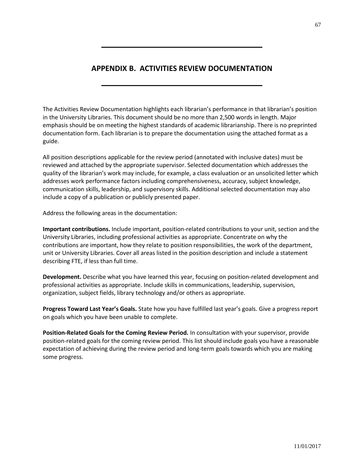# **APPENDIX B. ACTIVITIES REVIEW DOCUMENTATION**

The Activities Review Documentation highlights each librarian's performance in that librarian's position in the University Libraries. This document should be no more than 2,500 words in length. Major emphasis should be on meeting the highest standards of academic librarianship. There is no preprinted documentation form. Each librarian is to prepare the documentation using the attached format as a guide.

All position descriptions applicable for the review period (annotated with inclusive dates) must be reviewed and attached by the appropriate supervisor. Selected documentation which addresses the quality of the librarian's work may include, for example, a class evaluation or an unsolicited letter which addresses work performance factors including comprehensiveness, accuracy, subject knowledge, communication skills, leadership, and supervisory skills. Additional selected documentation may also include a copy of a publication or publicly presented paper.

Address the following areas in the documentation:

**Important contributions.** Include important, position-related contributions to your unit, section and the University Libraries, including professional activities as appropriate. Concentrate on why the contributions are important, how they relate to position responsibilities, the work of the department, unit or University Libraries. Cover all areas listed in the position description and include a statement describing FTE, if less than full time.

**Development.** Describe what you have learned this year, focusing on position-related development and professional activities as appropriate. Include skills in communications, leadership, supervision, organization, subject fields, library technology and/or others as appropriate.

**Progress Toward Last Year's Goals.** State how you have fulfilled last year's goals. Give a progress report on goals which you have been unable to complete.

**Position-Related Goals for the Coming Review Period.** In consultation with your supervisor, provide position-related goals for the coming review period. This list should include goals you have a reasonable expectation of achieving during the review period and long-term goals towards which you are making some progress.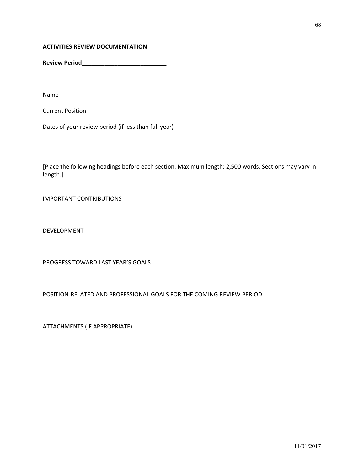## **ACTIVITIES REVIEW DOCUMENTATION**

**Review Period\_\_\_\_\_\_\_\_\_\_\_\_\_\_\_\_\_\_\_\_\_\_\_\_\_\_**

Name

Current Position

Dates of your review period (if less than full year)

[Place the following headings before each section. Maximum length: 2,500 words. Sections may vary in length.]

IMPORTANT CONTRIBUTIONS

DEVELOPMENT

PROGRESS TOWARD LAST YEAR'S GOALS

POSITION-RELATED AND PROFESSIONAL GOALS FOR THE COMING REVIEW PERIOD

ATTACHMENTS (IF APPROPRIATE)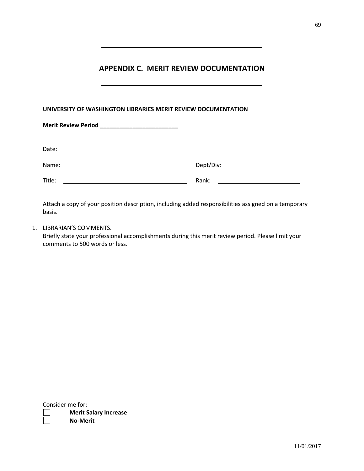# **APPENDIX C. MERIT REVIEW DOCUMENTATION**

| UNIVERSITY OF WASHINGTON LIBRARIES MERIT REVIEW DOCUMENTATION                                                                 |       |  |  |  |
|-------------------------------------------------------------------------------------------------------------------------------|-------|--|--|--|
|                                                                                                                               |       |  |  |  |
| Date:<br><u> 1989 - Jan Stein Stein Stein Stein Stein Stein Stein Stein Stein Stein Stein Stein Stein Stein Stein Stein S</u> |       |  |  |  |
| Name:                                                                                                                         |       |  |  |  |
| Title:                                                                                                                        | Rank: |  |  |  |

Attach a copy of your position description, including added responsibilities assigned on a temporary basis.

1. LIBRARIAN'S COMMENTS.

Briefly state your professional accomplishments during this merit review period. Please limit your comments to 500 words or less.

Consider me for: **Merit Salary Increase No-Merit**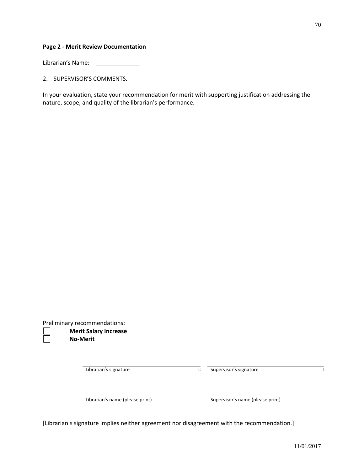## **Page 2 - Merit Review Documentation**

Librarian's Name:

2. SUPERVISOR'S COMMENTS.

In your evaluation, state your recommendation for merit with supporting justification addressing the nature, scope, and quality of the librarian's performance.

Preliminary recommendations:

**Merit Salary Increase No-Merit**

Librarian's signature and a structure Date Supervisor's signature and a structure of  $\overline{C}$ 

Librarian's name (please print) Supervisor's name (please print)

[Librarian's signature implies neither agreement nor disagreement with the recommendation.]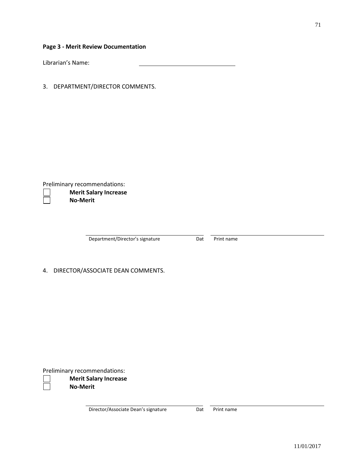71

**Page 3 - Merit Review Documentation**

Librarian's Name:

3. DEPARTMENT/DIRECTOR COMMENTS.

Preliminary recommendations:

**Merit Salary Increase No-Merit**

Department/Director's signature Dat Print name

4. DIRECTOR/ASSOCIATE DEAN COMMENTS.

Preliminary recommendations:

**Merit Salary Increase No-Merit**

Director/Associate Dean's signature Dat Print name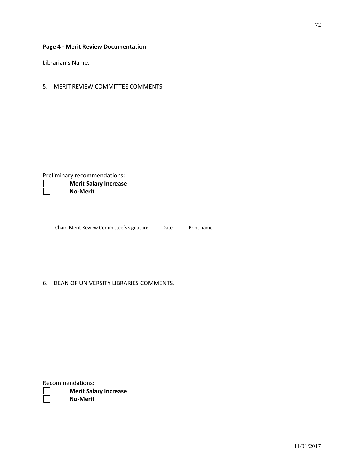Librarian's Name:

5. MERIT REVIEW COMMITTEE COMMENTS.

Preliminary recommendations:

## **Merit Salary Increase No-Merit**

Chair, Merit Review Committee's signature Date Print name

# 6. DEAN OF UNIVERSITY LIBRARIES COMMENTS.

|  | Recommendations: |
|--|------------------|
|--|------------------|

**Merit Salary Increase No-Merit**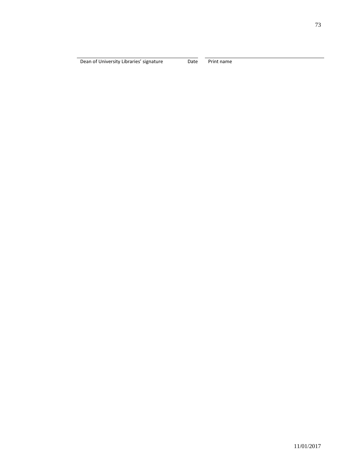Dean of University Libraries' signature Date Print name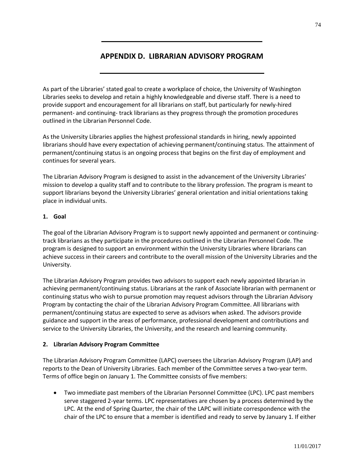### **APPENDIX D. LIBRARIAN ADVISORY PROGRAM**

As part of the Libraries' stated goal to create a workplace of choice, the University of Washington Libraries seeks to develop and retain a highly knowledgeable and diverse staff. There is a need to provide support and encouragement for all librarians on staff, but particularly for newly-hired permanent- and continuing- track librarians as they progress through the promotion procedures outlined in the Librarian Personnel Code.

As the University Libraries applies the highest professional standards in hiring, newly appointed librarians should have every expectation of achieving permanent/continuing status. The attainment of permanent/continuing status is an ongoing process that begins on the first day of employment and continues for several years.

The Librarian Advisory Program is designed to assist in the advancement of the University Libraries' mission to develop a quality staff and to contribute to the library profession. The program is meant to support librarians beyond the University Libraries' general orientation and initial orientations taking place in individual units.

#### **1. Goal**

The goal of the Librarian Advisory Program is to support newly appointed and permanent or continuingtrack librarians as they participate in the procedures outlined in the Librarian Personnel Code. The program is designed to support an environment within the University Libraries where librarians can achieve success in their careers and contribute to the overall mission of the University Libraries and the University.

The Librarian Advisory Program provides two advisors to support each newly appointed librarian in achieving permanent/continuing status. Librarians at the rank of Associate librarian with permanent or continuing status who wish to pursue promotion may request advisors through the Librarian Advisory Program by contacting the chair of the Librarian Advisory Program Committee. All librarians with permanent/continuing status are expected to serve as advisors when asked. The advisors provide guidance and support in the areas of performance, professional development and contributions and service to the University Libraries, the University, and the research and learning community.

#### **2. Librarian Advisory Program Committee**

The Librarian Advisory Program Committee (LAPC) oversees the Librarian Advisory Program (LAP) and reports to the Dean of University Libraries. Each member of the Committee serves a two-year term. Terms of office begin on January 1. The Committee consists of five members:

 Two immediate past members of the Librarian Personnel Committee (LPC). LPC past members serve staggered 2-year terms. LPC representatives are chosen by a process determined by the LPC. At the end of Spring Quarter, the chair of the LAPC will initiate correspondence with the chair of the LPC to ensure that a member is identified and ready to serve by January 1. If either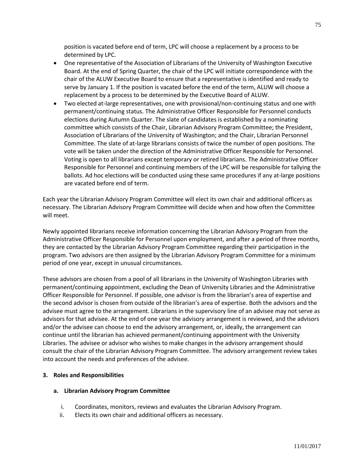position is vacated before end of term, LPC will choose a replacement by a process to be determined by LPC.

- One representative of the Association of Librarians of the University of Washington Executive Board. At the end of Spring Quarter, the chair of the LPC will initiate correspondence with the chair of the ALUW Executive Board to ensure that a representative is identified and ready to serve by January 1. If the position is vacated before the end of the term, ALUW will choose a replacement by a process to be determined by the Executive Board of ALUW.
- Two elected at-large representatives, one with provisional/non-continuing status and one with permanent/continuing status. The Administrative Officer Responsible for Personnel conducts elections during Autumn Quarter. The slate of candidates is established by a nominating committee which consists of the Chair, Librarian Advisory Program Committee; the President, Association of Librarians of the University of Washington; and the Chair, Librarian Personnel Committee. The slate of at-large librarians consists of twice the number of open positions. The vote will be taken under the direction of the Administrative Officer Responsible for Personnel. Voting is open to all librarians except temporary or retired librarians. The Administrative Officer Responsible for Personnel and continuing members of the LPC will be responsible for tallying the ballots. Ad hoc elections will be conducted using these same procedures if any at-large positions are vacated before end of term.

Each year the Librarian Advisory Program Committee will elect its own chair and additional officers as necessary. The Librarian Advisory Program Committee will decide when and how often the Committee will meet.

Newly appointed librarians receive information concerning the Librarian Advisory Program from the Administrative Officer Responsible for Personnel upon employment, and after a period of three months, they are contacted by the Librarian Advisory Program Committee regarding their participation in the program. Two advisors are then assigned by the Librarian Advisory Program Committee for a minimum period of one year, except in unusual circumstances.

These advisors are chosen from a pool of all librarians in the University of Washington Libraries with permanent/continuing appointment, excluding the Dean of University Libraries and the Administrative Officer Responsible for Personnel. If possible, one advisor is from the librarian's area of expertise and the second advisor is chosen from outside of the librarian's area of expertise. Both the advisors and the advisee must agree to the arrangement. Librarians in the supervisory line of an advisee may not serve as advisors for that advisee. At the end of one year the advisory arrangement is reviewed, and the advisors and/or the advisee can choose to end the advisory arrangement, or, ideally, the arrangement can continue until the librarian has achieved permanent/continuing appointment with the University Libraries. The advisee or advisor who wishes to make changes in the advisory arrangement should consult the chair of the Librarian Advisory Program Committee. The advisory arrangement review takes into account the needs and preferences of the advisee.

#### **3. Roles and Responsibilities**

#### **a. Librarian Advisory Program Committee**

- i. Coordinates, monitors, reviews and evaluates the Librarian Advisory Program.
- ii. Elects its own chair and additional officers as necessary.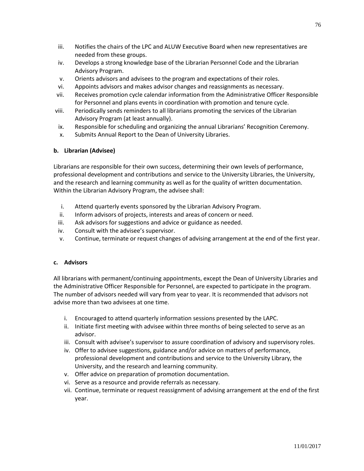- iii. Notifies the chairs of the LPC and ALUW Executive Board when new representatives are needed from these groups.
- iv. Develops a strong knowledge base of the Librarian Personnel Code and the Librarian Advisory Program.
- v. Orients advisors and advisees to the program and expectations of their roles.
- vi. Appoints advisors and makes advisor changes and reassignments as necessary.
- vii. Receives promotion cycle calendar information from the Administrative Officer Responsible for Personnel and plans events in coordination with promotion and tenure cycle.
- viii. Periodically sends reminders to all librarians promoting the services of the Librarian Advisory Program (at least annually).
- ix. Responsible for scheduling and organizing the annual Librarians' Recognition Ceremony.
- x. Submits Annual Report to the Dean of University Libraries.

#### **b. Librarian (Advisee)**

Librarians are responsible for their own success, determining their own levels of performance, professional development and contributions and service to the University Libraries, the University, and the research and learning community as well as for the quality of written documentation. Within the Librarian Advisory Program, the advisee shall:

- i. Attend quarterly events sponsored by the Librarian Advisory Program.
- ii. Inform advisors of projects, interests and areas of concern or need.
- iii. Ask advisors for suggestions and advice or guidance as needed.
- iv. Consult with the advisee's supervisor.
- v. Continue, terminate or request changes of advising arrangement at the end of the first year.

#### **c. Advisors**

All librarians with permanent/continuing appointments, except the Dean of University Libraries and the Administrative Officer Responsible for Personnel, are expected to participate in the program. The number of advisors needed will vary from year to year. It is recommended that advisors not advise more than two advisees at one time.

- i. Encouraged to attend quarterly information sessions presented by the LAPC.
- ii. Initiate first meeting with advisee within three months of being selected to serve as an advisor.
- iii. Consult with advisee's supervisor to assure coordination of advisory and supervisory roles.
- iv. Offer to advisee suggestions, guidance and/or advice on matters of performance, professional development and contributions and service to the University Library, the University, and the research and learning community.
- v. Offer advice on preparation of promotion documentation.
- vi. Serve as a resource and provide referrals as necessary.
- vii. Continue, terminate or request reassignment of advising arrangement at the end of the first year.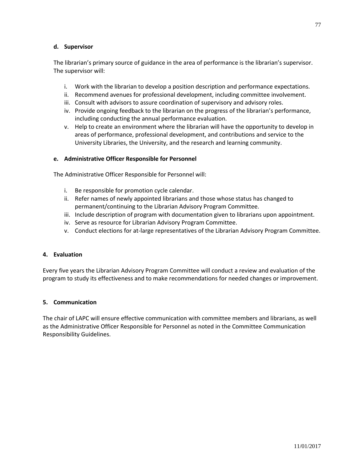#### **d. Supervisor**

The librarian's primary source of guidance in the area of performance is the librarian's supervisor. The supervisor will:

- i. Work with the librarian to develop a position description and performance expectations.
- ii. Recommend avenues for professional development, including committee involvement.
- iii. Consult with advisors to assure coordination of supervisory and advisory roles.
- iv. Provide ongoing feedback to the librarian on the progress of the librarian's performance, including conducting the annual performance evaluation.
- v. Help to create an environment where the librarian will have the opportunity to develop in areas of performance, professional development, and contributions and service to the University Libraries, the University, and the research and learning community.

#### **e. Administrative Officer Responsible for Personnel**

The Administrative Officer Responsible for Personnel will:

- i. Be responsible for promotion cycle calendar.
- ii. Refer names of newly appointed librarians and those whose status has changed to permanent/continuing to the Librarian Advisory Program Committee.
- iii. Include description of program with documentation given to librarians upon appointment.
- iv. Serve as resource for Librarian Advisory Program Committee.
- v. Conduct elections for at-large representatives of the Librarian Advisory Program Committee.

#### **4. Evaluation**

Every five years the Librarian Advisory Program Committee will conduct a review and evaluation of the program to study its effectiveness and to make recommendations for needed changes or improvement.

#### **5. Communication**

The chair of LAPC will ensure effective communication with committee members and librarians, as well as the Administrative Officer Responsible for Personnel as noted in the Committee Communication Responsibility Guidelines.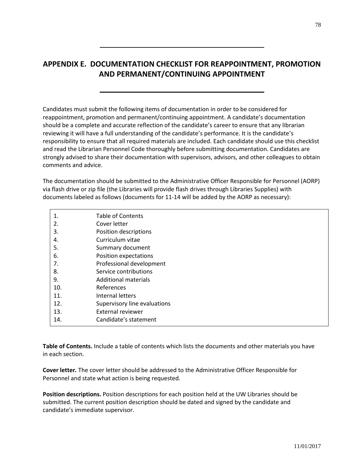# **APPENDIX E. DOCUMENTATION CHECKLIST FOR REAPPOINTMENT, PROMOTION AND PERMANENT/CONTINUING APPOINTMENT**

Candidates must submit the following items of documentation in order to be considered for reappointment, promotion and permanent/continuing appointment. A candidate's documentation should be a complete and accurate reflection of the candidate's career to ensure that any librarian reviewing it will have a full understanding of the candidate's performance. It is the candidate's responsibility to ensure that all required materials are included. Each candidate should use this checklist and read the Librarian Personnel Code thoroughly before submitting documentation. Candidates are strongly advised to share their documentation with supervisors, advisors, and other colleagues to obtain comments and advice.

The documentation should be submitted to the Administrative Officer Responsible for Personnel (AORP) via flash drive or zip file (the Libraries will provide flash drives through Libraries Supplies) with documents labeled as follows (documents for 11-14 will be added by the AORP as necessary):

| 1.  | <b>Table of Contents</b>     |
|-----|------------------------------|
| 2.  | Cover letter                 |
| 3.  | Position descriptions        |
| 4.  | Curriculum vitae             |
| 5.  | Summary document             |
| 6.  | Position expectations        |
| 7.  | Professional development     |
| 8.  | Service contributions        |
| 9.  | <b>Additional materials</b>  |
| 10. | References                   |
| 11. | Internal letters             |
| 12. | Supervisory line evaluations |
| 13. | External reviewer            |
| 14. | Candidate's statement        |
|     |                              |

**Table of Contents.** Include a table of contents which lists the documents and other materials you have in each section.

**Cover letter***.* The cover letter should be addressed to the Administrative Officer Responsible for Personnel and state what action is being requested.

**Position descriptions.** Position descriptions for each position held at the UW Libraries should be submitted. The current position description should be dated and signed by the candidate and candidate's immediate supervisor.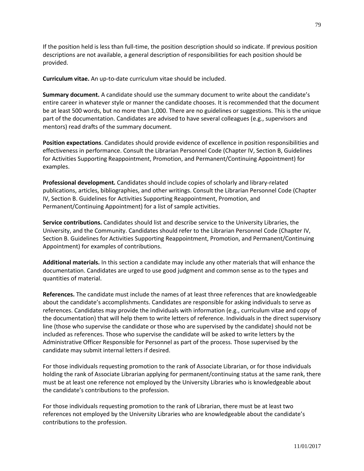If the position held is less than full-time, the position description should so indicate. If previous position descriptions are not available, a general description of responsibilities for each position should be provided.

**Curriculum vitae.** An up-to-date curriculum vitae should be included.

**Summary document.** A candidate should use the summary document to write about the candidate's entire career in whatever style or manner the candidate chooses. It is recommended that the document be at least 500 words, but no more than 1,000. There are no guidelines or suggestions. This is the unique part of the documentation. Candidates are advised to have several colleagues (e.g., supervisors and mentors) read drafts of the summary document.

**Position expectations**. Candidates should provide evidence of excellence in position responsibilities and effectiveness in performance. Consult the Librarian Personnel Code (Chapter IV, Section B, Guidelines for Activities Supporting Reappointment, Promotion, and Permanent/Continuing Appointment) for examples.

**Professional development***.* Candidates should include copies of scholarly and library-related publications, articles, bibliographies, and other writings. Consult the Librarian Personnel Code (Chapter IV, Section B. Guidelines for Activities Supporting Reappointment, Promotion, and Permanent/Continuing Appointment) for a list of sample activities.

**Service contributions.** Candidates should list and describe service to the University Libraries, the University, and the Community. Candidates should refer to the Librarian Personnel Code (Chapter IV, Section B. Guidelines for Activities Supporting Reappointment, Promotion, and Permanent/Continuing Appointment) for examples of contributions.

**Additional materials.** In this section a candidate may include any other materials that will enhance the documentation. Candidates are urged to use good judgment and common sense as to the types and quantities of material.

**References.** The candidate must include the names of at least three references that are knowledgeable about the candidate's accomplishments. Candidates are responsible for asking individuals to serve as references. Candidates may provide the individuals with information (e.g., curriculum vitae and copy of the documentation) that will help them to write letters of reference. Individuals in the direct supervisory line (those who supervise the candidate or those who are supervised by the candidate) should not be included as references. Those who supervise the candidate will be asked to write letters by the Administrative Officer Responsible for Personnel as part of the process. Those supervised by the candidate may submit internal letters if desired.

For those individuals requesting promotion to the rank of Associate Librarian, or for those individuals holding the rank of Associate Librarian applying for permanent/continuing status at the same rank, there must be at least one reference not employed by the University Libraries who is knowledgeable about the candidate's contributions to the profession.

For those individuals requesting promotion to the rank of Librarian, there must be at least two references not employed by the University Libraries who are knowledgeable about the candidate's contributions to the profession.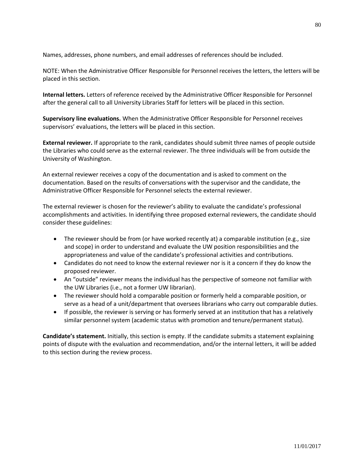Names, addresses, phone numbers, and email addresses of references should be included.

NOTE: When the Administrative Officer Responsible for Personnel receives the letters, the letters will be placed in this section.

**Internal letters.** Letters of reference received by the Administrative Officer Responsible for Personnel after the general call to all University Libraries Staff for letters will be placed in this section.

**Supervisory line evaluations.** When the Administrative Officer Responsible for Personnel receives supervisors' evaluations, the letters will be placed in this section.

**External reviewer.** If appropriate to the rank, candidates should submit three names of people outside the Libraries who could serve as the external reviewer. The three individuals will be from outside the University of Washington.

An external reviewer receives a copy of the documentation and is asked to comment on the documentation. Based on the results of conversations with the supervisor and the candidate, the Administrative Officer Responsible for Personnel selects the external reviewer.

The external reviewer is chosen for the reviewer's ability to evaluate the candidate's professional accomplishments and activities. In identifying three proposed external reviewers, the candidate should consider these guidelines:

- The reviewer should be from (or have worked recently at) a comparable institution (e.g., size and scope) in order to understand and evaluate the UW position responsibilities and the appropriateness and value of the candidate's professional activities and contributions.
- Candidates do not need to know the external reviewer nor is it a concern if they do know the proposed reviewer.
- An "outside" reviewer means the individual has the perspective of someone not familiar with the UW Libraries (i.e., not a former UW librarian).
- The reviewer should hold a comparable position or formerly held a comparable position, or serve as a head of a unit/department that oversees librarians who carry out comparable duties.
- If possible, the reviewer is serving or has formerly served at an institution that has a relatively similar personnel system (academic status with promotion and tenure/permanent status).

**Candidate's statement.** Initially, this section is empty. If the candidate submits a statement explaining points of dispute with the evaluation and recommendation, and/or the internal letters, it will be added to this section during the review process.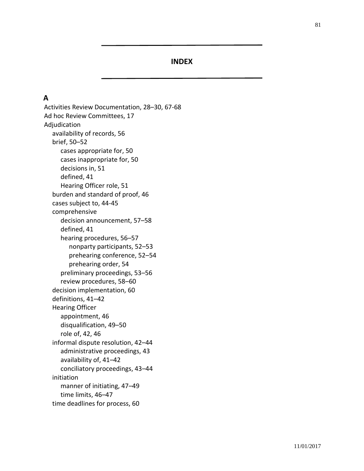#### **INDEX**

### **A**

Activities Review Documentation, 28–30, 67-68 Ad hoc Review Committees, 17 Adjudication availability of records, 56 brief, 50–52 cases appropriate for, 50 cases inappropriate for, 50 decisions in, 51 defined, 41 Hearing Officer role, 51 burden and standard of proof, 46 cases subject to, 44-45 comprehensive decision announcement, 57–58 defined, 41 hearing procedures, 56–57 nonparty participants, 52–53 prehearing conference, 52–54 prehearing order, 54 preliminary proceedings, 53–56 review procedures, 58–60 decision implementation, 60 definitions, 41–42 Hearing Officer appointment, 46 disqualification, 49–50 role of, 42, 46 informal dispute resolution, 42–44 administrative proceedings, 43 availability of, 41–42 conciliatory proceedings, 43–44 initiation manner of initiating, 47–49 time limits, 46–47 time deadlines for process, 60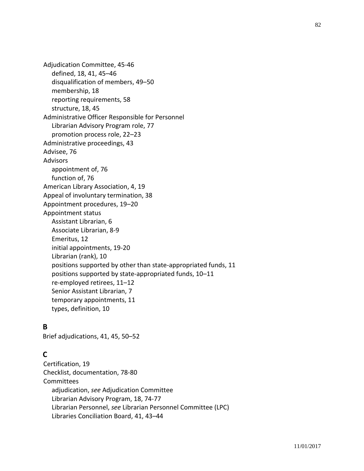Adjudication Committee, 45-46 defined, 18, 41, 45–46 disqualification of members, 49–50 membership, 18 reporting requirements, 58 structure, 18, 45 Administrative Officer Responsible for Personnel Librarian Advisory Program role, 77 promotion process role, 22–23 Administrative proceedings, 43 Advisee, 76 Advisors appointment of, 76 function of, 76 American Library Association, 4, 19 Appeal of involuntary termination, 38 Appointment procedures, 19–20 Appointment status Assistant Librarian, 6 Associate Librarian, 8-9 Emeritus, 12 initial appointments, 19-20 Librarian (rank), 10 positions supported by other than state-appropriated funds, 11 positions supported by state-appropriated funds, 10–11 re-employed retirees, 11–12 Senior Assistant Librarian, 7 temporary appointments, 11 types, definition, 10

### **B**

Brief adjudications, 41, 45, 50–52

# **C**

Certification, 19 Checklist, documentation, 78-80 Committees adjudication, *see* Adjudication Committee Librarian Advisory Program, 18, 74-77 Librarian Personnel, *see* Librarian Personnel Committee (LPC) Libraries Conciliation Board, 41, 43–44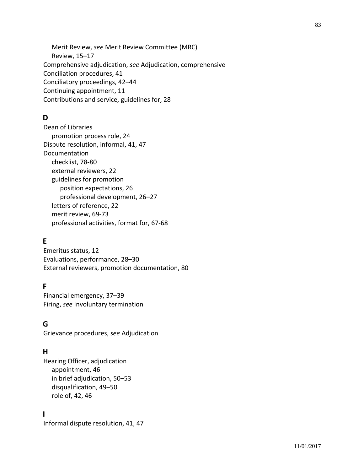Merit Review, *see* Merit Review Committee (MRC) Review, 15–17 Comprehensive adjudication, *see* Adjudication, comprehensive Conciliation procedures, 41 Conciliatory proceedings, 42–44 Continuing appointment, 11 Contributions and service, guidelines for, 28

# **D**

Dean of Libraries promotion process role, 24 Dispute resolution, informal, 41, 47 Documentation checklist, 78-80 external reviewers, 22 guidelines for promotion position expectations, 26 professional development, 26–27 letters of reference, 22 merit review, 69-73 professional activities, format for, 67-68

# **E**

Emeritus status, 12 Evaluations, performance, 28–30 External reviewers, promotion documentation, 80

# **F**

Financial emergency, 37–39 Firing, *see* Involuntary termination

# **G**

Grievance procedures, *see* Adjudication

# **H**

Hearing Officer, adjudication appointment, 46 in brief adjudication, 50–53 disqualification, 49–50 role of, 42, 46

# **I**

Informal dispute resolution, 41, 47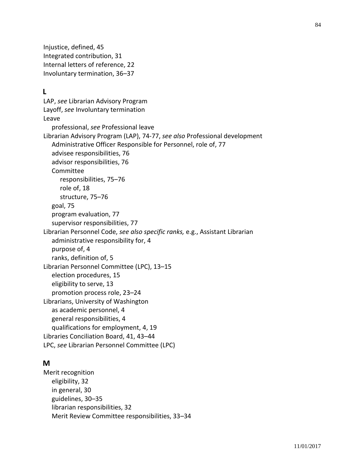Injustice, defined, 45 Integrated contribution, 31 Internal letters of reference, 22 Involuntary termination, 36–37

### **L**

LAP, *see* Librarian Advisory Program Layoff, *see* Involuntary termination Leave professional, *see* Professional leave Librarian Advisory Program (LAP), 74-77, *see also* Professional development Administrative Officer Responsible for Personnel, role of, 77 advisee responsibilities, 76 advisor responsibilities, 76 Committee responsibilities, 75–76 role of, 18 structure, 75–76 goal, 75 program evaluation, 77 supervisor responsibilities, 77 Librarian Personnel Code, *see also specific ranks,* e.g., Assistant Librarian administrative responsibility for, 4 purpose of, 4 ranks, definition of, 5 Librarian Personnel Committee (LPC), 13–15 election procedures, 15 eligibility to serve, 13 promotion process role, 23–24 Librarians, University of Washington as academic personnel, 4 general responsibilities, 4 qualifications for employment, 4, 19 Libraries Conciliation Board, 41, 43–44 LPC, *see* Librarian Personnel Committee (LPC)

### **M**

Merit recognition eligibility, 32 in general, 30 guidelines, 30–35 librarian responsibilities, 32 Merit Review Committee responsibilities, 33–34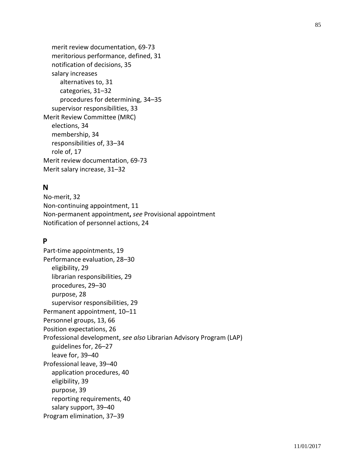merit review documentation, 69-73 meritorious performance, defined, 31 notification of decisions, 35 salary increases alternatives to, 31 categories, 31–32 procedures for determining, 34–35 supervisor responsibilities, 33 Merit Review Committee (MRC) elections, 34 membership, 34 responsibilities of, 33–34 role of, 17 Merit review documentation, 69-73 Merit salary increase, 31–32

### **N**

No-merit, 32 Non-continuing appointment, 11 Non-permanent appointment**,** *see* Provisional appointment Notification of personnel actions, 24

### **P**

Part-time appointments, 19 Performance evaluation, 28–30 eligibility, 29 librarian responsibilities, 29 procedures, 29–30 purpose, 28 supervisor responsibilities, 29 Permanent appointment, 10–11 Personnel groups, 13, 66 Position expectations, 26 Professional development, *see also* Librarian Advisory Program (LAP) guidelines for, 26–27 leave for, 39–40 Professional leave, 39–40 application procedures, 40 eligibility, 39 purpose, 39 reporting requirements, 40 salary support, 39–40 Program elimination, 37–39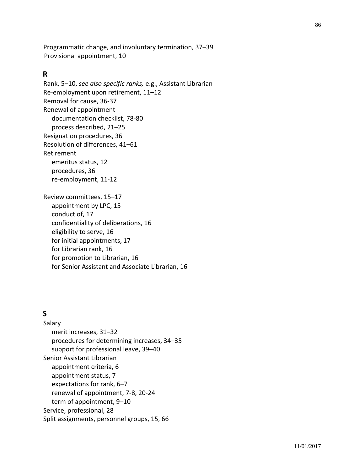Programmatic change, and involuntary termination, 37–39 Provisional appointment, 10

#### **R**

Rank, 5–10, *see also specific ranks,* e.g., Assistant Librarian Re-employment upon retirement, 11–12 Removal for cause, 36-37 Renewal of appointment documentation checklist, 78-80 process described, 21–25 Resignation procedures, 36 Resolution of differences, 41–61 Retirement emeritus status, 12 procedures, 36 re-employment, 11-12 Review committees, 15–17 appointment by LPC, 15 conduct of, 17 confidentiality of deliberations, 16 eligibility to serve, 16 for initial appointments, 17 for Librarian rank, 16 for promotion to Librarian, 16 for Senior Assistant and Associate Librarian, 16

# **S**

Salary merit increases, 31–32 procedures for determining increases, 34–35 support for professional leave, 39–40 Senior Assistant Librarian appointment criteria, 6 appointment status, 7 expectations for rank, 6–7 renewal of appointment, 7-8, 20-24 term of appointment, 9–10 Service, professional, 28 Split assignments, personnel groups, 15, 66